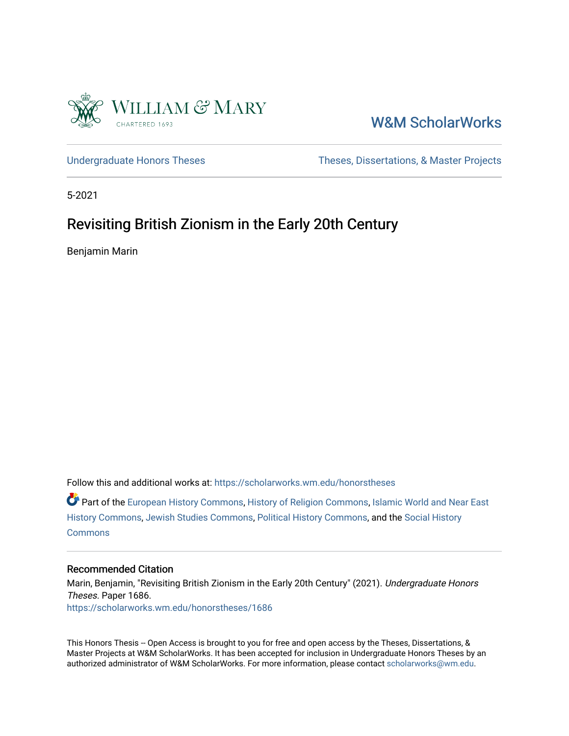

# [W&M ScholarWorks](https://scholarworks.wm.edu/)

[Undergraduate Honors Theses](https://scholarworks.wm.edu/honorstheses) Theses Theses, Dissertations, & Master Projects

5-2021

# Revisiting British Zionism in the Early 20th Century

Benjamin Marin

Follow this and additional works at: [https://scholarworks.wm.edu/honorstheses](https://scholarworks.wm.edu/honorstheses?utm_source=scholarworks.wm.edu%2Fhonorstheses%2F1686&utm_medium=PDF&utm_campaign=PDFCoverPages) 

Part of the [European History Commons](http://network.bepress.com/hgg/discipline/492?utm_source=scholarworks.wm.edu%2Fhonorstheses%2F1686&utm_medium=PDF&utm_campaign=PDFCoverPages), [History of Religion Commons,](http://network.bepress.com/hgg/discipline/499?utm_source=scholarworks.wm.edu%2Fhonorstheses%2F1686&utm_medium=PDF&utm_campaign=PDFCoverPages) [Islamic World and Near East](http://network.bepress.com/hgg/discipline/493?utm_source=scholarworks.wm.edu%2Fhonorstheses%2F1686&utm_medium=PDF&utm_campaign=PDFCoverPages) [History Commons](http://network.bepress.com/hgg/discipline/493?utm_source=scholarworks.wm.edu%2Fhonorstheses%2F1686&utm_medium=PDF&utm_campaign=PDFCoverPages), [Jewish Studies Commons,](http://network.bepress.com/hgg/discipline/479?utm_source=scholarworks.wm.edu%2Fhonorstheses%2F1686&utm_medium=PDF&utm_campaign=PDFCoverPages) [Political History Commons](http://network.bepress.com/hgg/discipline/505?utm_source=scholarworks.wm.edu%2Fhonorstheses%2F1686&utm_medium=PDF&utm_campaign=PDFCoverPages), and the [Social History](http://network.bepress.com/hgg/discipline/506?utm_source=scholarworks.wm.edu%2Fhonorstheses%2F1686&utm_medium=PDF&utm_campaign=PDFCoverPages)  **[Commons](http://network.bepress.com/hgg/discipline/506?utm_source=scholarworks.wm.edu%2Fhonorstheses%2F1686&utm_medium=PDF&utm_campaign=PDFCoverPages)** 

#### Recommended Citation

Marin, Benjamin, "Revisiting British Zionism in the Early 20th Century" (2021). Undergraduate Honors Theses. Paper 1686. [https://scholarworks.wm.edu/honorstheses/1686](https://scholarworks.wm.edu/honorstheses/1686?utm_source=scholarworks.wm.edu%2Fhonorstheses%2F1686&utm_medium=PDF&utm_campaign=PDFCoverPages)

This Honors Thesis -- Open Access is brought to you for free and open access by the Theses, Dissertations, & Master Projects at W&M ScholarWorks. It has been accepted for inclusion in Undergraduate Honors Theses by an authorized administrator of W&M ScholarWorks. For more information, please contact [scholarworks@wm.edu](mailto:scholarworks@wm.edu).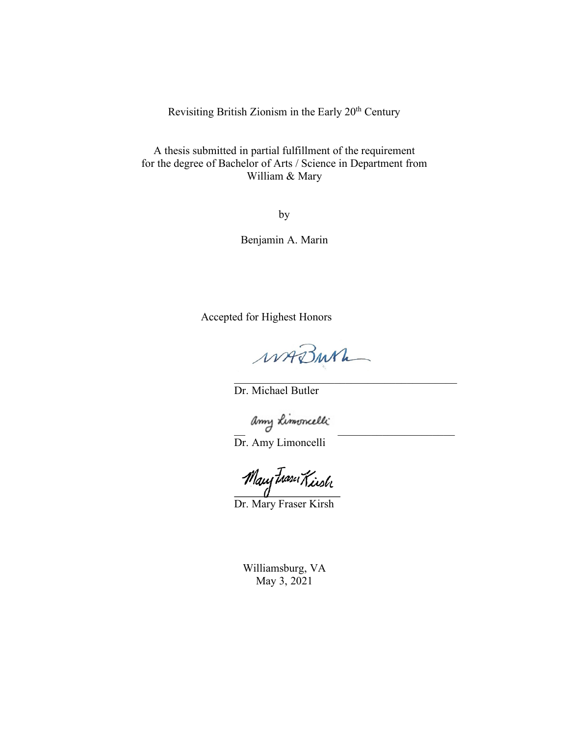Revisiting British Zionism in the Early 20<sup>th</sup> Century

A thesis submitted in partial fulfillment of the requirement for the degree of Bachelor of Arts / Science in Department from William & Mary

by

Benjamin A. Marin

Accepted for Highest Honors

war Burh

 $\mathcal{L}_\text{max}$  , and the contract of the contract of the contract of the contract of the contract of the contract of the contract of the contract of the contract of the contract of the contract of the contract of the contr

Dr. Michael Butler

amy Limoncelli

Dr. Amy Limoncelli

Maur Tusser Kirsh

Williamsburg, VA May 3, 2021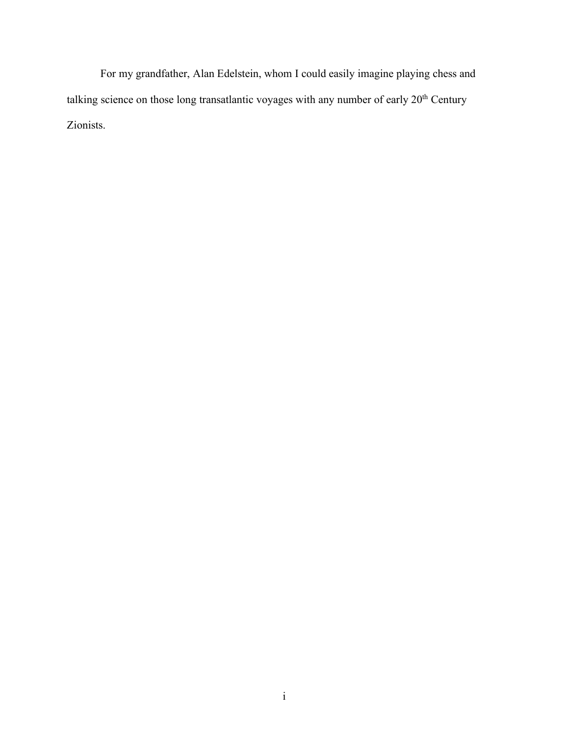For my grandfather, Alan Edelstein, whom I could easily imagine playing chess and talking science on those long transatlantic voyages with any number of early 20<sup>th</sup> Century Zionists.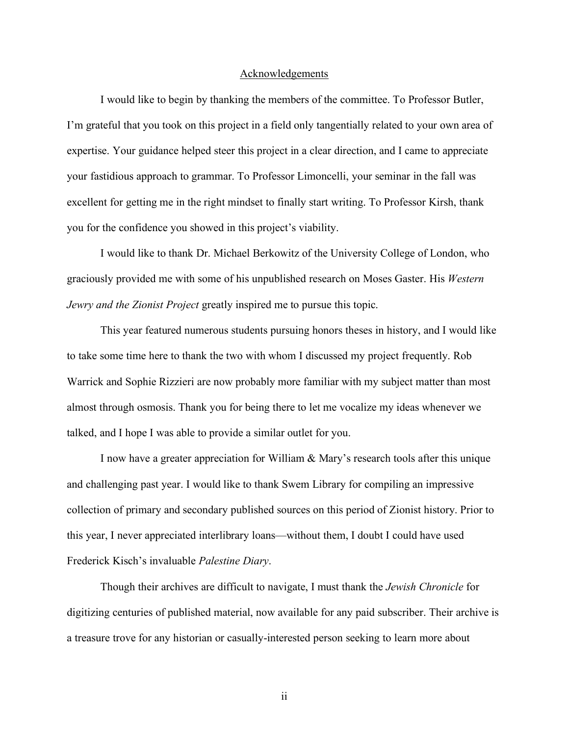#### Acknowledgements

I would like to begin by thanking the members of the committee. To Professor Butler, I'm grateful that you took on this project in a field only tangentially related to your own area of expertise. Your guidance helped steer this project in a clear direction, and I came to appreciate your fastidious approach to grammar. To Professor Limoncelli, your seminar in the fall was excellent for getting me in the right mindset to finally start writing. To Professor Kirsh, thank you for the confidence you showed in this project's viability.

I would like to thank Dr. Michael Berkowitz of the University College of London, who graciously provided me with some of his unpublished research on Moses Gaster. His *Western Jewry and the Zionist Project* greatly inspired me to pursue this topic.

This year featured numerous students pursuing honors theses in history, and I would like to take some time here to thank the two with whom I discussed my project frequently. Rob Warrick and Sophie Rizzieri are now probably more familiar with my subject matter than most almost through osmosis. Thank you for being there to let me vocalize my ideas whenever we talked, and I hope I was able to provide a similar outlet for you.

I now have a greater appreciation for William & Mary's research tools after this unique and challenging past year. I would like to thank Swem Library for compiling an impressive collection of primary and secondary published sources on this period of Zionist history. Prior to this year, I never appreciated interlibrary loans—without them, I doubt I could have used Frederick Kisch's invaluable *Palestine Diary*.

Though their archives are difficult to navigate, I must thank the *Jewish Chronicle* for digitizing centuries of published material, now available for any paid subscriber. Their archive is a treasure trove for any historian or casually-interested person seeking to learn more about

ii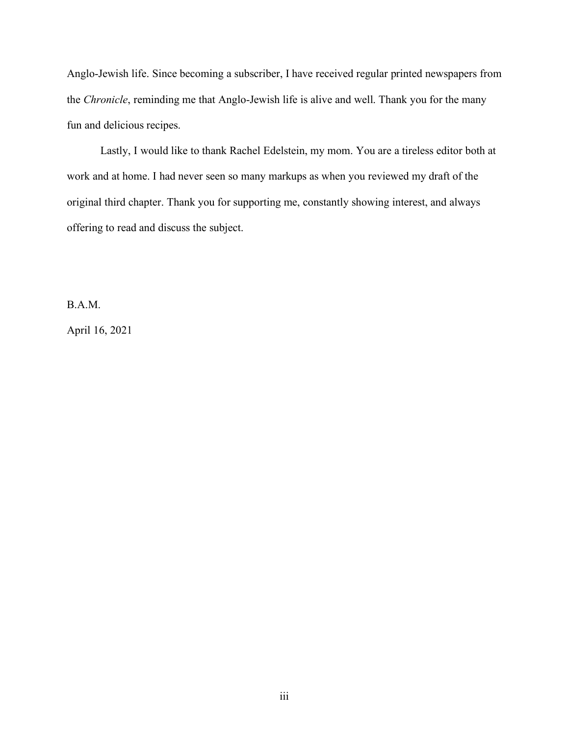Anglo-Jewish life. Since becoming a subscriber, I have received regular printed newspapers from the *Chronicle*, reminding me that Anglo-Jewish life is alive and well. Thank you for the many fun and delicious recipes.

Lastly, I would like to thank Rachel Edelstein, my mom. You are a tireless editor both at work and at home. I had never seen so many markups as when you reviewed my draft of the original third chapter. Thank you for supporting me, constantly showing interest, and always offering to read and discuss the subject.

B.A.M.

April 16, 2021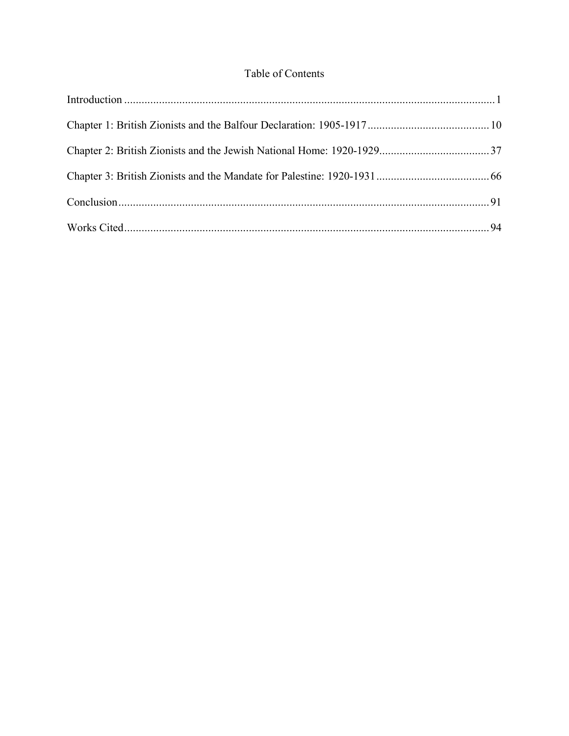## Table of Contents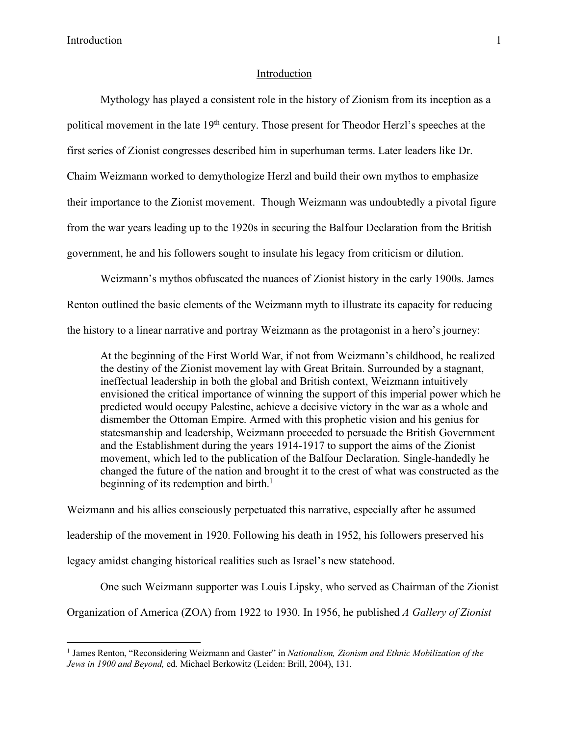#### Introduction

Mythology has played a consistent role in the history of Zionism from its inception as a political movement in the late 19th century. Those present for Theodor Herzl's speeches at the first series of Zionist congresses described him in superhuman terms. Later leaders like Dr. Chaim Weizmann worked to demythologize Herzl and build their own mythos to emphasize their importance to the Zionist movement. Though Weizmann was undoubtedly a pivotal figure from the war years leading up to the 1920s in securing the Balfour Declaration from the British government, he and his followers sought to insulate his legacy from criticism or dilution.

Weizmann's mythos obfuscated the nuances of Zionist history in the early 1900s. James Renton outlined the basic elements of the Weizmann myth to illustrate its capacity for reducing the history to a linear narrative and portray Weizmann as the protagonist in a hero's journey:

At the beginning of the First World War, if not from Weizmann's childhood, he realized the destiny of the Zionist movement lay with Great Britain. Surrounded by a stagnant, ineffectual leadership in both the global and British context, Weizmann intuitively envisioned the critical importance of winning the support of this imperial power which he predicted would occupy Palestine, achieve a decisive victory in the war as a whole and dismember the Ottoman Empire. Armed with this prophetic vision and his genius for statesmanship and leadership, Weizmann proceeded to persuade the British Government and the Establishment during the years 1914-1917 to support the aims of the Zionist movement, which led to the publication of the Balfour Declaration. Single-handedly he changed the future of the nation and brought it to the crest of what was constructed as the beginning of its redemption and birth.<sup>1</sup>

Weizmann and his allies consciously perpetuated this narrative, especially after he assumed leadership of the movement in 1920. Following his death in 1952, his followers preserved his legacy amidst changing historical realities such as Israel's new statehood.

One such Weizmann supporter was Louis Lipsky, who served as Chairman of the Zionist

Organization of America (ZOA) from 1922 to 1930. In 1956, he published *A Gallery of Zionist* 

 <sup>1</sup> James Renton, "Reconsidering Weizmann and Gaster" in *Nationalism, Zionism and Ethnic Mobilization of the Jews in 1900 and Beyond,* ed. Michael Berkowitz (Leiden: Brill, 2004), 131.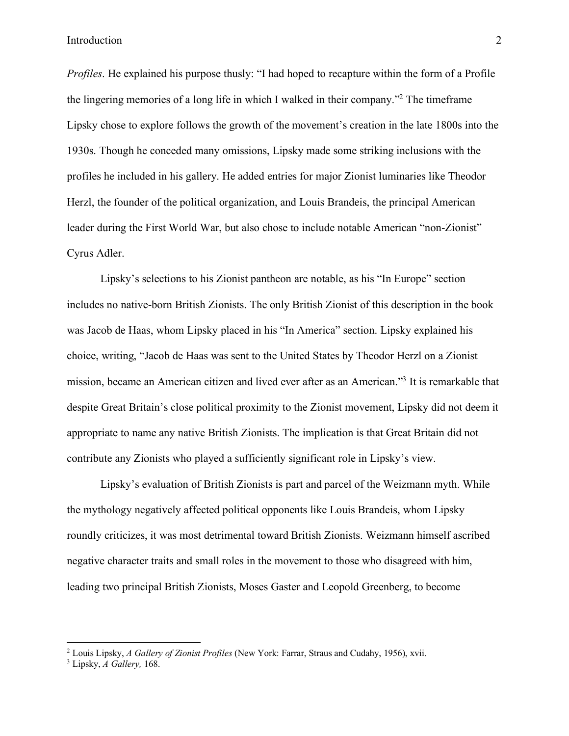*Profiles*. He explained his purpose thusly: "I had hoped to recapture within the form of a Profile the lingering memories of a long life in which I walked in their company."2 The timeframe Lipsky chose to explore follows the growth of the movement's creation in the late 1800s into the 1930s. Though he conceded many omissions, Lipsky made some striking inclusions with the profiles he included in his gallery. He added entries for major Zionist luminaries like Theodor Herzl, the founder of the political organization, and Louis Brandeis, the principal American leader during the First World War, but also chose to include notable American "non-Zionist" Cyrus Adler.

Lipsky's selections to his Zionist pantheon are notable, as his "In Europe" section includes no native-born British Zionists. The only British Zionist of this description in the book was Jacob de Haas, whom Lipsky placed in his "In America" section. Lipsky explained his choice, writing, "Jacob de Haas was sent to the United States by Theodor Herzl on a Zionist mission, became an American citizen and lived ever after as an American."3 It is remarkable that despite Great Britain's close political proximity to the Zionist movement, Lipsky did not deem it appropriate to name any native British Zionists. The implication is that Great Britain did not contribute any Zionists who played a sufficiently significant role in Lipsky's view.

Lipsky's evaluation of British Zionists is part and parcel of the Weizmann myth. While the mythology negatively affected political opponents like Louis Brandeis, whom Lipsky roundly criticizes, it was most detrimental toward British Zionists. Weizmann himself ascribed negative character traits and small roles in the movement to those who disagreed with him, leading two principal British Zionists, Moses Gaster and Leopold Greenberg, to become

 <sup>2</sup> Louis Lipsky, *A Gallery of Zionist Profiles* (New York: Farrar, Straus and Cudahy, 1956), xvii.

<sup>3</sup> Lipsky, *A Gallery,* 168.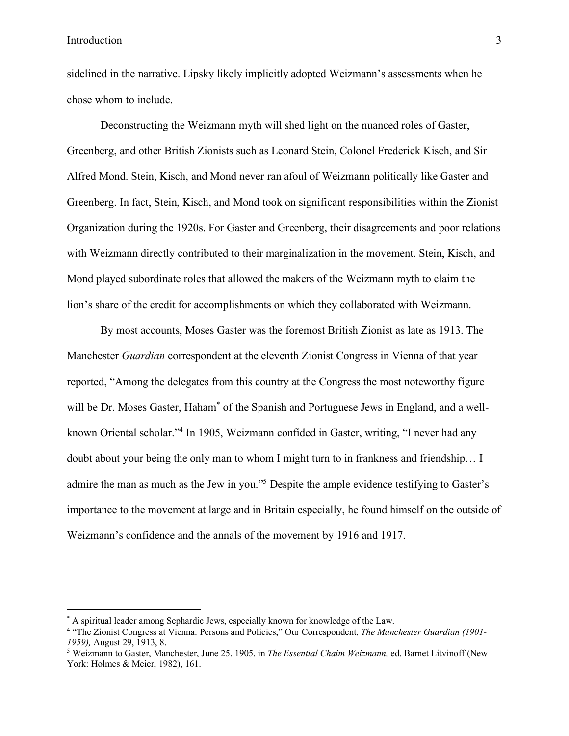$\overline{a}$ 

sidelined in the narrative. Lipsky likely implicitly adopted Weizmann's assessments when he chose whom to include.

Deconstructing the Weizmann myth will shed light on the nuanced roles of Gaster, Greenberg, and other British Zionists such as Leonard Stein, Colonel Frederick Kisch, and Sir Alfred Mond. Stein, Kisch, and Mond never ran afoul of Weizmann politically like Gaster and Greenberg. In fact, Stein, Kisch, and Mond took on significant responsibilities within the Zionist Organization during the 1920s. For Gaster and Greenberg, their disagreements and poor relations with Weizmann directly contributed to their marginalization in the movement. Stein, Kisch, and Mond played subordinate roles that allowed the makers of the Weizmann myth to claim the lion's share of the credit for accomplishments on which they collaborated with Weizmann.

By most accounts, Moses Gaster was the foremost British Zionist as late as 1913. The Manchester *Guardian* correspondent at the eleventh Zionist Congress in Vienna of that year reported, "Among the delegates from this country at the Congress the most noteworthy figure will be Dr. Moses Gaster, Haham<sup>\*</sup> of the Spanish and Portuguese Jews in England, and a wellknown Oriental scholar."4 In 1905, Weizmann confided in Gaster, writing, "I never had any doubt about your being the only man to whom I might turn to in frankness and friendship… I admire the man as much as the Jew in you."5 Despite the ample evidence testifying to Gaster's importance to the movement at large and in Britain especially, he found himself on the outside of Weizmann's confidence and the annals of the movement by 1916 and 1917.

<sup>\*</sup> A spiritual leader among Sephardic Jews, especially known for knowledge of the Law.

<sup>4</sup> "The Zionist Congress at Vienna: Persons and Policies," Our Correspondent, *The Manchester Guardian (1901- 1959),* August 29, 1913, 8.

<sup>5</sup> Weizmann to Gaster, Manchester, June 25, 1905, in *The Essential Chaim Weizmann,* ed. Barnet Litvinoff (New York: Holmes & Meier, 1982), 161.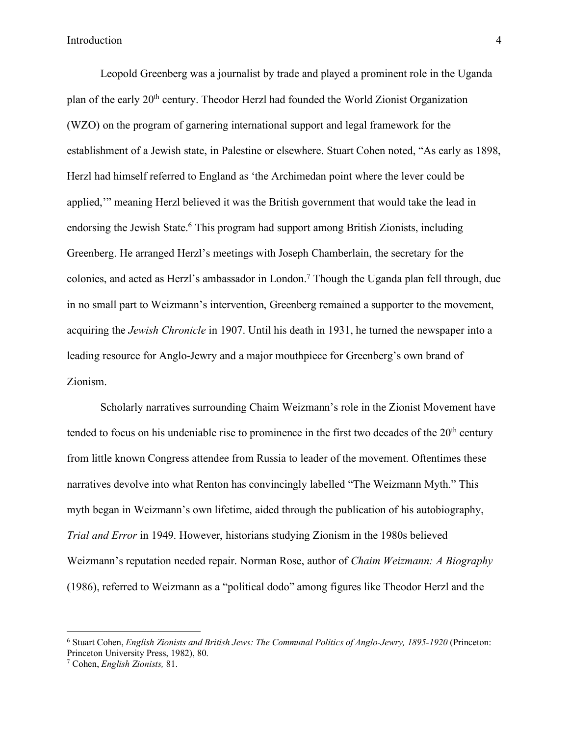Leopold Greenberg was a journalist by trade and played a prominent role in the Uganda plan of the early 20th century. Theodor Herzl had founded the World Zionist Organization (WZO) on the program of garnering international support and legal framework for the establishment of a Jewish state, in Palestine or elsewhere. Stuart Cohen noted, "As early as 1898, Herzl had himself referred to England as 'the Archimedan point where the lever could be applied,'" meaning Herzl believed it was the British government that would take the lead in endorsing the Jewish State.<sup>6</sup> This program had support among British Zionists, including Greenberg. He arranged Herzl's meetings with Joseph Chamberlain, the secretary for the colonies, and acted as Herzl's ambassador in London.7 Though the Uganda plan fell through, due in no small part to Weizmann's intervention, Greenberg remained a supporter to the movement, acquiring the *Jewish Chronicle* in 1907. Until his death in 1931, he turned the newspaper into a leading resource for Anglo-Jewry and a major mouthpiece for Greenberg's own brand of Zionism.

Scholarly narratives surrounding Chaim Weizmann's role in the Zionist Movement have tended to focus on his undeniable rise to prominence in the first two decades of the 20<sup>th</sup> century from little known Congress attendee from Russia to leader of the movement. Oftentimes these narratives devolve into what Renton has convincingly labelled "The Weizmann Myth." This myth began in Weizmann's own lifetime, aided through the publication of his autobiography, *Trial and Error* in 1949. However, historians studying Zionism in the 1980s believed Weizmann's reputation needed repair. Norman Rose, author of *Chaim Weizmann: A Biography*  (1986), referred to Weizmann as a "political dodo" among figures like Theodor Herzl and the

 <sup>6</sup> Stuart Cohen, *English Zionists and British Jews: The Communal Politics of Anglo-Jewry, 1895-1920* (Princeton: Princeton University Press, 1982), 80.

<sup>7</sup> Cohen, *English Zionists,* 81.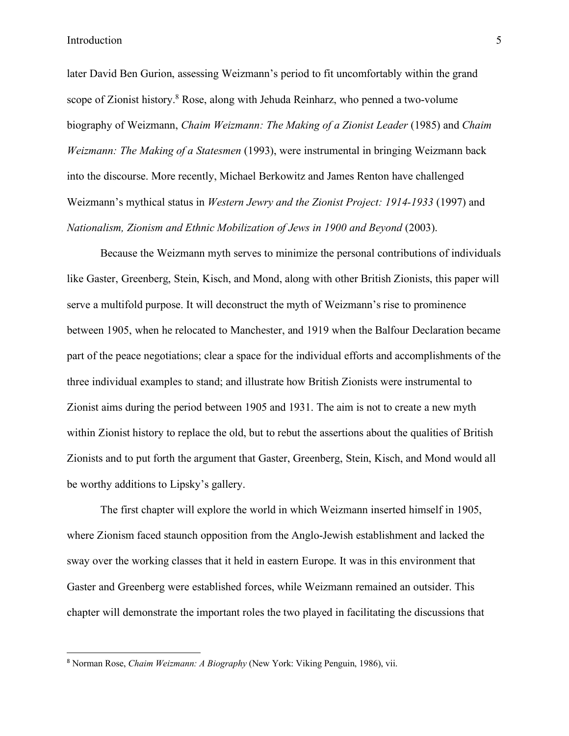$\overline{a}$ 

later David Ben Gurion, assessing Weizmann's period to fit uncomfortably within the grand scope of Zionist history.<sup>8</sup> Rose, along with Jehuda Reinharz, who penned a two-volume biography of Weizmann, *Chaim Weizmann: The Making of a Zionist Leader* (1985) and *Chaim Weizmann: The Making of a Statesmen* (1993), were instrumental in bringing Weizmann back into the discourse. More recently, Michael Berkowitz and James Renton have challenged Weizmann's mythical status in *Western Jewry and the Zionist Project: 1914-1933* (1997) and *Nationalism, Zionism and Ethnic Mobilization of Jews in 1900 and Beyond* (2003).

Because the Weizmann myth serves to minimize the personal contributions of individuals like Gaster, Greenberg, Stein, Kisch, and Mond, along with other British Zionists, this paper will serve a multifold purpose. It will deconstruct the myth of Weizmann's rise to prominence between 1905, when he relocated to Manchester, and 1919 when the Balfour Declaration became part of the peace negotiations; clear a space for the individual efforts and accomplishments of the three individual examples to stand; and illustrate how British Zionists were instrumental to Zionist aims during the period between 1905 and 1931. The aim is not to create a new myth within Zionist history to replace the old, but to rebut the assertions about the qualities of British Zionists and to put forth the argument that Gaster, Greenberg, Stein, Kisch, and Mond would all be worthy additions to Lipsky's gallery.

The first chapter will explore the world in which Weizmann inserted himself in 1905, where Zionism faced staunch opposition from the Anglo-Jewish establishment and lacked the sway over the working classes that it held in eastern Europe. It was in this environment that Gaster and Greenberg were established forces, while Weizmann remained an outsider. This chapter will demonstrate the important roles the two played in facilitating the discussions that

<sup>8</sup> Norman Rose, *Chaim Weizmann: A Biography* (New York: Viking Penguin, 1986), vii.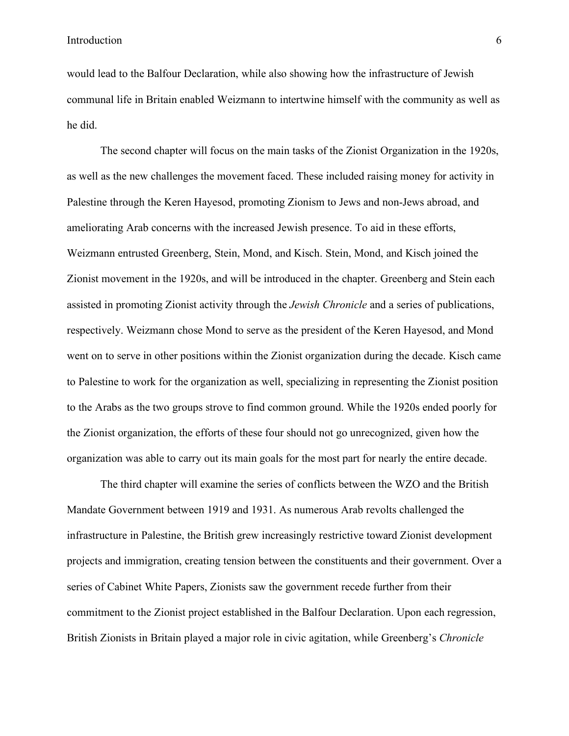would lead to the Balfour Declaration, while also showing how the infrastructure of Jewish communal life in Britain enabled Weizmann to intertwine himself with the community as well as he did.

The second chapter will focus on the main tasks of the Zionist Organization in the 1920s, as well as the new challenges the movement faced. These included raising money for activity in Palestine through the Keren Hayesod, promoting Zionism to Jews and non-Jews abroad, and ameliorating Arab concerns with the increased Jewish presence. To aid in these efforts, Weizmann entrusted Greenberg, Stein, Mond, and Kisch. Stein, Mond, and Kisch joined the Zionist movement in the 1920s, and will be introduced in the chapter. Greenberg and Stein each assisted in promoting Zionist activity through the *Jewish Chronicle* and a series of publications, respectively. Weizmann chose Mond to serve as the president of the Keren Hayesod, and Mond went on to serve in other positions within the Zionist organization during the decade. Kisch came to Palestine to work for the organization as well, specializing in representing the Zionist position to the Arabs as the two groups strove to find common ground. While the 1920s ended poorly for the Zionist organization, the efforts of these four should not go unrecognized, given how the organization was able to carry out its main goals for the most part for nearly the entire decade.

The third chapter will examine the series of conflicts between the WZO and the British Mandate Government between 1919 and 1931. As numerous Arab revolts challenged the infrastructure in Palestine, the British grew increasingly restrictive toward Zionist development projects and immigration, creating tension between the constituents and their government. Over a series of Cabinet White Papers, Zionists saw the government recede further from their commitment to the Zionist project established in the Balfour Declaration. Upon each regression, British Zionists in Britain played a major role in civic agitation, while Greenberg's *Chronicle*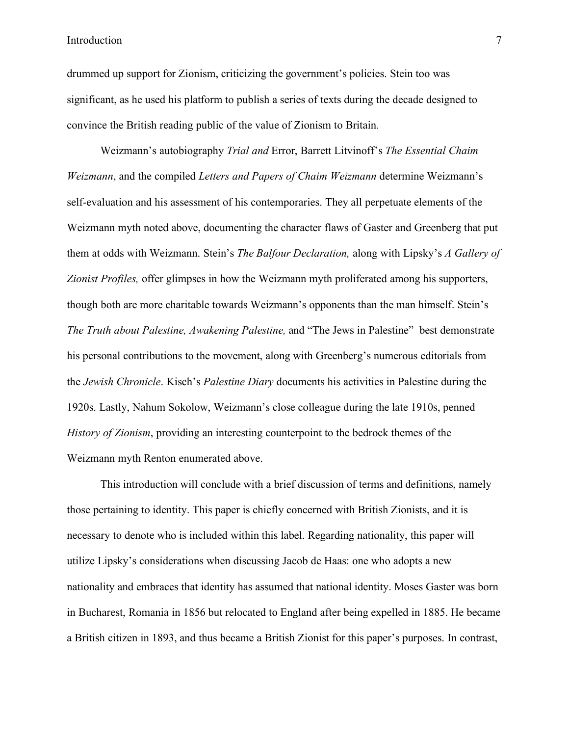drummed up support for Zionism, criticizing the government's policies. Stein too was significant, as he used his platform to publish a series of texts during the decade designed to convince the British reading public of the value of Zionism to Britain*.* 

Weizmann's autobiography *Trial and* Error, Barrett Litvinoff's *The Essential Chaim Weizmann*, and the compiled *Letters and Papers of Chaim Weizmann* determine Weizmann's self-evaluation and his assessment of his contemporaries. They all perpetuate elements of the Weizmann myth noted above, documenting the character flaws of Gaster and Greenberg that put them at odds with Weizmann. Stein's *The Balfour Declaration,* along with Lipsky's *A Gallery of Zionist Profiles,* offer glimpses in how the Weizmann myth proliferated among his supporters, though both are more charitable towards Weizmann's opponents than the man himself. Stein's *The Truth about Palestine, Awakening Palestine,* and "The Jews in Palestine" best demonstrate his personal contributions to the movement, along with Greenberg's numerous editorials from the *Jewish Chronicle*. Kisch's *Palestine Diary* documents his activities in Palestine during the 1920s. Lastly, Nahum Sokolow, Weizmann's close colleague during the late 1910s, penned *History of Zionism*, providing an interesting counterpoint to the bedrock themes of the Weizmann myth Renton enumerated above.

This introduction will conclude with a brief discussion of terms and definitions, namely those pertaining to identity. This paper is chiefly concerned with British Zionists, and it is necessary to denote who is included within this label. Regarding nationality, this paper will utilize Lipsky's considerations when discussing Jacob de Haas: one who adopts a new nationality and embraces that identity has assumed that national identity. Moses Gaster was born in Bucharest, Romania in 1856 but relocated to England after being expelled in 1885. He became a British citizen in 1893, and thus became a British Zionist for this paper's purposes. In contrast,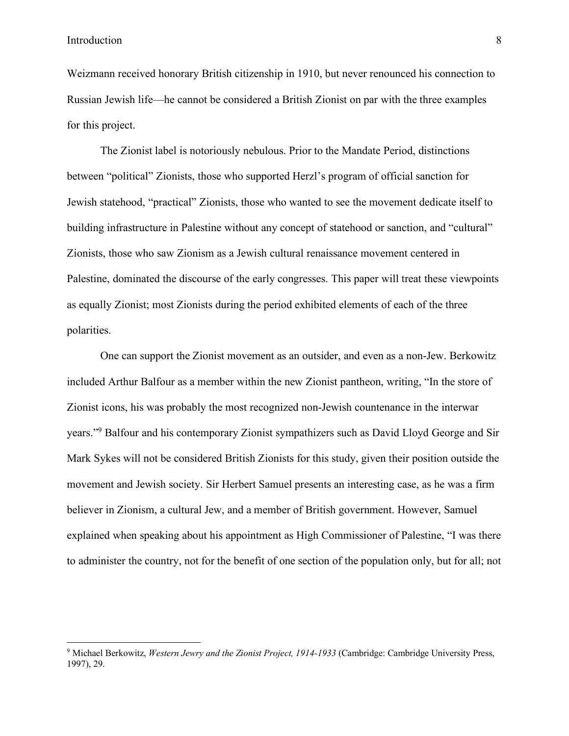Weizmann received honorary British citizenship in 1910, but never renounced his connection to Russian Jewish life—he cannot be considered a British Zionist on par with the three examples for this project.

The Zionist label is notoriously nebulous. Prior to the Mandate Period, distinctions between "political" Zionists, those who supported Herzl's program of official sanction for Jewish statehood, "practical" Zionists, those who wanted to see the movement dedicate itself to building infrastructure in Palestine without any concept of statehood or sanction, and "cultural" Zionists, those who saw Zionism as a Jewish cultural renaissance movement centered in Palestine, dominated the discourse of the early congresses. This paper will treat these viewpoints as equally Zionist; most Zionists during the period exhibited elements of each of the three polarities.

One can support the Zionist movement as an outsider, and even as a non-Jew. Berkowitz included Arthur Balfour as a member within the new Zionist pantheon, writing, "In the store of Zionist icons, his was probably the most recognized non-Jewish countenance in the interwar years."9 Balfour and his contemporary Zionist sympathizers such as David Lloyd George and Sir Mark Sykes will not be considered British Zionists for this study, given their position outside the movement and Jewish society. Sir Herbert Samuel presents an interesting case, as he was a firm believer in Zionism, a cultural Jew, and a member of British government. However, Samuel explained when speaking about his appointment as High Commissioner of Palestine, "I was there to administer the country, not for the benefit of one section of the population only, but for all; not

 <sup>9</sup> Michael Berkowitz, *Western Jewry and the Zionist Project, 1914-1933* (Cambridge: Cambridge University Press, 1997), 29.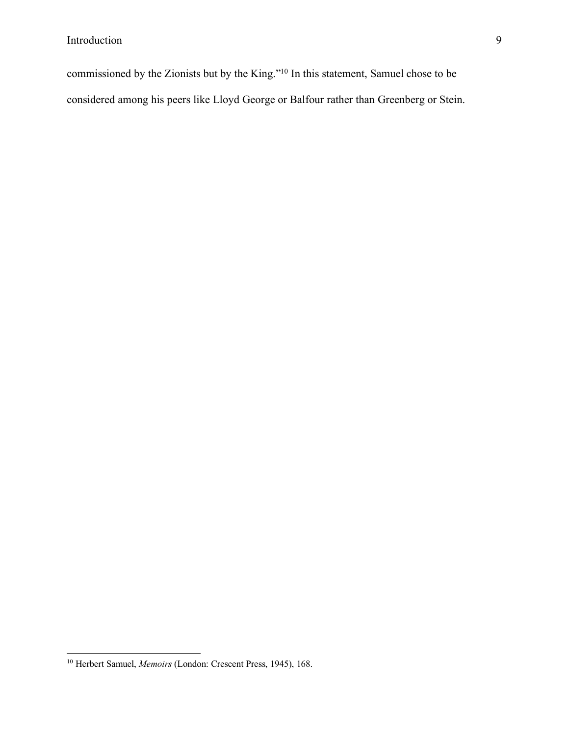commissioned by the Zionists but by the King."10 In this statement, Samuel chose to be considered among his peers like Lloyd George or Balfour rather than Greenberg or Stein.

 <sup>10</sup> Herbert Samuel, *Memoirs* (London: Crescent Press, 1945), 168.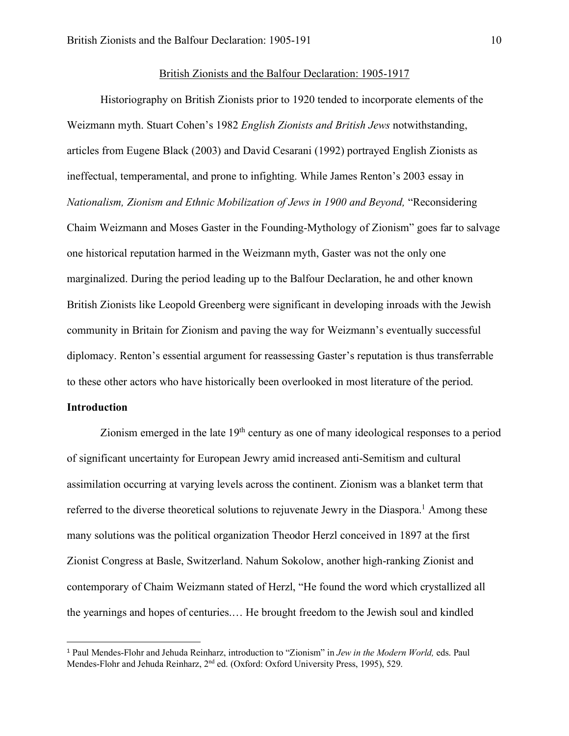#### British Zionists and the Balfour Declaration: 1905-1917

Historiography on British Zionists prior to 1920 tended to incorporate elements of the Weizmann myth. Stuart Cohen's 1982 *English Zionists and British Jews* notwithstanding, articles from Eugene Black (2003) and David Cesarani (1992) portrayed English Zionists as ineffectual, temperamental, and prone to infighting. While James Renton's 2003 essay in *Nationalism, Zionism and Ethnic Mobilization of Jews in 1900 and Beyond,* "Reconsidering Chaim Weizmann and Moses Gaster in the Founding-Mythology of Zionism" goes far to salvage one historical reputation harmed in the Weizmann myth, Gaster was not the only one marginalized. During the period leading up to the Balfour Declaration, he and other known British Zionists like Leopold Greenberg were significant in developing inroads with the Jewish community in Britain for Zionism and paving the way for Weizmann's eventually successful diplomacy. Renton's essential argument for reassessing Gaster's reputation is thus transferrable to these other actors who have historically been overlooked in most literature of the period.

#### **Introduction**

 $\overline{a}$ 

Zionism emerged in the late 19th century as one of many ideological responses to a period of significant uncertainty for European Jewry amid increased anti-Semitism and cultural assimilation occurring at varying levels across the continent. Zionism was a blanket term that referred to the diverse theoretical solutions to rejuvenate Jewry in the Diaspora.<sup>1</sup> Among these many solutions was the political organization Theodor Herzl conceived in 1897 at the first Zionist Congress at Basle, Switzerland. Nahum Sokolow, another high-ranking Zionist and contemporary of Chaim Weizmann stated of Herzl, "He found the word which crystallized all the yearnings and hopes of centuries.… He brought freedom to the Jewish soul and kindled

<sup>1</sup> Paul Mendes-Flohr and Jehuda Reinharz, introduction to "Zionism" in *Jew in the Modern World,* eds. Paul Mendes-Flohr and Jehuda Reinharz, 2<sup>nd</sup> ed. (Oxford: Oxford University Press, 1995), 529.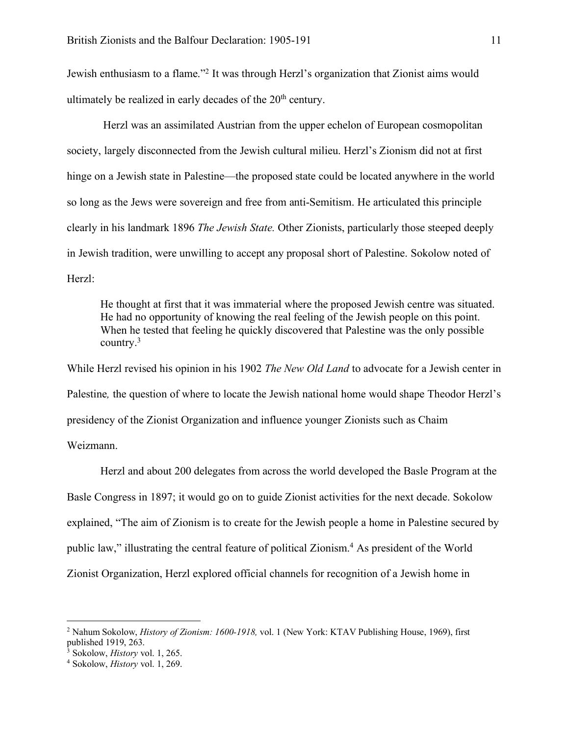Jewish enthusiasm to a flame."2 It was through Herzl's organization that Zionist aims would ultimately be realized in early decades of the  $20<sup>th</sup>$  century.

Herzl was an assimilated Austrian from the upper echelon of European cosmopolitan society, largely disconnected from the Jewish cultural milieu. Herzl's Zionism did not at first hinge on a Jewish state in Palestine—the proposed state could be located anywhere in the world so long as the Jews were sovereign and free from anti-Semitism. He articulated this principle clearly in his landmark 1896 *The Jewish State.* Other Zionists, particularly those steeped deeply in Jewish tradition, were unwilling to accept any proposal short of Palestine. Sokolow noted of Herzl:

He thought at first that it was immaterial where the proposed Jewish centre was situated. He had no opportunity of knowing the real feeling of the Jewish people on this point. When he tested that feeling he quickly discovered that Palestine was the only possible country.3

While Herzl revised his opinion in his 1902 *The New Old Land* to advocate for a Jewish center in Palestine*,* the question of where to locate the Jewish national home would shape Theodor Herzl's presidency of the Zionist Organization and influence younger Zionists such as Chaim Weizmann.

Herzl and about 200 delegates from across the world developed the Basle Program at the Basle Congress in 1897; it would go on to guide Zionist activities for the next decade. Sokolow explained, "The aim of Zionism is to create for the Jewish people a home in Palestine secured by public law," illustrating the central feature of political Zionism.4 As president of the World Zionist Organization, Herzl explored official channels for recognition of a Jewish home in

 <sup>2</sup> Nahum Sokolow, *History of Zionism: 1600-1918,* vol. 1 (New York: KTAV Publishing House, 1969), first published 1919, 263.<br> $3$  Sokolow, *History* vol. 1, 265.

<sup>3</sup> Sokolow, *History* vol. 1, 265. 4 Sokolow, *History* vol. 1, 269.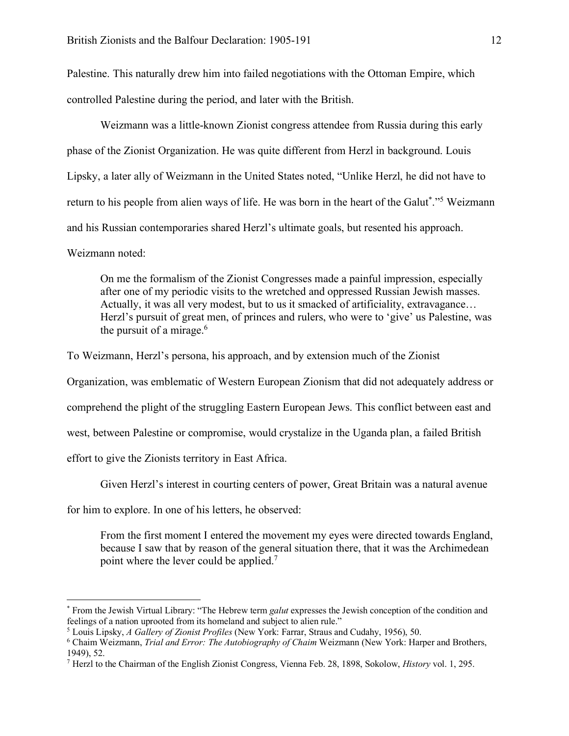Palestine. This naturally drew him into failed negotiations with the Ottoman Empire, which controlled Palestine during the period, and later with the British.

Weizmann was a little-known Zionist congress attendee from Russia during this early phase of the Zionist Organization. He was quite different from Herzl in background. Louis Lipsky, a later ally of Weizmann in the United States noted, "Unlike Herzl, he did not have to return to his people from alien ways of life. He was born in the heart of the Galut<sup>\*</sup>."<sup>5</sup> Weizmann and his Russian contemporaries shared Herzl's ultimate goals, but resented his approach.

Weizmann noted:

On me the formalism of the Zionist Congresses made a painful impression, especially after one of my periodic visits to the wretched and oppressed Russian Jewish masses. Actually, it was all very modest, but to us it smacked of artificiality, extravagance… Herzl's pursuit of great men, of princes and rulers, who were to 'give' us Palestine, was the pursuit of a mirage.<sup>6</sup>

To Weizmann, Herzl's persona, his approach, and by extension much of the Zionist

Organization, was emblematic of Western European Zionism that did not adequately address or

comprehend the plight of the struggling Eastern European Jews. This conflict between east and

west, between Palestine or compromise, would crystalize in the Uganda plan, a failed British

effort to give the Zionists territory in East Africa.

Given Herzl's interest in courting centers of power, Great Britain was a natural avenue

for him to explore. In one of his letters, he observed:

From the first moment I entered the movement my eyes were directed towards England, because I saw that by reason of the general situation there, that it was the Archimedean point where the lever could be applied.<sup>7</sup>

 <sup>\*</sup> From the Jewish Virtual Library: "The Hebrew term *galut* expresses the Jewish conception of the condition and feelings of a nation uprooted from its homeland and subject to alien rule."

<sup>5</sup> Louis Lipsky, *A Gallery of Zionist Profiles* (New York: Farrar, Straus and Cudahy, 1956), 50.

<sup>6</sup> Chaim Weizmann, *Trial and Error: The Autobiography of Chaim* Weizmann (New York: Harper and Brothers, 1949), 52.

<sup>7</sup> Herzl to the Chairman of the English Zionist Congress, Vienna Feb. 28, 1898, Sokolow, *History* vol. 1, 295.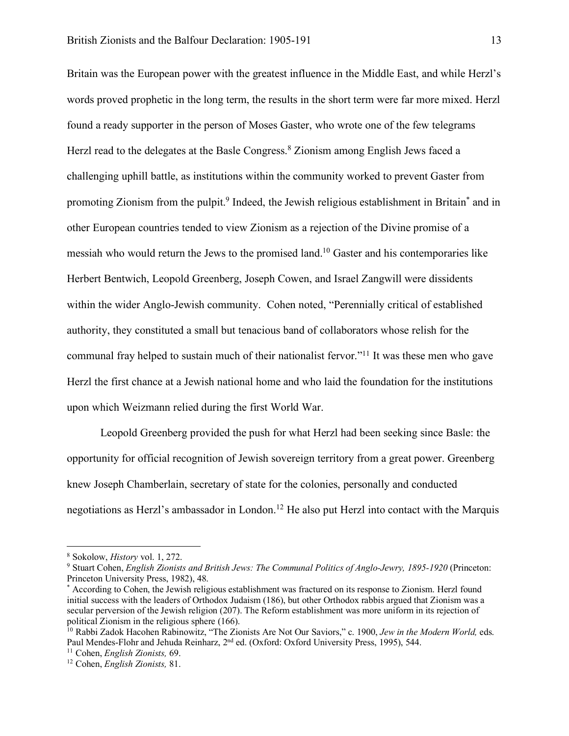Britain was the European power with the greatest influence in the Middle East, and while Herzl's words proved prophetic in the long term, the results in the short term were far more mixed. Herzl found a ready supporter in the person of Moses Gaster, who wrote one of the few telegrams Herzl read to the delegates at the Basle Congress.<sup>8</sup> Zionism among English Jews faced a challenging uphill battle, as institutions within the community worked to prevent Gaster from promoting Zionism from the pulpit.9 Indeed, the Jewish religious establishment in Britain\* and in other European countries tended to view Zionism as a rejection of the Divine promise of a messiah who would return the Jews to the promised land.10 Gaster and his contemporaries like Herbert Bentwich, Leopold Greenberg, Joseph Cowen, and Israel Zangwill were dissidents within the wider Anglo-Jewish community. Cohen noted, "Perennially critical of established authority, they constituted a small but tenacious band of collaborators whose relish for the communal fray helped to sustain much of their nationalist fervor."11 It was these men who gave Herzl the first chance at a Jewish national home and who laid the foundation for the institutions upon which Weizmann relied during the first World War.

Leopold Greenberg provided the push for what Herzl had been seeking since Basle: the opportunity for official recognition of Jewish sovereign territory from a great power. Greenberg knew Joseph Chamberlain, secretary of state for the colonies, personally and conducted negotiations as Herzl's ambassador in London.<sup>12</sup> He also put Herzl into contact with the Marquis

<sup>&</sup>lt;sup>8</sup> Sokolow, *History vol. 1, 272.*<br><sup>9</sup> Stuart Cohen, *English Zionists and British Jews: The Communal Politics of Anglo-Jewry, 1895-1920 (Princeton:* Princeton University Press, 1982), 48.

<sup>\*</sup> According to Cohen, the Jewish religious establishment was fractured on its response to Zionism. Herzl found initial success with the leaders of Orthodox Judaism (186), but other Orthodox rabbis argued that Zionism was a secular perversion of the Jewish religion (207). The Reform establishment was more uniform in its rejection of political Zionism in the religious sphere (166).

<sup>10</sup> Rabbi Zadok Hacohen Rabinowitz, "The Zionists Are Not Our Saviors," c. 1900, *Jew in the Modern World,* eds. Paul Mendes-Flohr and Jehuda Reinharz, 2<sup>nd</sup> ed. (Oxford: Oxford University Press, 1995), 544.

<sup>11</sup> Cohen, *English Zionists,* 69.

<sup>12</sup> Cohen, *English Zionists,* 81.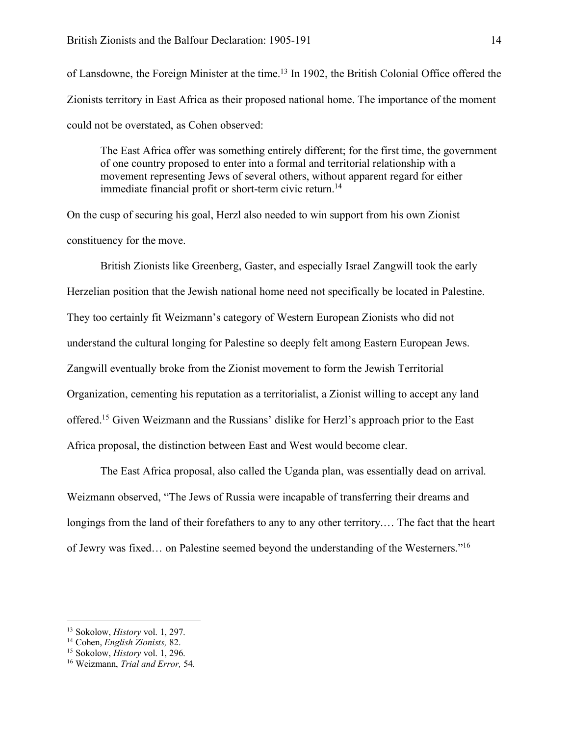of Lansdowne, the Foreign Minister at the time.<sup>13</sup> In 1902, the British Colonial Office offered the Zionists territory in East Africa as their proposed national home. The importance of the moment could not be overstated, as Cohen observed:

The East Africa offer was something entirely different; for the first time, the government of one country proposed to enter into a formal and territorial relationship with a movement representing Jews of several others, without apparent regard for either immediate financial profit or short-term civic return.<sup>14</sup>

On the cusp of securing his goal, Herzl also needed to win support from his own Zionist constituency for the move.

British Zionists like Greenberg, Gaster, and especially Israel Zangwill took the early Herzelian position that the Jewish national home need not specifically be located in Palestine. They too certainly fit Weizmann's category of Western European Zionists who did not understand the cultural longing for Palestine so deeply felt among Eastern European Jews. Zangwill eventually broke from the Zionist movement to form the Jewish Territorial Organization, cementing his reputation as a territorialist, a Zionist willing to accept any land offered.15 Given Weizmann and the Russians' dislike for Herzl's approach prior to the East Africa proposal, the distinction between East and West would become clear.

The East Africa proposal, also called the Uganda plan, was essentially dead on arrival. Weizmann observed, "The Jews of Russia were incapable of transferring their dreams and longings from the land of their forefathers to any to any other territory.… The fact that the heart of Jewry was fixed… on Palestine seemed beyond the understanding of the Westerners."16

<sup>13</sup> Sokolow, *History* vol. 1, 297. 14 Cohen, *English Zionists,* 82.

<sup>&</sup>lt;sup>16</sup> Weizmann, *Trial and Error*, 54.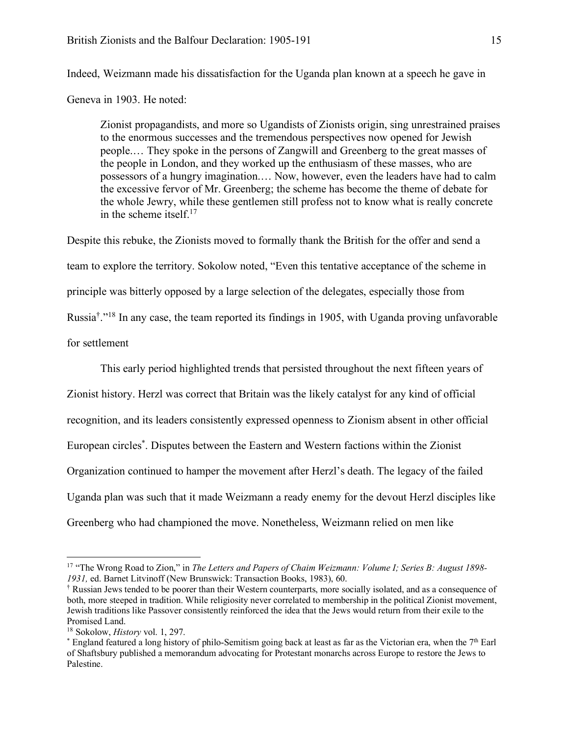Indeed, Weizmann made his dissatisfaction for the Uganda plan known at a speech he gave in Geneva in 1903. He noted:

Zionist propagandists, and more so Ugandists of Zionists origin, sing unrestrained praises to the enormous successes and the tremendous perspectives now opened for Jewish people.… They spoke in the persons of Zangwill and Greenberg to the great masses of the people in London, and they worked up the enthusiasm of these masses, who are possessors of a hungry imagination.… Now, however, even the leaders have had to calm the excessive fervor of Mr. Greenberg; the scheme has become the theme of debate for the whole Jewry, while these gentlemen still profess not to know what is really concrete in the scheme itself. $17$ 

Despite this rebuke, the Zionists moved to formally thank the British for the offer and send a team to explore the territory. Sokolow noted, "Even this tentative acceptance of the scheme in principle was bitterly opposed by a large selection of the delegates, especially those from Russia†."18 In any case, the team reported its findings in 1905, with Uganda proving unfavorable for settlement

This early period highlighted trends that persisted throughout the next fifteen years of

Zionist history. Herzl was correct that Britain was the likely catalyst for any kind of official recognition, and its leaders consistently expressed openness to Zionism absent in other official European circles\* . Disputes between the Eastern and Western factions within the Zionist Organization continued to hamper the movement after Herzl's death. The legacy of the failed Uganda plan was such that it made Weizmann a ready enemy for the devout Herzl disciples like Greenberg who had championed the move. Nonetheless, Weizmann relied on men like

 <sup>17</sup> "The Wrong Road to Zion," in *The Letters and Papers of Chaim Weizmann: Volume I; Series B: August 1898- 1931,* ed. Barnet Litvinoff (New Brunswick: Transaction Books, 1983), 60.

<sup>†</sup> Russian Jews tended to be poorer than their Western counterparts, more socially isolated, and as a consequence of both, more steeped in tradition. While religiosity never correlated to membership in the political Zionist movement, Jewish traditions like Passover consistently reinforced the idea that the Jews would return from their exile to the Promised Land.

<sup>&</sup>lt;sup>18</sup> Sokolow, *History* vol. 1, 297.<br><sup>\*</sup> England featured a long history of philo-Semitism going back at least as far as the Victorian era, when the 7<sup>th</sup> Earl of Shaftsbury published a memorandum advocating for Protestant monarchs across Europe to restore the Jews to Palestine.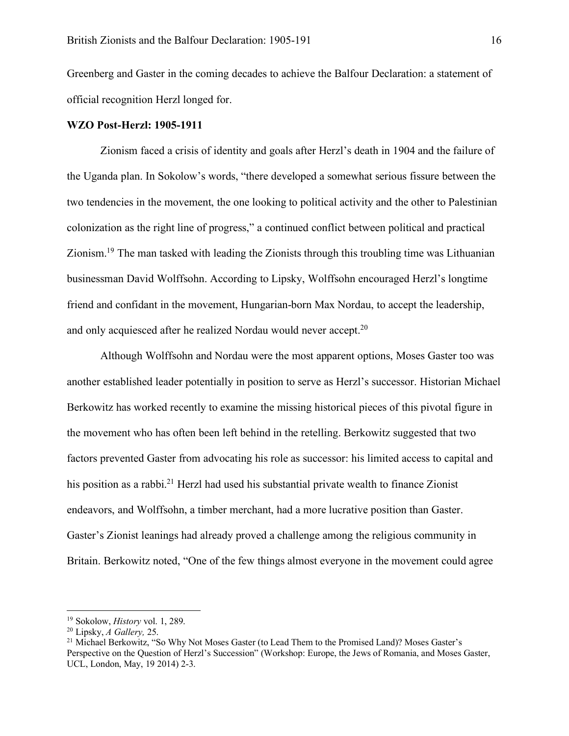Greenberg and Gaster in the coming decades to achieve the Balfour Declaration: a statement of official recognition Herzl longed for.

#### **WZO Post-Herzl: 1905-1911**

Zionism faced a crisis of identity and goals after Herzl's death in 1904 and the failure of the Uganda plan. In Sokolow's words, "there developed a somewhat serious fissure between the two tendencies in the movement, the one looking to political activity and the other to Palestinian colonization as the right line of progress," a continued conflict between political and practical Zionism.19 The man tasked with leading the Zionists through this troubling time was Lithuanian businessman David Wolffsohn. According to Lipsky, Wolffsohn encouraged Herzl's longtime friend and confidant in the movement, Hungarian-born Max Nordau, to accept the leadership, and only acquiesced after he realized Nordau would never accept.<sup>20</sup>

Although Wolffsohn and Nordau were the most apparent options, Moses Gaster too was another established leader potentially in position to serve as Herzl's successor. Historian Michael Berkowitz has worked recently to examine the missing historical pieces of this pivotal figure in the movement who has often been left behind in the retelling. Berkowitz suggested that two factors prevented Gaster from advocating his role as successor: his limited access to capital and his position as a rabbi.<sup>21</sup> Herzl had used his substantial private wealth to finance Zionist endeavors, and Wolffsohn, a timber merchant, had a more lucrative position than Gaster. Gaster's Zionist leanings had already proved a challenge among the religious community in Britain. Berkowitz noted, "One of the few things almost everyone in the movement could agree

<sup>&</sup>lt;sup>19</sup> Sokolow, *History* vol. 1, 289.<br><sup>20</sup> Lipsky, *A Gallery*, 25.

<sup>&</sup>lt;sup>21</sup> Michael Berkowitz, "So Why Not Moses Gaster (to Lead Them to the Promised Land)? Moses Gaster's Perspective on the Question of Herzl's Succession" (Workshop: Europe, the Jews of Romania, and Moses Gaster, UCL, London, May, 19 2014) 2-3.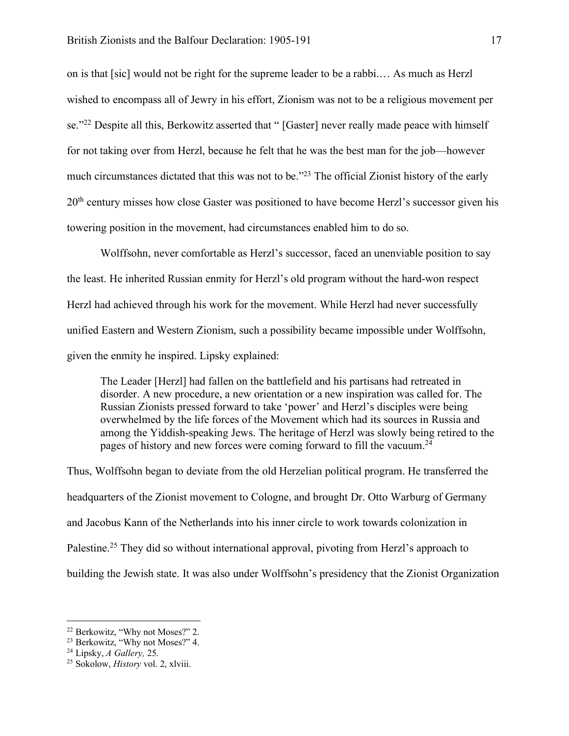on is that [sic] would not be right for the supreme leader to be a rabbi.… As much as Herzl wished to encompass all of Jewry in his effort, Zionism was not to be a religious movement per se."<sup>22</sup> Despite all this, Berkowitz asserted that " [Gaster] never really made peace with himself for not taking over from Herzl, because he felt that he was the best man for the job—however much circumstances dictated that this was not to be."23 The official Zionist history of the early 20<sup>th</sup> century misses how close Gaster was positioned to have become Herzl's successor given his towering position in the movement, had circumstances enabled him to do so.

Wolffsohn, never comfortable as Herzl's successor, faced an unenviable position to say the least. He inherited Russian enmity for Herzl's old program without the hard-won respect Herzl had achieved through his work for the movement. While Herzl had never successfully unified Eastern and Western Zionism, such a possibility became impossible under Wolffsohn, given the enmity he inspired. Lipsky explained:

The Leader [Herzl] had fallen on the battlefield and his partisans had retreated in disorder. A new procedure, a new orientation or a new inspiration was called for. The Russian Zionists pressed forward to take 'power' and Herzl's disciples were being overwhelmed by the life forces of the Movement which had its sources in Russia and among the Yiddish-speaking Jews. The heritage of Herzl was slowly being retired to the pages of history and new forces were coming forward to fill the vacuum.<sup>24</sup>

Thus, Wolffsohn began to deviate from the old Herzelian political program. He transferred the headquarters of the Zionist movement to Cologne, and brought Dr. Otto Warburg of Germany and Jacobus Kann of the Netherlands into his inner circle to work towards colonization in Palestine.<sup>25</sup> They did so without international approval, pivoting from Herzl's approach to building the Jewish state. It was also under Wolffsohn's presidency that the Zionist Organization

 <sup>22</sup> Berkowitz, "Why not Moses?" 2.

<sup>&</sup>lt;sup>23</sup> Berkowitz, "Why not Moses?" 4.

<sup>24</sup> Lipsky, *A Gallery,* 25.

<sup>25</sup> Sokolow, *History* vol. 2, xlviii.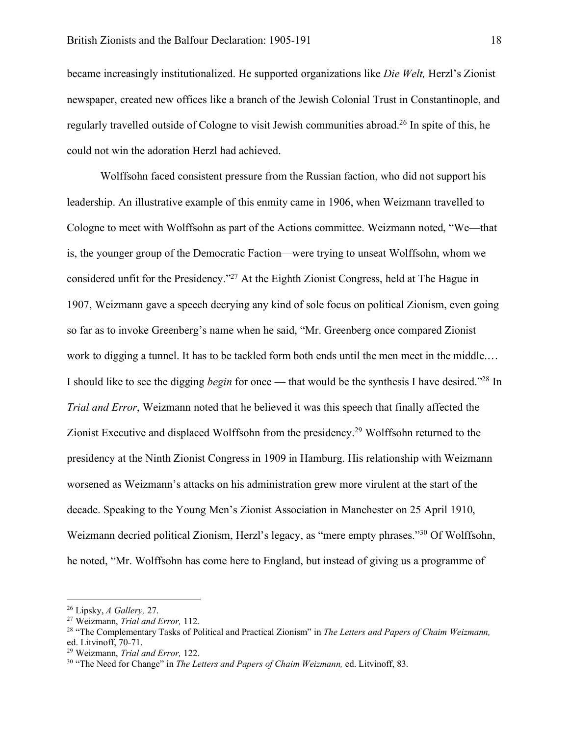became increasingly institutionalized. He supported organizations like *Die Welt,* Herzl's Zionist newspaper, created new offices like a branch of the Jewish Colonial Trust in Constantinople, and regularly travelled outside of Cologne to visit Jewish communities abroad.26 In spite of this, he could not win the adoration Herzl had achieved.

Wolffsohn faced consistent pressure from the Russian faction, who did not support his leadership. An illustrative example of this enmity came in 1906, when Weizmann travelled to Cologne to meet with Wolffsohn as part of the Actions committee. Weizmann noted, "We—that is, the younger group of the Democratic Faction—were trying to unseat Wolffsohn, whom we considered unfit for the Presidency."27 At the Eighth Zionist Congress, held at The Hague in 1907, Weizmann gave a speech decrying any kind of sole focus on political Zionism, even going so far as to invoke Greenberg's name when he said, "Mr. Greenberg once compared Zionist work to digging a tunnel. It has to be tackled form both ends until the men meet in the middle.… I should like to see the digging *begin* for once — that would be the synthesis I have desired."28 In *Trial and Error*, Weizmann noted that he believed it was this speech that finally affected the Zionist Executive and displaced Wolffsohn from the presidency.29 Wolffsohn returned to the presidency at the Ninth Zionist Congress in 1909 in Hamburg. His relationship with Weizmann worsened as Weizmann's attacks on his administration grew more virulent at the start of the decade. Speaking to the Young Men's Zionist Association in Manchester on 25 April 1910, Weizmann decried political Zionism, Herzl's legacy, as "mere empty phrases."<sup>30</sup> Of Wolffsohn, he noted, "Mr. Wolffsohn has come here to England, but instead of giving us a programme of

<sup>26</sup> Lipsky, *A Gallery,* 27. 27 Weizmann, *Trial and Error,* 112.

<sup>28</sup> "The Complementary Tasks of Political and Practical Zionism" in *The Letters and Papers of Chaim Weizmann,*  ed. Litvinoff, 70-71.

<sup>&</sup>lt;sup>29</sup> Weizmann, *Trial and Error*, 122.<br><sup>30</sup> "The Need for Change" in *The Letters and Papers of Chaim Weizmann*, ed. Litvinoff, 83.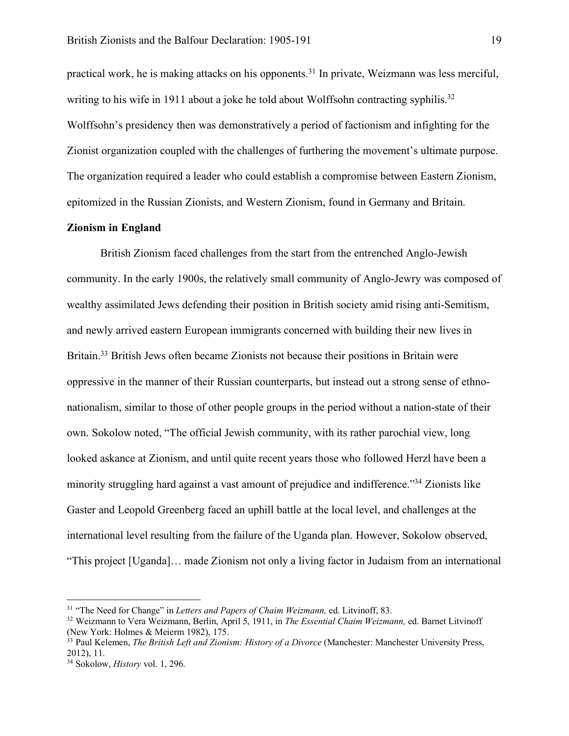practical work, he is making attacks on his opponents.<sup>31</sup> In private, Weizmann was less merciful, writing to his wife in 1911 about a joke he told about Wolffsohn contracting syphilis.<sup>32</sup> Wolffsohn's presidency then was demonstratively a period of factionism and infighting for the Zionist organization coupled with the challenges of furthering the movement's ultimate purpose. The organization required a leader who could establish a compromise between Eastern Zionism, epitomized in the Russian Zionists, and Western Zionism, found in Germany and Britain.

### **Zionism in England**

British Zionism faced challenges from the start from the entrenched Anglo-Jewish community. In the early 1900s, the relatively small community of Anglo-Jewry was composed of wealthy assimilated Jews defending their position in British society amid rising anti-Semitism, and newly arrived eastern European immigrants concerned with building their new lives in Britain.<sup>33</sup> British Jews often became Zionists not because their positions in Britain were oppressive in the manner of their Russian counterparts, but instead out a strong sense of ethnonationalism, similar to those of other people groups in the period without a nation-state of their own. Sokolow noted, "The official Jewish community, with its rather parochial view, long looked askance at Zionism, and until quite recent years those who followed Herzl have been a minority struggling hard against a vast amount of prejudice and indifference."34 Zionists like Gaster and Leopold Greenberg faced an uphill battle at the local level, and challenges at the international level resulting from the failure of the Uganda plan. However, Sokolow observed, "This project [Uganda]… made Zionism not only a living factor in Judaism from an international

 <sup>31</sup> "The Need for Change" in *Letters and Papers of Chaim Weizmann,* ed. Litvinoff, 83.

<sup>32</sup> Weizmann to Vera Weizmann, Berlin, April 5, 1911, in *The Essential Chaim Weizmann,* ed. Barnet Litvinoff (New York: Holmes & Meierm 1982), 175.

<sup>&</sup>lt;sup>33</sup> Paul Kelemen, *The British Left and Zionism: History of a Divorce* (Manchester: Manchester University Press, 2012), 11.

<sup>34</sup> Sokolow, *History* vol. 1, 296.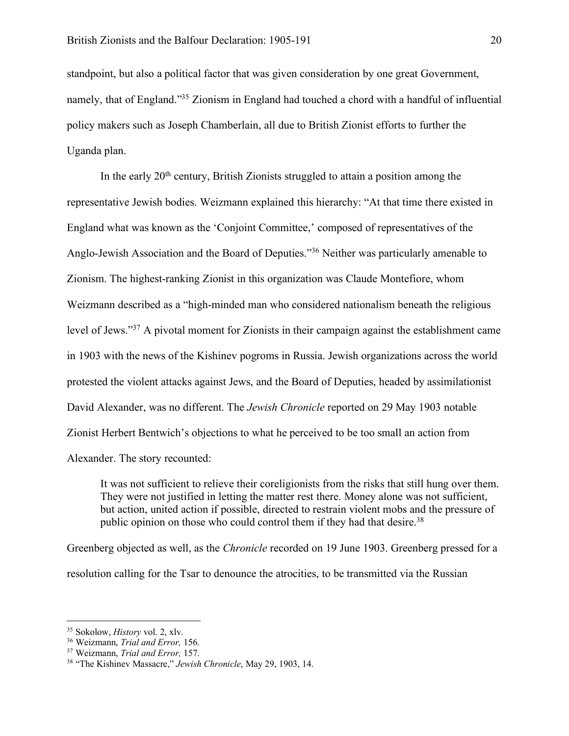standpoint, but also a political factor that was given consideration by one great Government, namely, that of England."35 Zionism in England had touched a chord with a handful of influential policy makers such as Joseph Chamberlain, all due to British Zionist efforts to further the Uganda plan.

In the early  $20<sup>th</sup>$  century, British Zionists struggled to attain a position among the representative Jewish bodies. Weizmann explained this hierarchy: "At that time there existed in England what was known as the 'Conjoint Committee,' composed of representatives of the Anglo-Jewish Association and the Board of Deputies."36 Neither was particularly amenable to Zionism. The highest-ranking Zionist in this organization was Claude Montefiore, whom Weizmann described as a "high-minded man who considered nationalism beneath the religious level of Jews."37 A pivotal moment for Zionists in their campaign against the establishment came in 1903 with the news of the Kishinev pogroms in Russia. Jewish organizations across the world protested the violent attacks against Jews, and the Board of Deputies, headed by assimilationist David Alexander, was no different. The *Jewish Chronicle* reported on 29 May 1903 notable Zionist Herbert Bentwich's objections to what he perceived to be too small an action from Alexander. The story recounted:

It was not sufficient to relieve their coreligionists from the risks that still hung over them. They were not justified in letting the matter rest there. Money alone was not sufficient, but action, united action if possible, directed to restrain violent mobs and the pressure of public opinion on those who could control them if they had that desire.<sup>38</sup>

Greenberg objected as well, as the *Chronicle* recorded on 19 June 1903. Greenberg pressed for a resolution calling for the Tsar to denounce the atrocities, to be transmitted via the Russian

<sup>35</sup> Sokolow, *History* vol. 2, xlv. 36 Weizmann, *Trial and Error,* 156.

<sup>37</sup> Weizmann, *Trial and Error,* 157. 38 "The Kishinev Massacre," *Jewish Chronicle*, May 29, 1903, 14.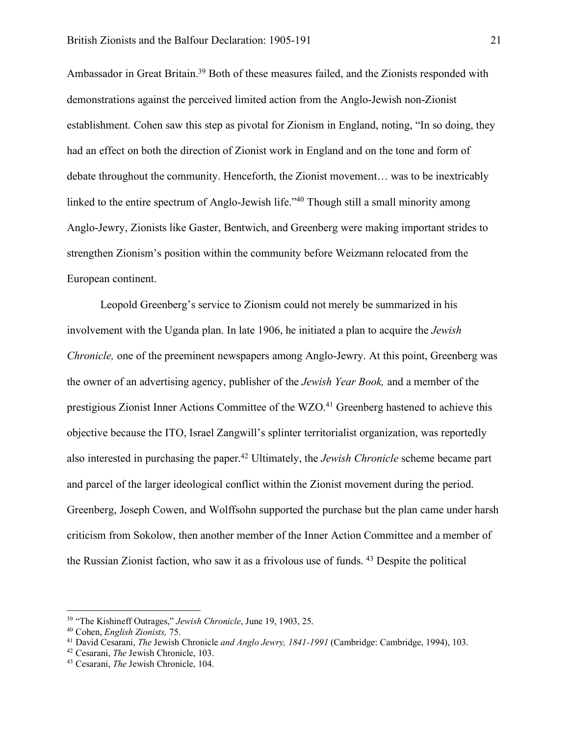Ambassador in Great Britain.39 Both of these measures failed, and the Zionists responded with demonstrations against the perceived limited action from the Anglo-Jewish non-Zionist establishment. Cohen saw this step as pivotal for Zionism in England, noting, "In so doing, they had an effect on both the direction of Zionist work in England and on the tone and form of debate throughout the community. Henceforth, the Zionist movement… was to be inextricably linked to the entire spectrum of Anglo-Jewish life."40 Though still a small minority among Anglo-Jewry, Zionists like Gaster, Bentwich, and Greenberg were making important strides to strengthen Zionism's position within the community before Weizmann relocated from the European continent.

Leopold Greenberg's service to Zionism could not merely be summarized in his involvement with the Uganda plan. In late 1906, he initiated a plan to acquire the *Jewish Chronicle,* one of the preeminent newspapers among Anglo-Jewry. At this point, Greenberg was the owner of an advertising agency, publisher of the *Jewish Year Book,* and a member of the prestigious Zionist Inner Actions Committee of the WZO.<sup>41</sup> Greenberg hastened to achieve this objective because the ITO, Israel Zangwill's splinter territorialist organization, was reportedly also interested in purchasing the paper.42 Ultimately, the *Jewish Chronicle* scheme became part and parcel of the larger ideological conflict within the Zionist movement during the period. Greenberg, Joseph Cowen, and Wolffsohn supported the purchase but the plan came under harsh criticism from Sokolow, then another member of the Inner Action Committee and a member of the Russian Zionist faction, who saw it as a frivolous use of funds. 43 Despite the political

 <sup>39</sup> "The Kishineff Outrages," *Jewish Chronicle*, June 19, 1903, 25.

<sup>&</sup>lt;sup>40</sup> Cohen, *English Zionists, 75*.<br><sup>41</sup> David Cesarani, *The Jewish Chronicle and Anglo Jewry, 1841-1991* (Cambridge: Cambridge, 1994), 103.<br><sup>42</sup> Cesarani, *The Jewish Chronicle*, 103.

<sup>42</sup> Cesarani, *The* Jewish Chronicle, 103. 43 Cesarani, *The* Jewish Chronicle, 104.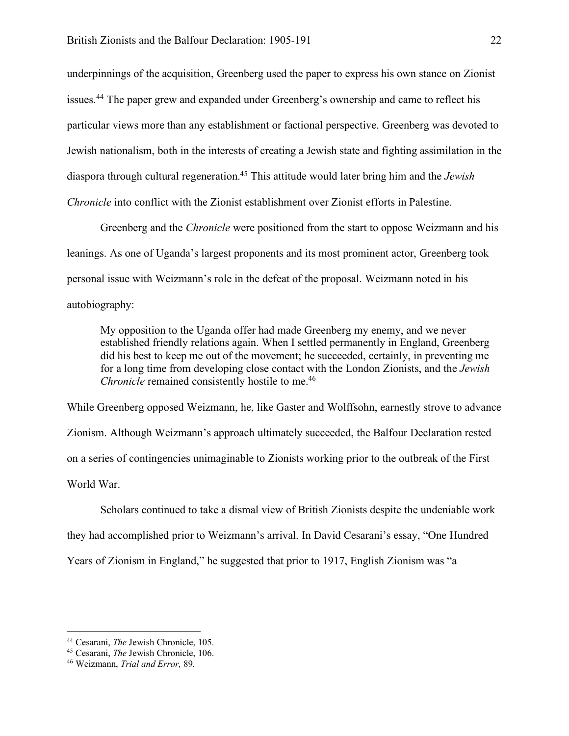underpinnings of the acquisition, Greenberg used the paper to express his own stance on Zionist issues.44 The paper grew and expanded under Greenberg's ownership and came to reflect his particular views more than any establishment or factional perspective. Greenberg was devoted to Jewish nationalism, both in the interests of creating a Jewish state and fighting assimilation in the diaspora through cultural regeneration.45 This attitude would later bring him and the *Jewish Chronicle* into conflict with the Zionist establishment over Zionist efforts in Palestine.

Greenberg and the *Chronicle* were positioned from the start to oppose Weizmann and his leanings. As one of Uganda's largest proponents and its most prominent actor, Greenberg took personal issue with Weizmann's role in the defeat of the proposal. Weizmann noted in his autobiography:

My opposition to the Uganda offer had made Greenberg my enemy, and we never established friendly relations again. When I settled permanently in England, Greenberg did his best to keep me out of the movement; he succeeded, certainly, in preventing me for a long time from developing close contact with the London Zionists, and the *Jewish Chronicle* remained consistently hostile to me.<sup>46</sup>

While Greenberg opposed Weizmann, he, like Gaster and Wolffsohn, earnestly strove to advance Zionism. Although Weizmann's approach ultimately succeeded, the Balfour Declaration rested on a series of contingencies unimaginable to Zionists working prior to the outbreak of the First World War.

Scholars continued to take a dismal view of British Zionists despite the undeniable work they had accomplished prior to Weizmann's arrival. In David Cesarani's essay, "One Hundred Years of Zionism in England," he suggested that prior to 1917, English Zionism was "a

<sup>44</sup> Cesarani, *The* Jewish Chronicle, 105. 45 Cesarani, *The* Jewish Chronicle, 106.

<sup>46</sup> Weizmann, *Trial and Error,* 89.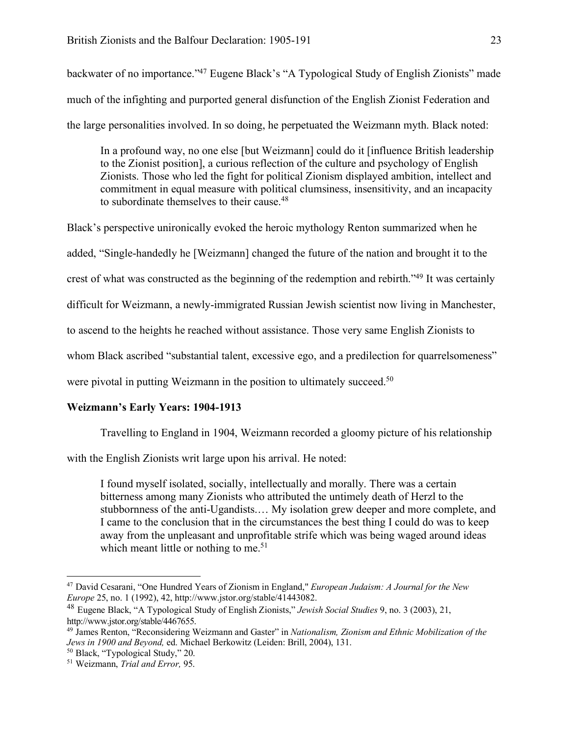backwater of no importance."47 Eugene Black's "A Typological Study of English Zionists" made much of the infighting and purported general disfunction of the English Zionist Federation and the large personalities involved. In so doing, he perpetuated the Weizmann myth. Black noted:

In a profound way, no one else [but Weizmann] could do it [influence British leadership to the Zionist position], a curious reflection of the culture and psychology of English Zionists. Those who led the fight for political Zionism displayed ambition, intellect and commitment in equal measure with political clumsiness, insensitivity, and an incapacity to subordinate themselves to their cause.<sup>48</sup>

Black's perspective unironically evoked the heroic mythology Renton summarized when he

added, "Single-handedly he [Weizmann] changed the future of the nation and brought it to the

crest of what was constructed as the beginning of the redemption and rebirth."49 It was certainly

difficult for Weizmann, a newly-immigrated Russian Jewish scientist now living in Manchester,

to ascend to the heights he reached without assistance. Those very same English Zionists to

whom Black ascribed "substantial talent, excessive ego, and a predilection for quarrelsomeness"

were pivotal in putting Weizmann in the position to ultimately succeed.<sup>50</sup>

#### **Weizmann's Early Years: 1904-1913**

Travelling to England in 1904, Weizmann recorded a gloomy picture of his relationship

with the English Zionists writ large upon his arrival. He noted:

I found myself isolated, socially, intellectually and morally. There was a certain bitterness among many Zionists who attributed the untimely death of Herzl to the stubbornness of the anti-Ugandists.… My isolation grew deeper and more complete, and I came to the conclusion that in the circumstances the best thing I could do was to keep away from the unpleasant and unprofitable strife which was being waged around ideas which meant little or nothing to me.<sup>51</sup>

 <sup>47</sup> David Cesarani, "One Hundred Years of Zionism in England," *European Judaism: A Journal for the New Europe* 25, no. 1 (1992), 42, http://www.jstor.org/stable/41443082.

<sup>48</sup> Eugene Black, "A Typological Study of English Zionists," *Jewish Social Studies* 9, no. 3 (2003), 21, http://www.jstor.org/stable/4467655.

<sup>49</sup> James Renton, "Reconsidering Weizmann and Gaster" in *Nationalism, Zionism and Ethnic Mobilization of the Jews in 1900 and Beyond,* ed. Michael Berkowitz (Leiden: Brill, 2004), 131.

<sup>50</sup> Black, "Typological Study," 20. 51 Weizmann, *Trial and Error,* 95.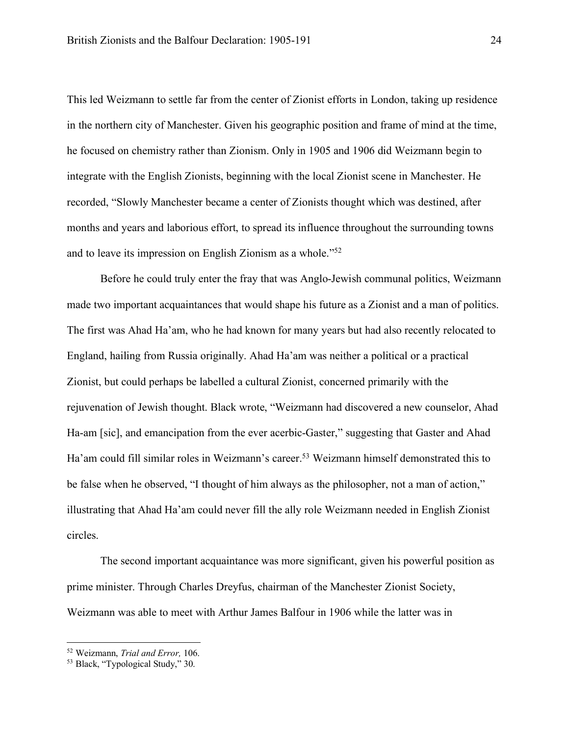This led Weizmann to settle far from the center of Zionist efforts in London, taking up residence in the northern city of Manchester. Given his geographic position and frame of mind at the time, he focused on chemistry rather than Zionism. Only in 1905 and 1906 did Weizmann begin to integrate with the English Zionists, beginning with the local Zionist scene in Manchester. He recorded, "Slowly Manchester became a center of Zionists thought which was destined, after months and years and laborious effort, to spread its influence throughout the surrounding towns and to leave its impression on English Zionism as a whole."52

Before he could truly enter the fray that was Anglo-Jewish communal politics, Weizmann made two important acquaintances that would shape his future as a Zionist and a man of politics. The first was Ahad Ha'am, who he had known for many years but had also recently relocated to England, hailing from Russia originally. Ahad Ha'am was neither a political or a practical Zionist, but could perhaps be labelled a cultural Zionist, concerned primarily with the rejuvenation of Jewish thought. Black wrote, "Weizmann had discovered a new counselor, Ahad Ha-am [sic], and emancipation from the ever acerbic-Gaster," suggesting that Gaster and Ahad Ha'am could fill similar roles in Weizmann's career.53 Weizmann himself demonstrated this to be false when he observed, "I thought of him always as the philosopher, not a man of action," illustrating that Ahad Ha'am could never fill the ally role Weizmann needed in English Zionist circles.

The second important acquaintance was more significant, given his powerful position as prime minister. Through Charles Dreyfus, chairman of the Manchester Zionist Society, Weizmann was able to meet with Arthur James Balfour in 1906 while the latter was in

<sup>52</sup> Weizmann, *Trial and Error,* 106. 53 Black, "Typological Study," 30.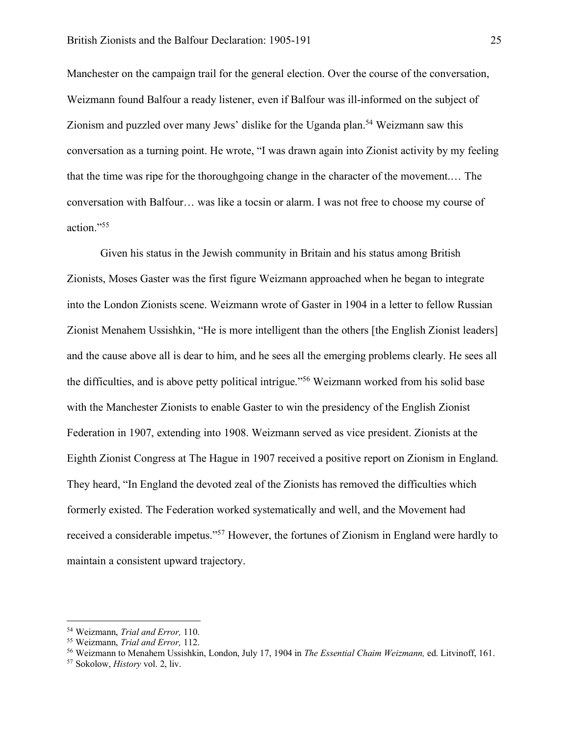Manchester on the campaign trail for the general election. Over the course of the conversation, Weizmann found Balfour a ready listener, even if Balfour was ill-informed on the subject of Zionism and puzzled over many Jews' dislike for the Uganda plan.54 Weizmann saw this conversation as a turning point. He wrote, "I was drawn again into Zionist activity by my feeling that the time was ripe for the thoroughgoing change in the character of the movement.… The conversation with Balfour… was like a tocsin or alarm. I was not free to choose my course of action."55

Given his status in the Jewish community in Britain and his status among British Zionists, Moses Gaster was the first figure Weizmann approached when he began to integrate into the London Zionists scene. Weizmann wrote of Gaster in 1904 in a letter to fellow Russian Zionist Menahem Ussishkin, "He is more intelligent than the others [the English Zionist leaders] and the cause above all is dear to him, and he sees all the emerging problems clearly. He sees all the difficulties, and is above petty political intrigue."56 Weizmann worked from his solid base with the Manchester Zionists to enable Gaster to win the presidency of the English Zionist Federation in 1907, extending into 1908. Weizmann served as vice president. Zionists at the Eighth Zionist Congress at The Hague in 1907 received a positive report on Zionism in England. They heard, "In England the devoted zeal of the Zionists has removed the difficulties which formerly existed. The Federation worked systematically and well, and the Movement had received a considerable impetus."57 However, the fortunes of Zionism in England were hardly to maintain a consistent upward trajectory.

<sup>54</sup> Weizmann, *Trial and Error,* 110. 55 Weizmann, *Trial and Error,* 112. 56 Weizmann to Menahem Ussishkin, London, July 17, 1904 in *The Essential Chaim Weizmann,* ed. Litvinoff, 161.

<sup>57</sup> Sokolow, *History* vol. 2, liv.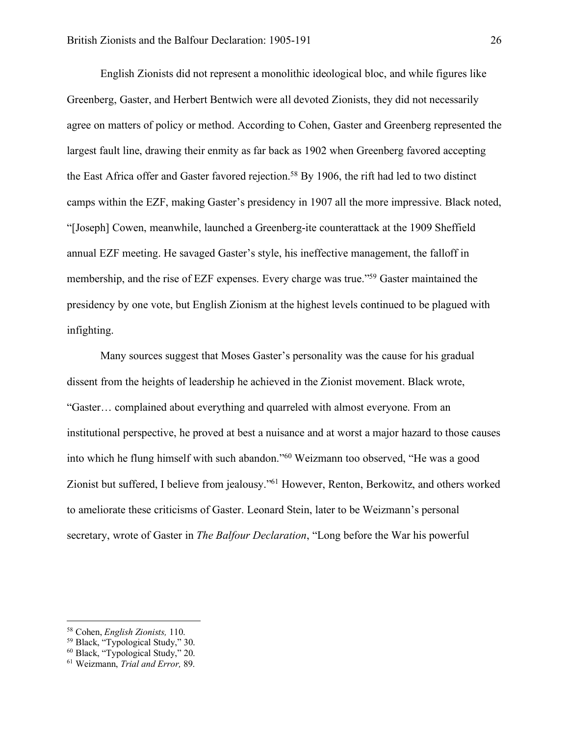English Zionists did not represent a monolithic ideological bloc, and while figures like Greenberg, Gaster, and Herbert Bentwich were all devoted Zionists, they did not necessarily agree on matters of policy or method. According to Cohen, Gaster and Greenberg represented the largest fault line, drawing their enmity as far back as 1902 when Greenberg favored accepting the East Africa offer and Gaster favored rejection.<sup>58</sup> By 1906, the rift had led to two distinct camps within the EZF, making Gaster's presidency in 1907 all the more impressive. Black noted, "[Joseph] Cowen, meanwhile, launched a Greenberg-ite counterattack at the 1909 Sheffield annual EZF meeting. He savaged Gaster's style, his ineffective management, the falloff in membership, and the rise of EZF expenses. Every charge was true."59 Gaster maintained the presidency by one vote, but English Zionism at the highest levels continued to be plagued with infighting.

Many sources suggest that Moses Gaster's personality was the cause for his gradual dissent from the heights of leadership he achieved in the Zionist movement. Black wrote, "Gaster… complained about everything and quarreled with almost everyone. From an institutional perspective, he proved at best a nuisance and at worst a major hazard to those causes into which he flung himself with such abandon."60 Weizmann too observed, "He was a good Zionist but suffered, I believe from jealousy."61 However, Renton, Berkowitz, and others worked to ameliorate these criticisms of Gaster. Leonard Stein, later to be Weizmann's personal secretary, wrote of Gaster in *The Balfour Declaration*, "Long before the War his powerful

<sup>58</sup> Cohen, *English Zionists,* 110. 59 Black, "Typological Study," 30. 60 Black, "Typological Study," 20. 61 Weizmann, *Trial and Error,* 89.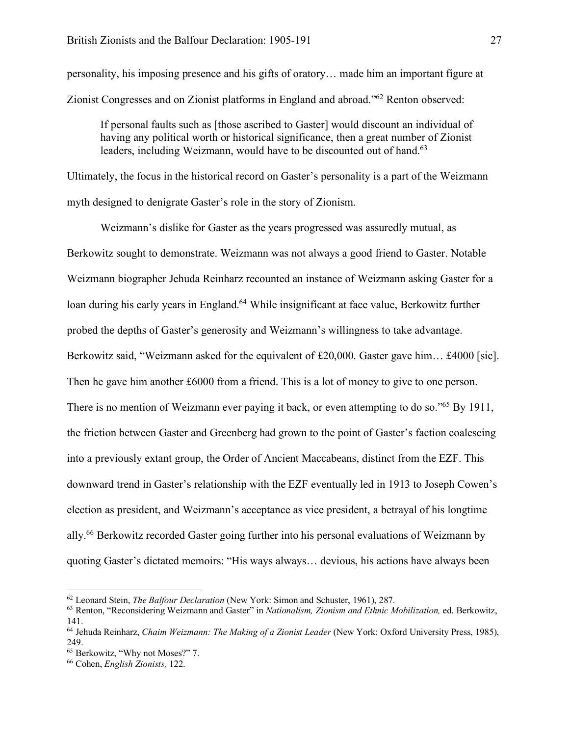personality, his imposing presence and his gifts of oratory… made him an important figure at Zionist Congresses and on Zionist platforms in England and abroad."62 Renton observed:

If personal faults such as [those ascribed to Gaster] would discount an individual of having any political worth or historical significance, then a great number of Zionist leaders, including Weizmann, would have to be discounted out of hand.<sup>63</sup>

Ultimately, the focus in the historical record on Gaster's personality is a part of the Weizmann myth designed to denigrate Gaster's role in the story of Zionism.

Weizmann's dislike for Gaster as the years progressed was assuredly mutual, as Berkowitz sought to demonstrate. Weizmann was not always a good friend to Gaster. Notable Weizmann biographer Jehuda Reinharz recounted an instance of Weizmann asking Gaster for a loan during his early years in England.<sup>64</sup> While insignificant at face value, Berkowitz further probed the depths of Gaster's generosity and Weizmann's willingness to take advantage. Berkowitz said, "Weizmann asked for the equivalent of £20,000. Gaster gave him... £4000 [sic]. Then he gave him another £6000 from a friend. This is a lot of money to give to one person. There is no mention of Weizmann ever paying it back, or even attempting to do so."<sup>65</sup> By 1911, the friction between Gaster and Greenberg had grown to the point of Gaster's faction coalescing into a previously extant group, the Order of Ancient Maccabeans, distinct from the EZF. This downward trend in Gaster's relationship with the EZF eventually led in 1913 to Joseph Cowen's election as president, and Weizmann's acceptance as vice president, a betrayal of his longtime ally.66 Berkowitz recorded Gaster going further into his personal evaluations of Weizmann by quoting Gaster's dictated memoirs: "His ways always… devious, his actions have always been

<sup>&</sup>lt;sup>62</sup> Leonard Stein, *The Balfour Declaration* (New York: Simon and Schuster, 1961), 287.<br><sup>63</sup> Renton, "Reconsidering Weizmann and Gaster" in *Nationalism, Zionism and Ethnic Mobilization*, ed. Berkowitz, 141.

<sup>64</sup> Jehuda Reinharz, *Chaim Weizmann: The Making of a Zionist Leader* (New York: Oxford University Press, 1985), 249.

<sup>65</sup> Berkowitz, "Why not Moses?" 7.

<sup>66</sup> Cohen, *English Zionists,* 122.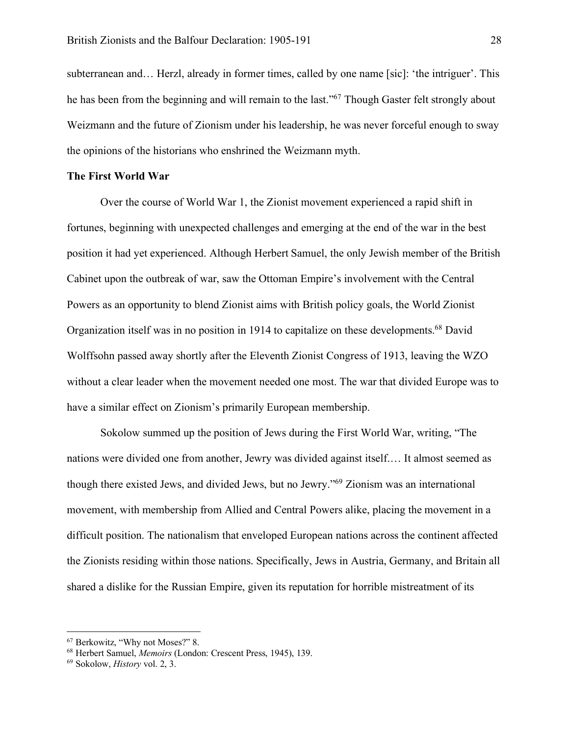subterranean and… Herzl, already in former times, called by one name [sic]: 'the intriguer'. This he has been from the beginning and will remain to the last."67 Though Gaster felt strongly about Weizmann and the future of Zionism under his leadership, he was never forceful enough to sway the opinions of the historians who enshrined the Weizmann myth.

### **The First World War**

Over the course of World War 1, the Zionist movement experienced a rapid shift in fortunes, beginning with unexpected challenges and emerging at the end of the war in the best position it had yet experienced. Although Herbert Samuel, the only Jewish member of the British Cabinet upon the outbreak of war, saw the Ottoman Empire's involvement with the Central Powers as an opportunity to blend Zionist aims with British policy goals, the World Zionist Organization itself was in no position in 1914 to capitalize on these developments.<sup>68</sup> David Wolffsohn passed away shortly after the Eleventh Zionist Congress of 1913, leaving the WZO without a clear leader when the movement needed one most. The war that divided Europe was to have a similar effect on Zionism's primarily European membership.

Sokolow summed up the position of Jews during the First World War, writing, "The nations were divided one from another, Jewry was divided against itself.… It almost seemed as though there existed Jews, and divided Jews, but no Jewry."69 Zionism was an international movement, with membership from Allied and Central Powers alike, placing the movement in a difficult position. The nationalism that enveloped European nations across the continent affected the Zionists residing within those nations. Specifically, Jews in Austria, Germany, and Britain all shared a dislike for the Russian Empire, given its reputation for horrible mistreatment of its

<sup>67</sup> Berkowitz, "Why not Moses?" 8. 68 Herbert Samuel, *Memoirs* (London: Crescent Press, 1945), 139.

<sup>69</sup> Sokolow, *History* vol. 2, 3.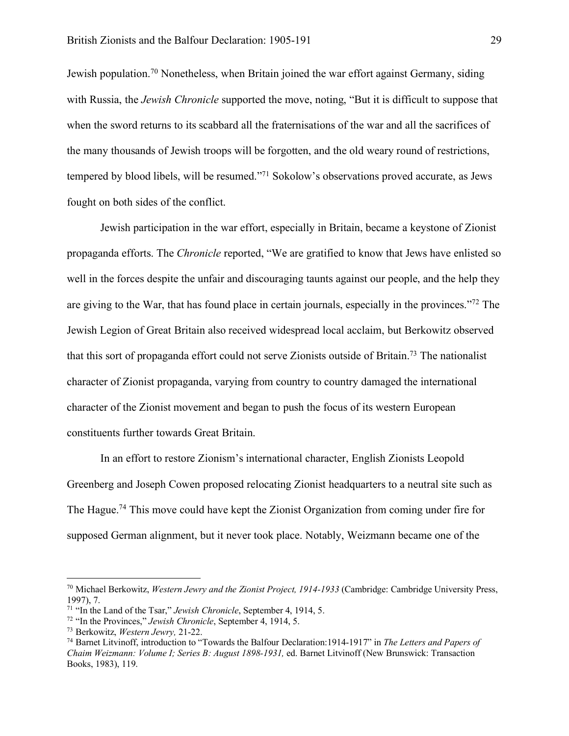Jewish population.70 Nonetheless, when Britain joined the war effort against Germany, siding with Russia, the *Jewish Chronicle* supported the move, noting, "But it is difficult to suppose that when the sword returns to its scabbard all the fraternisations of the war and all the sacrifices of the many thousands of Jewish troops will be forgotten, and the old weary round of restrictions, tempered by blood libels, will be resumed."71 Sokolow's observations proved accurate, as Jews fought on both sides of the conflict.

Jewish participation in the war effort, especially in Britain, became a keystone of Zionist propaganda efforts. The *Chronicle* reported, "We are gratified to know that Jews have enlisted so well in the forces despite the unfair and discouraging taunts against our people, and the help they are giving to the War, that has found place in certain journals, especially in the provinces."72 The Jewish Legion of Great Britain also received widespread local acclaim, but Berkowitz observed that this sort of propaganda effort could not serve Zionists outside of Britain.73 The nationalist character of Zionist propaganda, varying from country to country damaged the international character of the Zionist movement and began to push the focus of its western European constituents further towards Great Britain.

In an effort to restore Zionism's international character, English Zionists Leopold Greenberg and Joseph Cowen proposed relocating Zionist headquarters to a neutral site such as The Hague.<sup>74</sup> This move could have kept the Zionist Organization from coming under fire for supposed German alignment, but it never took place. Notably, Weizmann became one of the

 <sup>70</sup> Michael Berkowitz, *Western Jewry and the Zionist Project, 1914-1933* (Cambridge: Cambridge University Press, 1997), 7.

<sup>71</sup> "In the Land of the Tsar," *Jewish Chronicle*, September 4, 1914, 5.

<sup>&</sup>lt;sup>72</sup> "In the Provinces," Jewish Chronicle, September 4, 1914, 5.<br><sup>73</sup> Berkowitz, *Western Jewry*, 21-22.<br><sup>74</sup> Barnet Litvinoff, introduction to "Towards the Balfour Declaration: 1914-1917" in *The Letters and Papers of Chaim Weizmann: Volume I; Series B: August 1898-1931,* ed. Barnet Litvinoff (New Brunswick: Transaction Books, 1983), 119.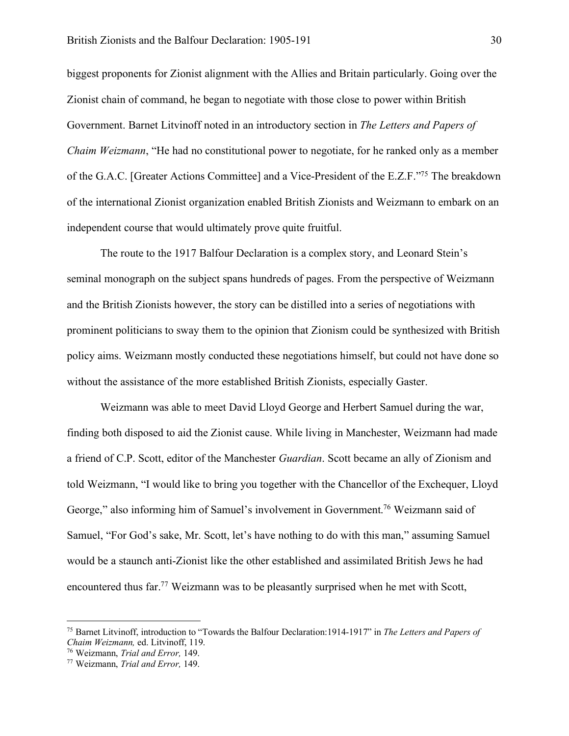biggest proponents for Zionist alignment with the Allies and Britain particularly. Going over the Zionist chain of command, he began to negotiate with those close to power within British Government. Barnet Litvinoff noted in an introductory section in *The Letters and Papers of Chaim Weizmann*, "He had no constitutional power to negotiate, for he ranked only as a member of the G.A.C. [Greater Actions Committee] and a Vice-President of the E.Z.F."75 The breakdown of the international Zionist organization enabled British Zionists and Weizmann to embark on an independent course that would ultimately prove quite fruitful.

The route to the 1917 Balfour Declaration is a complex story, and Leonard Stein's seminal monograph on the subject spans hundreds of pages. From the perspective of Weizmann and the British Zionists however, the story can be distilled into a series of negotiations with prominent politicians to sway them to the opinion that Zionism could be synthesized with British policy aims. Weizmann mostly conducted these negotiations himself, but could not have done so without the assistance of the more established British Zionists, especially Gaster.

Weizmann was able to meet David Lloyd George and Herbert Samuel during the war, finding both disposed to aid the Zionist cause. While living in Manchester, Weizmann had made a friend of C.P. Scott, editor of the Manchester *Guardian*. Scott became an ally of Zionism and told Weizmann, "I would like to bring you together with the Chancellor of the Exchequer, Lloyd George," also informing him of Samuel's involvement in Government.76 Weizmann said of Samuel, "For God's sake, Mr. Scott, let's have nothing to do with this man," assuming Samuel would be a staunch anti-Zionist like the other established and assimilated British Jews he had encountered thus far.<sup>77</sup> Weizmann was to be pleasantly surprised when he met with Scott,

 <sup>75</sup> Barnet Litvinoff, introduction to "Towards the Balfour Declaration:1914-1917" in *The Letters and Papers of Chaim Weizmann,* ed. Litvinoff, 119.

<sup>76</sup> Weizmann, *Trial and Error,* 149. 77 Weizmann, *Trial and Error,* 149.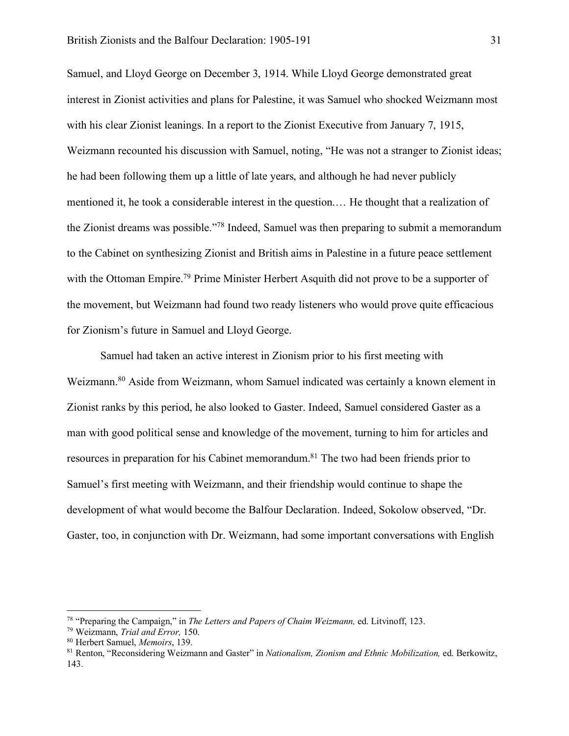Samuel, and Lloyd George on December 3, 1914. While Lloyd George demonstrated great interest in Zionist activities and plans for Palestine, it was Samuel who shocked Weizmann most with his clear Zionist leanings. In a report to the Zionist Executive from January 7, 1915, Weizmann recounted his discussion with Samuel, noting, "He was not a stranger to Zionist ideas; he had been following them up a little of late years, and although he had never publicly mentioned it, he took a considerable interest in the question.… He thought that a realization of the Zionist dreams was possible."78 Indeed, Samuel was then preparing to submit a memorandum to the Cabinet on synthesizing Zionist and British aims in Palestine in a future peace settlement with the Ottoman Empire.<sup>79</sup> Prime Minister Herbert Asquith did not prove to be a supporter of the movement, but Weizmann had found two ready listeners who would prove quite efficacious for Zionism's future in Samuel and Lloyd George.

Samuel had taken an active interest in Zionism prior to his first meeting with Weizmann.<sup>80</sup> Aside from Weizmann, whom Samuel indicated was certainly a known element in Zionist ranks by this period, he also looked to Gaster. Indeed, Samuel considered Gaster as a man with good political sense and knowledge of the movement, turning to him for articles and resources in preparation for his Cabinet memorandum.81 The two had been friends prior to Samuel's first meeting with Weizmann, and their friendship would continue to shape the development of what would become the Balfour Declaration. Indeed, Sokolow observed, "Dr. Gaster, too, in conjunction with Dr. Weizmann, had some important conversations with English

 <sup>78</sup> "Preparing the Campaign," in *The Letters and Papers of Chaim Weizmann,* ed. Litvinoff, 123.

<sup>79</sup> Weizmann, *Trial and Error,* 150.

<sup>&</sup>lt;sup>80</sup> Herbert Samuel, *Memoirs*, 139.<br><sup>81</sup> Renton, "Reconsidering Weizmann and Gaster" in *Nationalism, Zionism and Ethnic Mobilization*, ed. Berkowitz, 143.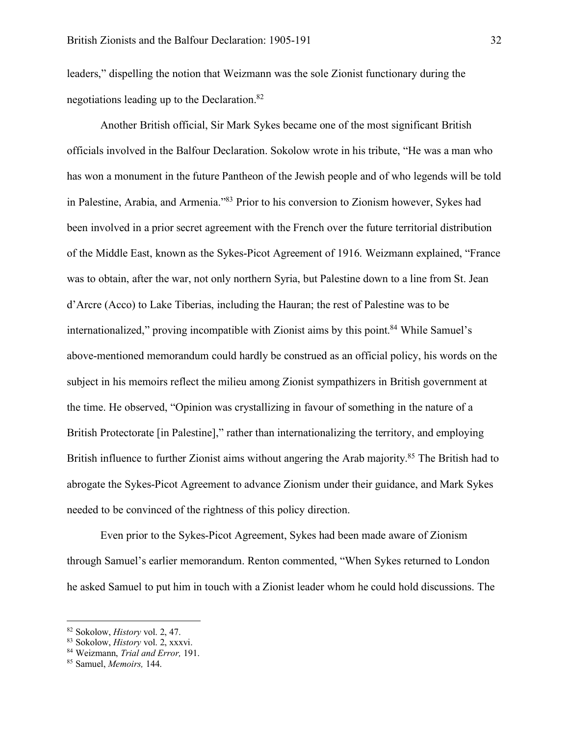leaders," dispelling the notion that Weizmann was the sole Zionist functionary during the negotiations leading up to the Declaration.82

Another British official, Sir Mark Sykes became one of the most significant British officials involved in the Balfour Declaration. Sokolow wrote in his tribute, "He was a man who has won a monument in the future Pantheon of the Jewish people and of who legends will be told in Palestine, Arabia, and Armenia."83 Prior to his conversion to Zionism however, Sykes had been involved in a prior secret agreement with the French over the future territorial distribution of the Middle East, known as the Sykes-Picot Agreement of 1916. Weizmann explained, "France was to obtain, after the war, not only northern Syria, but Palestine down to a line from St. Jean d'Arcre (Acco) to Lake Tiberias, including the Hauran; the rest of Palestine was to be internationalized," proving incompatible with Zionist aims by this point.<sup>84</sup> While Samuel's above-mentioned memorandum could hardly be construed as an official policy, his words on the subject in his memoirs reflect the milieu among Zionist sympathizers in British government at the time. He observed, "Opinion was crystallizing in favour of something in the nature of a British Protectorate [in Palestine]," rather than internationalizing the territory, and employing British influence to further Zionist aims without angering the Arab majority.<sup>85</sup> The British had to abrogate the Sykes-Picot Agreement to advance Zionism under their guidance, and Mark Sykes needed to be convinced of the rightness of this policy direction.

Even prior to the Sykes-Picot Agreement, Sykes had been made aware of Zionism through Samuel's earlier memorandum. Renton commented, "When Sykes returned to London he asked Samuel to put him in touch with a Zionist leader whom he could hold discussions. The

<sup>82</sup> Sokolow, *History* vol. 2, 47. 83 Sokolow, *History* vol. 2, xxxvi.

<sup>84</sup> Weizmann, *Trial and Error,* 191. 85 Samuel, *Memoirs,* 144.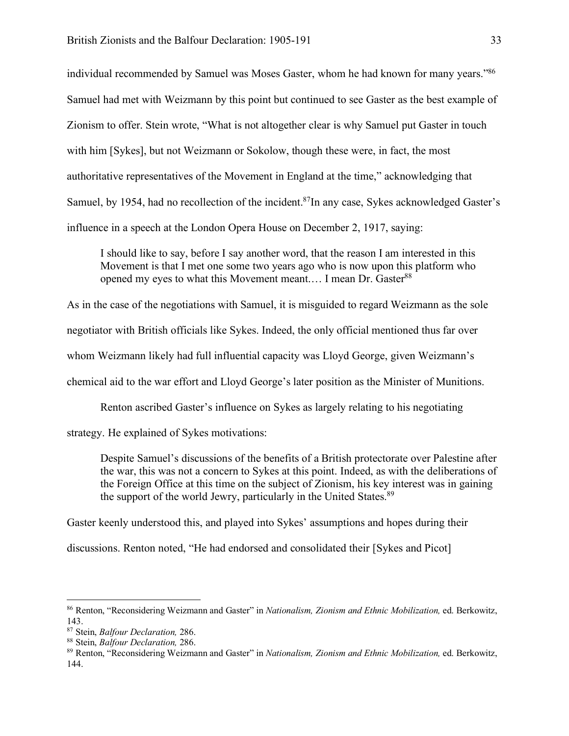individual recommended by Samuel was Moses Gaster, whom he had known for many years."86 Samuel had met with Weizmann by this point but continued to see Gaster as the best example of Zionism to offer. Stein wrote, "What is not altogether clear is why Samuel put Gaster in touch with him [Sykes], but not Weizmann or Sokolow, though these were, in fact, the most authoritative representatives of the Movement in England at the time," acknowledging that Samuel, by 1954, had no recollection of the incident.<sup>87</sup>In any case, Sykes acknowledged Gaster's influence in a speech at the London Opera House on December 2, 1917, saying:

I should like to say, before I say another word, that the reason I am interested in this Movement is that I met one some two years ago who is now upon this platform who opened my eyes to what this Movement meant.... I mean Dr. Gaster<sup>88</sup>

As in the case of the negotiations with Samuel, it is misguided to regard Weizmann as the sole negotiator with British officials like Sykes. Indeed, the only official mentioned thus far over whom Weizmann likely had full influential capacity was Lloyd George, given Weizmann's chemical aid to the war effort and Lloyd George's later position as the Minister of Munitions.

Renton ascribed Gaster's influence on Sykes as largely relating to his negotiating strategy. He explained of Sykes motivations:

Despite Samuel's discussions of the benefits of a British protectorate over Palestine after the war, this was not a concern to Sykes at this point. Indeed, as with the deliberations of the Foreign Office at this time on the subject of Zionism, his key interest was in gaining the support of the world Jewry, particularly in the United States.<sup>89</sup>

Gaster keenly understood this, and played into Sykes' assumptions and hopes during their

discussions. Renton noted, "He had endorsed and consolidated their [Sykes and Picot]

 <sup>86</sup> Renton, "Reconsidering Weizmann and Gaster" in *Nationalism, Zionism and Ethnic Mobilization,* ed. Berkowitz, 143.

<sup>87</sup> Stein, *Balfour Declaration,* 286.

<sup>88</sup> Stein, *Balfour Declaration,* 286. 89 Renton, "Reconsidering Weizmann and Gaster" in *Nationalism, Zionism and Ethnic Mobilization,* ed. Berkowitz, 144.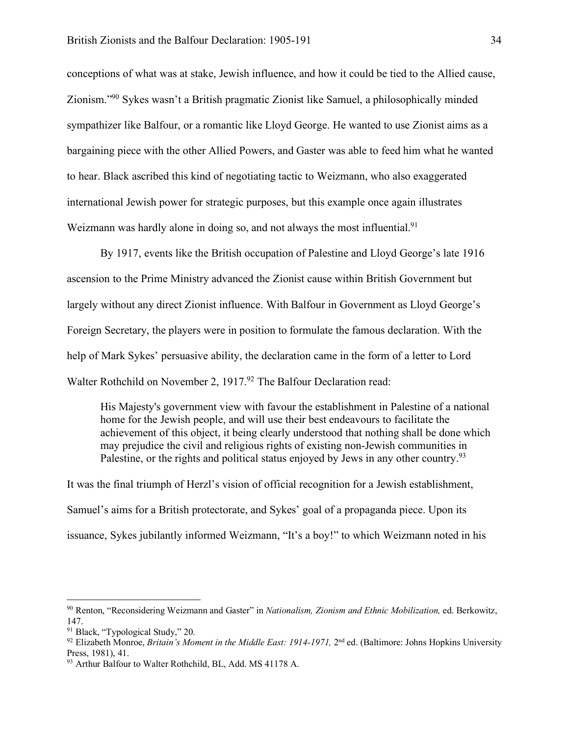conceptions of what was at stake, Jewish influence, and how it could be tied to the Allied cause, Zionism."90 Sykes wasn't a British pragmatic Zionist like Samuel, a philosophically minded sympathizer like Balfour, or a romantic like Lloyd George. He wanted to use Zionist aims as a bargaining piece with the other Allied Powers, and Gaster was able to feed him what he wanted to hear. Black ascribed this kind of negotiating tactic to Weizmann, who also exaggerated international Jewish power for strategic purposes, but this example once again illustrates Weizmann was hardly alone in doing so, and not always the most influential.<sup>91</sup>

By 1917, events like the British occupation of Palestine and Lloyd George's late 1916 ascension to the Prime Ministry advanced the Zionist cause within British Government but largely without any direct Zionist influence. With Balfour in Government as Lloyd George's Foreign Secretary, the players were in position to formulate the famous declaration. With the help of Mark Sykes' persuasive ability, the declaration came in the form of a letter to Lord Walter Rothchild on November 2, 1917.<sup>92</sup> The Balfour Declaration read:

His Majesty's government view with favour the establishment in Palestine of a national home for the Jewish people, and will use their best endeavours to facilitate the achievement of this object, it being clearly understood that nothing shall be done which may prejudice the civil and religious rights of existing non-Jewish communities in Palestine, or the rights and political status enjoyed by Jews in any other country.<sup>93</sup>

It was the final triumph of Herzl's vision of official recognition for a Jewish establishment, Samuel's aims for a British protectorate, and Sykes' goal of a propaganda piece. Upon its issuance, Sykes jubilantly informed Weizmann, "It's a boy!" to which Weizmann noted in his

 <sup>90</sup> Renton, "Reconsidering Weizmann and Gaster" in *Nationalism, Zionism and Ethnic Mobilization,* ed. Berkowitz, 147.

<sup>&</sup>lt;sup>91</sup> Black, "Typological Study," 20.

<sup>&</sup>lt;sup>92</sup> Elizabeth Monroe, *Britain's Moment in the Middle East: 1914-1971*, 2<sup>nd</sup> ed. (Baltimore: Johns Hopkins University Press, 1981), 41.

<sup>93</sup> Arthur Balfour to Walter Rothchild, BL, Add. MS 41178 A.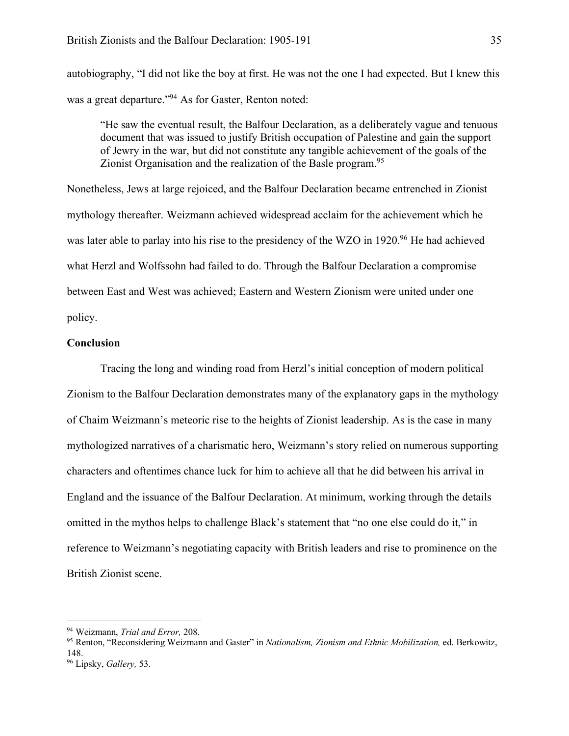autobiography, "I did not like the boy at first. He was not the one I had expected. But I knew this was a great departure."<sup>94</sup> As for Gaster, Renton noted:

"He saw the eventual result, the Balfour Declaration, as a deliberately vague and tenuous document that was issued to justify British occupation of Palestine and gain the support of Jewry in the war, but did not constitute any tangible achievement of the goals of the Zionist Organisation and the realization of the Basle program.<sup>95</sup>

Nonetheless, Jews at large rejoiced, and the Balfour Declaration became entrenched in Zionist mythology thereafter. Weizmann achieved widespread acclaim for the achievement which he was later able to parlay into his rise to the presidency of the WZO in 1920.<sup>96</sup> He had achieved what Herzl and Wolfssohn had failed to do. Through the Balfour Declaration a compromise between East and West was achieved; Eastern and Western Zionism were united under one policy.

# **Conclusion**

Tracing the long and winding road from Herzl's initial conception of modern political Zionism to the Balfour Declaration demonstrates many of the explanatory gaps in the mythology of Chaim Weizmann's meteoric rise to the heights of Zionist leadership. As is the case in many mythologized narratives of a charismatic hero, Weizmann's story relied on numerous supporting characters and oftentimes chance luck for him to achieve all that he did between his arrival in England and the issuance of the Balfour Declaration. At minimum, working through the details omitted in the mythos helps to challenge Black's statement that "no one else could do it," in reference to Weizmann's negotiating capacity with British leaders and rise to prominence on the British Zionist scene.

<sup>&</sup>lt;sup>94</sup> Weizmann, *Trial and Error*, 208.<br><sup>95</sup> Renton, "Reconsidering Weizmann and Gaster" in *Nationalism, Zionism and Ethnic Mobilization*, ed. Berkowitz, 148.

<sup>96</sup> Lipsky, *Gallery,* 53.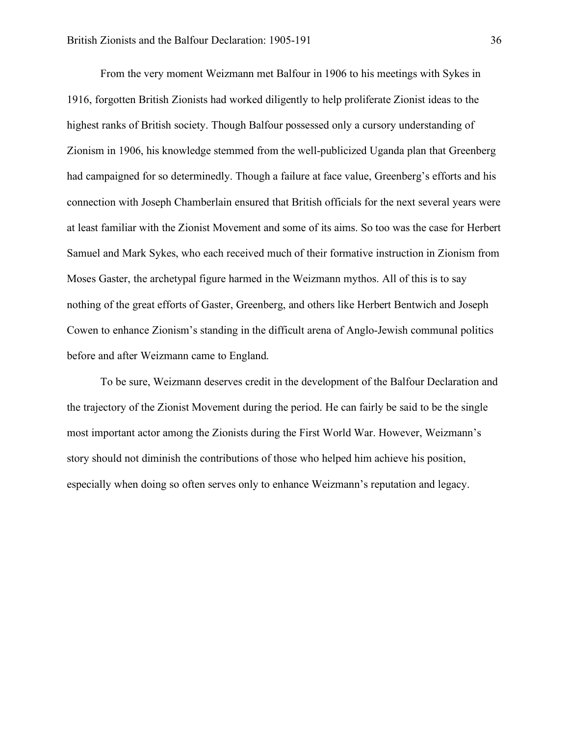From the very moment Weizmann met Balfour in 1906 to his meetings with Sykes in 1916, forgotten British Zionists had worked diligently to help proliferate Zionist ideas to the highest ranks of British society. Though Balfour possessed only a cursory understanding of Zionism in 1906, his knowledge stemmed from the well-publicized Uganda plan that Greenberg had campaigned for so determinedly. Though a failure at face value, Greenberg's efforts and his connection with Joseph Chamberlain ensured that British officials for the next several years were at least familiar with the Zionist Movement and some of its aims. So too was the case for Herbert Samuel and Mark Sykes, who each received much of their formative instruction in Zionism from Moses Gaster, the archetypal figure harmed in the Weizmann mythos. All of this is to say nothing of the great efforts of Gaster, Greenberg, and others like Herbert Bentwich and Joseph Cowen to enhance Zionism's standing in the difficult arena of Anglo-Jewish communal politics before and after Weizmann came to England.

To be sure, Weizmann deserves credit in the development of the Balfour Declaration and the trajectory of the Zionist Movement during the period. He can fairly be said to be the single most important actor among the Zionists during the First World War. However, Weizmann's story should not diminish the contributions of those who helped him achieve his position, especially when doing so often serves only to enhance Weizmann's reputation and legacy.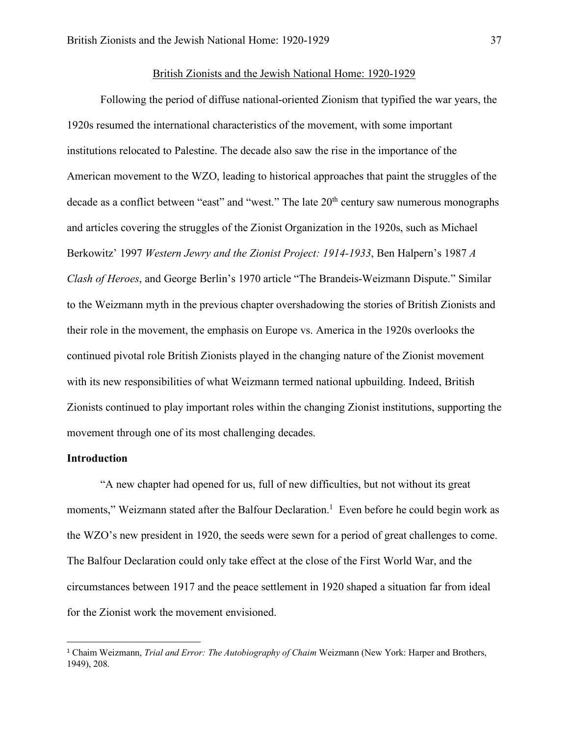### British Zionists and the Jewish National Home: 1920-1929

Following the period of diffuse national-oriented Zionism that typified the war years, the 1920s resumed the international characteristics of the movement, with some important institutions relocated to Palestine. The decade also saw the rise in the importance of the American movement to the WZO, leading to historical approaches that paint the struggles of the decade as a conflict between "east" and "west." The late 20<sup>th</sup> century saw numerous monographs and articles covering the struggles of the Zionist Organization in the 1920s, such as Michael Berkowitz' 1997 *Western Jewry and the Zionist Project: 1914-1933*, Ben Halpern's 1987 *A Clash of Heroes*, and George Berlin's 1970 article "The Brandeis-Weizmann Dispute." Similar to the Weizmann myth in the previous chapter overshadowing the stories of British Zionists and their role in the movement, the emphasis on Europe vs. America in the 1920s overlooks the continued pivotal role British Zionists played in the changing nature of the Zionist movement with its new responsibilities of what Weizmann termed national upbuilding. Indeed, British Zionists continued to play important roles within the changing Zionist institutions, supporting the movement through one of its most challenging decades.

### **Introduction**

 $\overline{a}$ 

"A new chapter had opened for us, full of new difficulties, but not without its great moments," Weizmann stated after the Balfour Declaration.<sup>1</sup> Even before he could begin work as the WZO's new president in 1920, the seeds were sewn for a period of great challenges to come. The Balfour Declaration could only take effect at the close of the First World War, and the circumstances between 1917 and the peace settlement in 1920 shaped a situation far from ideal for the Zionist work the movement envisioned.

<sup>1</sup> Chaim Weizmann, *Trial and Error: The Autobiography of Chaim* Weizmann (New York: Harper and Brothers, 1949), 208.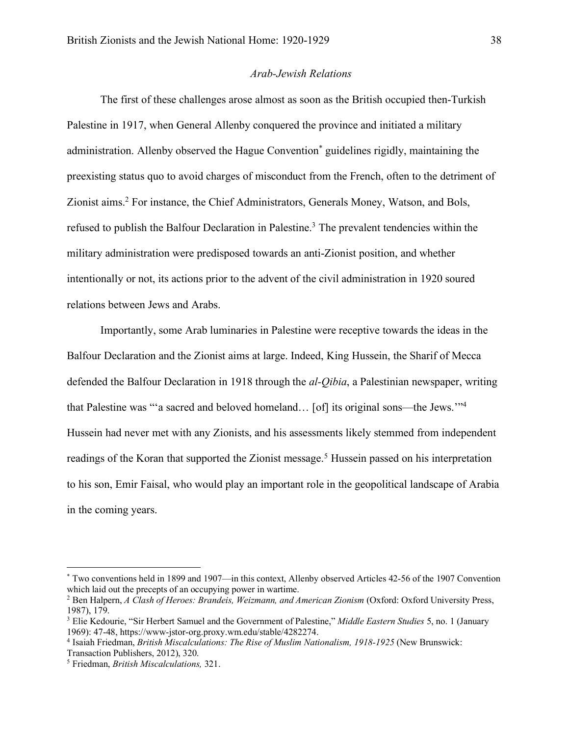# *Arab-Jewish Relations*

The first of these challenges arose almost as soon as the British occupied then-Turkish Palestine in 1917, when General Allenby conquered the province and initiated a military administration. Allenby observed the Hague Convention\* guidelines rigidly, maintaining the preexisting status quo to avoid charges of misconduct from the French, often to the detriment of Zionist aims.<sup>2</sup> For instance, the Chief Administrators, Generals Money, Watson, and Bols, refused to publish the Balfour Declaration in Palestine.3 The prevalent tendencies within the military administration were predisposed towards an anti-Zionist position, and whether intentionally or not, its actions prior to the advent of the civil administration in 1920 soured relations between Jews and Arabs.

Importantly, some Arab luminaries in Palestine were receptive towards the ideas in the Balfour Declaration and the Zionist aims at large. Indeed, King Hussein, the Sharif of Mecca defended the Balfour Declaration in 1918 through the *al-Qibia*, a Palestinian newspaper, writing that Palestine was "'a sacred and beloved homeland… [of] its original sons—the Jews.'"4 Hussein had never met with any Zionists, and his assessments likely stemmed from independent readings of the Koran that supported the Zionist message.<sup>5</sup> Hussein passed on his interpretation to his son, Emir Faisal, who would play an important role in the geopolitical landscape of Arabia in the coming years.

 <sup>\*</sup> Two conventions held in 1899 and 1907—in this context, Allenby observed Articles 42-56 of the 1907 Convention which laid out the precepts of an occupying power in wartime.

<sup>&</sup>lt;sup>2</sup> Ben Halpern, *A Clash of Heroes: Brandeis, Weizmann, and American Zionism* (Oxford: Oxford University Press, 1987), 179.

<sup>3</sup> Elie Kedourie, "Sir Herbert Samuel and the Government of Palestine," *Middle Eastern Studies* 5, no. 1 (January 1969): 47-48, https://www-jstor-org.proxy.wm.edu/stable/4282274.

<sup>4</sup> Isaiah Friedman, *British Miscalculations: The Rise of Muslim Nationalism, 1918-1925* (New Brunswick: Transaction Publishers, 2012), 320.

<sup>5</sup> Friedman, *British Miscalculations,* 321.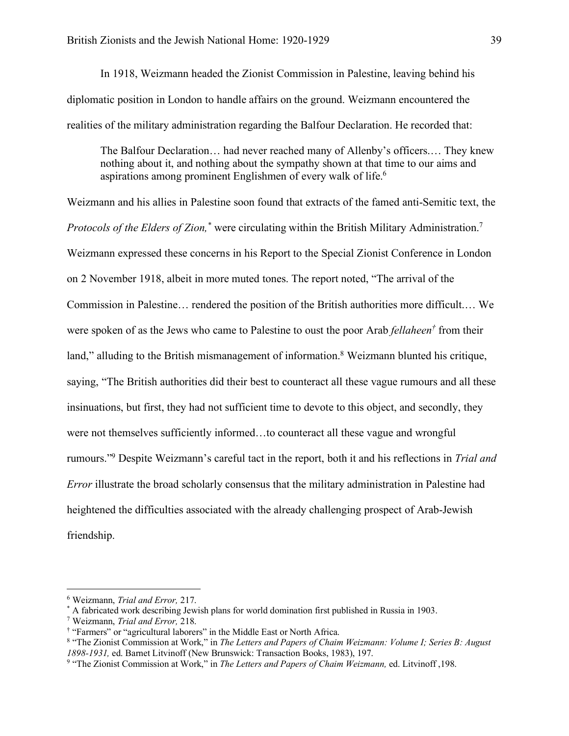In 1918, Weizmann headed the Zionist Commission in Palestine, leaving behind his diplomatic position in London to handle affairs on the ground. Weizmann encountered the realities of the military administration regarding the Balfour Declaration. He recorded that:

The Balfour Declaration… had never reached many of Allenby's officers.… They knew nothing about it, and nothing about the sympathy shown at that time to our aims and aspirations among prominent Englishmen of every walk of life.<sup>6</sup>

Weizmann and his allies in Palestine soon found that extracts of the famed anti-Semitic text, the *Protocols of the Elders of Zion, \** were circulating within the British Military Administration.7 Weizmann expressed these concerns in his Report to the Special Zionist Conference in London on 2 November 1918, albeit in more muted tones. The report noted, "The arrival of the Commission in Palestine… rendered the position of the British authorities more difficult.… We were spoken of as the Jews who came to Palestine to oust the poor Arab *fellaheen†* from their land," alluding to the British mismanagement of information.<sup>8</sup> Weizmann blunted his critique, saying, "The British authorities did their best to counteract all these vague rumours and all these insinuations, but first, they had not sufficient time to devote to this object, and secondly, they were not themselves sufficiently informed…to counteract all these vague and wrongful rumours."9 Despite Weizmann's careful tact in the report, both it and his reflections in *Trial and Error* illustrate the broad scholarly consensus that the military administration in Palestine had heightened the difficulties associated with the already challenging prospect of Arab-Jewish friendship.

 <sup>6</sup> Weizmann, *Trial and Error,* 217.

<sup>\*</sup> A fabricated work describing Jewish plans for world domination first published in Russia in 1903.

<sup>&</sup>lt;sup>7</sup> Weizmann, *Trial and Error*, 218.<br>† "Farmers" or "agricultural laborers" in the Middle East or North Africa.

<sup>&</sup>lt;sup>8</sup> "The Zionist Commission at Work," in *The Letters and Papers of Chaim Weizmann: Volume I; Series B: August 1898-1931,* ed. Barnet Litvinoff (New Brunswick: Transaction Books, 1983), 197.

<sup>9</sup> "The Zionist Commission at Work," in *The Letters and Papers of Chaim Weizmann,* ed. Litvinoff ,198.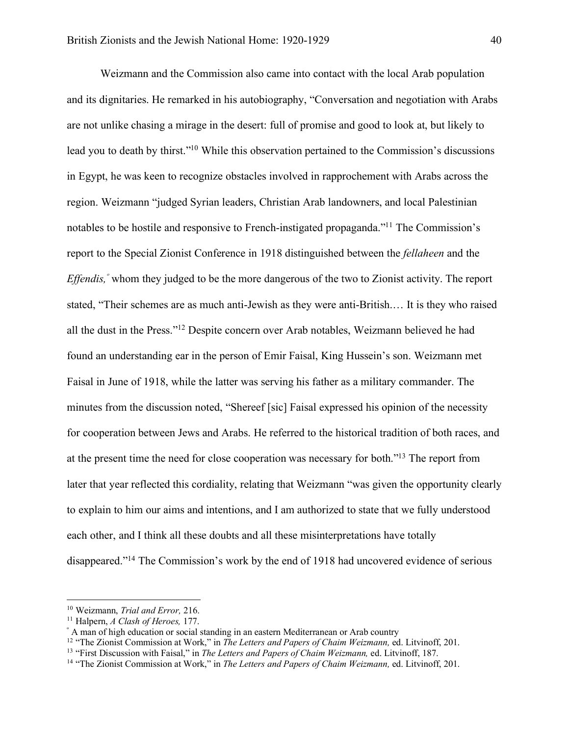Weizmann and the Commission also came into contact with the local Arab population and its dignitaries. He remarked in his autobiography, "Conversation and negotiation with Arabs are not unlike chasing a mirage in the desert: full of promise and good to look at, but likely to lead you to death by thirst."10 While this observation pertained to the Commission's discussions in Egypt, he was keen to recognize obstacles involved in rapprochement with Arabs across the region. Weizmann "judged Syrian leaders, Christian Arab landowners, and local Palestinian notables to be hostile and responsive to French-instigated propaganda."11 The Commission's report to the Special Zionist Conference in 1918 distinguished between the *fellaheen* and the *Effendis*, whom they judged to be the more dangerous of the two to Zionist activity. The report stated, "Their schemes are as much anti-Jewish as they were anti-British.… It is they who raised all the dust in the Press."12 Despite concern over Arab notables, Weizmann believed he had found an understanding ear in the person of Emir Faisal, King Hussein's son. Weizmann met Faisal in June of 1918, while the latter was serving his father as a military commander. The minutes from the discussion noted, "Shereef [sic] Faisal expressed his opinion of the necessity for cooperation between Jews and Arabs. He referred to the historical tradition of both races, and at the present time the need for close cooperation was necessary for both."13 The report from later that year reflected this cordiality, relating that Weizmann "was given the opportunity clearly to explain to him our aims and intentions, and I am authorized to state that we fully understood each other, and I think all these doubts and all these misinterpretations have totally disappeared."14 The Commission's work by the end of 1918 had uncovered evidence of serious

 <sup>10</sup> Weizmann, *Trial and Error,* 216.

<sup>11</sup> Halpern, *A Clash of Heroes,* 177.

<sup>º</sup> A man of high education or social standing in an eastern Mediterranean or Arab country

<sup>12</sup> "The Zionist Commission at Work," in *The Letters and Papers of Chaim Weizmann,* ed. Litvinoff, 201.

<sup>13</sup> "First Discussion with Faisal," in *The Letters and Papers of Chaim Weizmann,* ed. Litvinoff, 187.

<sup>14</sup> "The Zionist Commission at Work," in *The Letters and Papers of Chaim Weizmann,* ed. Litvinoff, 201.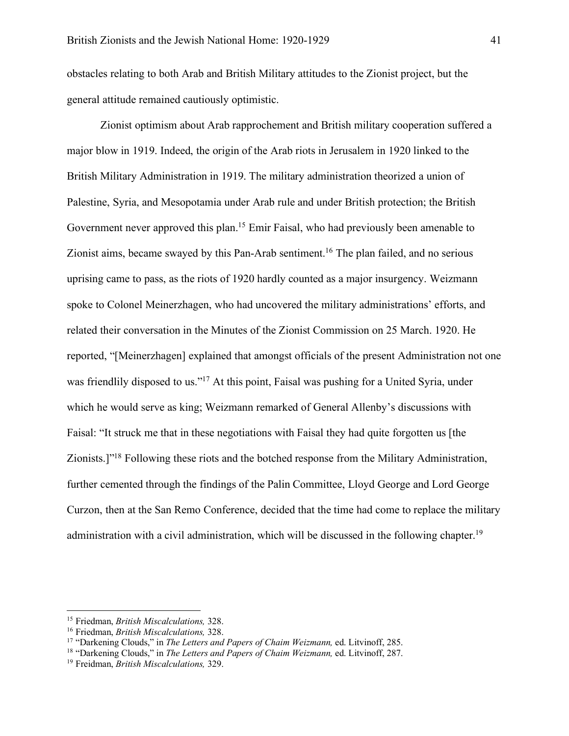obstacles relating to both Arab and British Military attitudes to the Zionist project, but the general attitude remained cautiously optimistic.

Zionist optimism about Arab rapprochement and British military cooperation suffered a major blow in 1919. Indeed, the origin of the Arab riots in Jerusalem in 1920 linked to the British Military Administration in 1919. The military administration theorized a union of Palestine, Syria, and Mesopotamia under Arab rule and under British protection; the British Government never approved this plan.<sup>15</sup> Emir Faisal, who had previously been amenable to Zionist aims, became swayed by this Pan-Arab sentiment.<sup>16</sup> The plan failed, and no serious uprising came to pass, as the riots of 1920 hardly counted as a major insurgency. Weizmann spoke to Colonel Meinerzhagen, who had uncovered the military administrations' efforts, and related their conversation in the Minutes of the Zionist Commission on 25 March. 1920. He reported, "[Meinerzhagen] explained that amongst officials of the present Administration not one was friendlily disposed to us."<sup>17</sup> At this point, Faisal was pushing for a United Syria, under which he would serve as king; Weizmann remarked of General Allenby's discussions with Faisal: "It struck me that in these negotiations with Faisal they had quite forgotten us [the Zionists.]"18 Following these riots and the botched response from the Military Administration, further cemented through the findings of the Palin Committee, Lloyd George and Lord George Curzon, then at the San Remo Conference, decided that the time had come to replace the military administration with a civil administration, which will be discussed in the following chapter.<sup>19</sup>

 <sup>15</sup> Friedman, *British Miscalculations,* 328.

<sup>16</sup> Friedman, *British Miscalculations,* 328.

<sup>17</sup> "Darkening Clouds," in *The Letters and Papers of Chaim Weizmann,* ed. Litvinoff, 285.

<sup>18</sup> "Darkening Clouds," in *The Letters and Papers of Chaim Weizmann,* ed. Litvinoff, 287.

<sup>19</sup> Freidman, *British Miscalculations,* 329.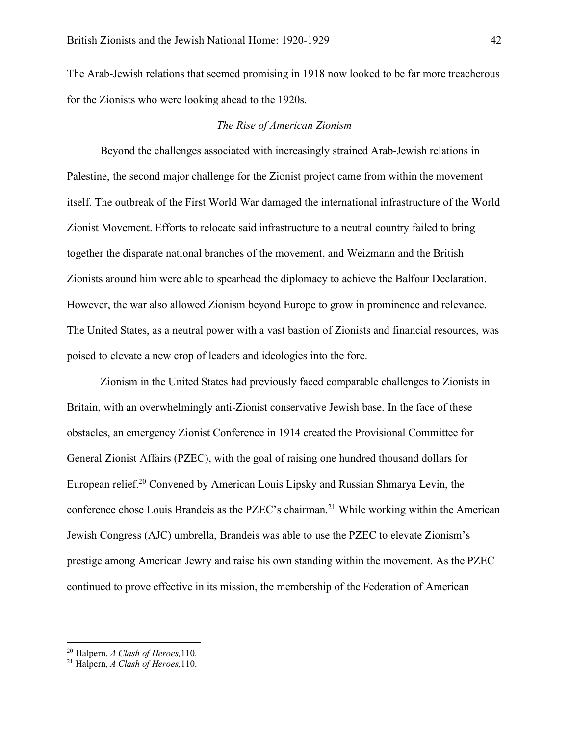The Arab-Jewish relations that seemed promising in 1918 now looked to be far more treacherous for the Zionists who were looking ahead to the 1920s.

# *The Rise of American Zionism*

Beyond the challenges associated with increasingly strained Arab-Jewish relations in Palestine, the second major challenge for the Zionist project came from within the movement itself. The outbreak of the First World War damaged the international infrastructure of the World Zionist Movement. Efforts to relocate said infrastructure to a neutral country failed to bring together the disparate national branches of the movement, and Weizmann and the British Zionists around him were able to spearhead the diplomacy to achieve the Balfour Declaration. However, the war also allowed Zionism beyond Europe to grow in prominence and relevance. The United States, as a neutral power with a vast bastion of Zionists and financial resources, was poised to elevate a new crop of leaders and ideologies into the fore.

Zionism in the United States had previously faced comparable challenges to Zionists in Britain, with an overwhelmingly anti-Zionist conservative Jewish base. In the face of these obstacles, an emergency Zionist Conference in 1914 created the Provisional Committee for General Zionist Affairs (PZEC), with the goal of raising one hundred thousand dollars for European relief.20 Convened by American Louis Lipsky and Russian Shmarya Levin, the conference chose Louis Brandeis as the PZEC's chairman.<sup>21</sup> While working within the American Jewish Congress (AJC) umbrella, Brandeis was able to use the PZEC to elevate Zionism's prestige among American Jewry and raise his own standing within the movement. As the PZEC continued to prove effective in its mission, the membership of the Federation of American

 <sup>20</sup> Halpern, *A Clash of Heroes,*110.

<sup>21</sup> Halpern, *A Clash of Heroes,*110.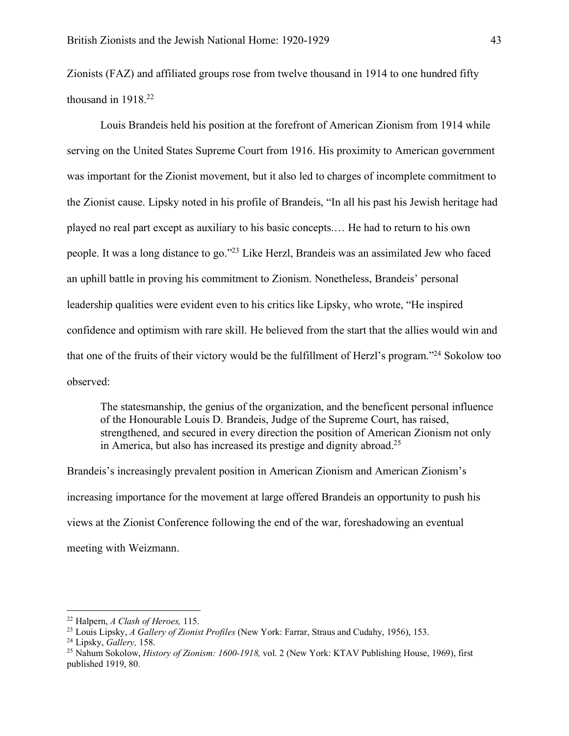Zionists (FAZ) and affiliated groups rose from twelve thousand in 1914 to one hundred fifty thousand in 1918.<sup>22</sup>

Louis Brandeis held his position at the forefront of American Zionism from 1914 while serving on the United States Supreme Court from 1916. His proximity to American government was important for the Zionist movement, but it also led to charges of incomplete commitment to the Zionist cause. Lipsky noted in his profile of Brandeis, "In all his past his Jewish heritage had played no real part except as auxiliary to his basic concepts.… He had to return to his own people. It was a long distance to go."23 Like Herzl, Brandeis was an assimilated Jew who faced an uphill battle in proving his commitment to Zionism. Nonetheless, Brandeis' personal leadership qualities were evident even to his critics like Lipsky, who wrote, "He inspired confidence and optimism with rare skill. He believed from the start that the allies would win and that one of the fruits of their victory would be the fulfillment of Herzl's program."24 Sokolow too observed:

The statesmanship, the genius of the organization, and the beneficent personal influence of the Honourable Louis D. Brandeis, Judge of the Supreme Court, has raised, strengthened, and secured in every direction the position of American Zionism not only in America, but also has increased its prestige and dignity abroad.25

Brandeis's increasingly prevalent position in American Zionism and American Zionism's increasing importance for the movement at large offered Brandeis an opportunity to push his views at the Zionist Conference following the end of the war, foreshadowing an eventual meeting with Weizmann.

<sup>&</sup>lt;sup>22</sup> Halpern, *A Clash of Heroes,* 115.<br><sup>23</sup> Louis Lipsky, *A Gallery of Zionist Profiles* (New York: Farrar, Straus and Cudahy, 1956), 153.

<sup>24</sup> Lipsky, *Gallery,* 158.

<sup>25</sup> Nahum Sokolow, *History of Zionism: 1600-1918,* vol. 2 (New York: KTAV Publishing House, 1969), first published 1919, 80.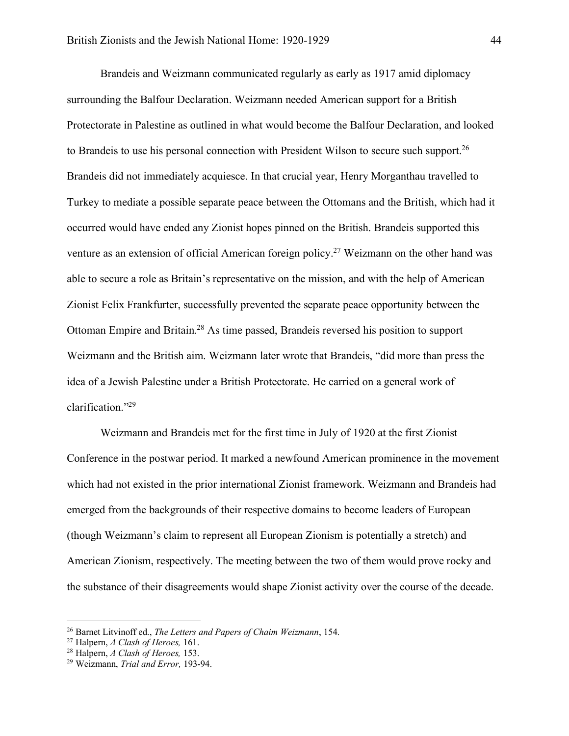Brandeis and Weizmann communicated regularly as early as 1917 amid diplomacy surrounding the Balfour Declaration. Weizmann needed American support for a British Protectorate in Palestine as outlined in what would become the Balfour Declaration, and looked to Brandeis to use his personal connection with President Wilson to secure such support.<sup>26</sup> Brandeis did not immediately acquiesce. In that crucial year, Henry Morganthau travelled to Turkey to mediate a possible separate peace between the Ottomans and the British, which had it occurred would have ended any Zionist hopes pinned on the British. Brandeis supported this venture as an extension of official American foreign policy.27 Weizmann on the other hand was able to secure a role as Britain's representative on the mission, and with the help of American Zionist Felix Frankfurter, successfully prevented the separate peace opportunity between the Ottoman Empire and Britain.28 As time passed, Brandeis reversed his position to support Weizmann and the British aim. Weizmann later wrote that Brandeis, "did more than press the idea of a Jewish Palestine under a British Protectorate. He carried on a general work of clarification."29

Weizmann and Brandeis met for the first time in July of 1920 at the first Zionist Conference in the postwar period. It marked a newfound American prominence in the movement which had not existed in the prior international Zionist framework. Weizmann and Brandeis had emerged from the backgrounds of their respective domains to become leaders of European (though Weizmann's claim to represent all European Zionism is potentially a stretch) and American Zionism, respectively. The meeting between the two of them would prove rocky and the substance of their disagreements would shape Zionist activity over the course of the decade.

 <sup>26</sup> Barnet Litvinoff ed., *The Letters and Papers of Chaim Weizmann*, 154.

<sup>27</sup> Halpern, *A Clash of Heroes,* 161.

<sup>28</sup> Halpern, *A Clash of Heroes,* 153.

<sup>29</sup> Weizmann, *Trial and Error,* 193-94.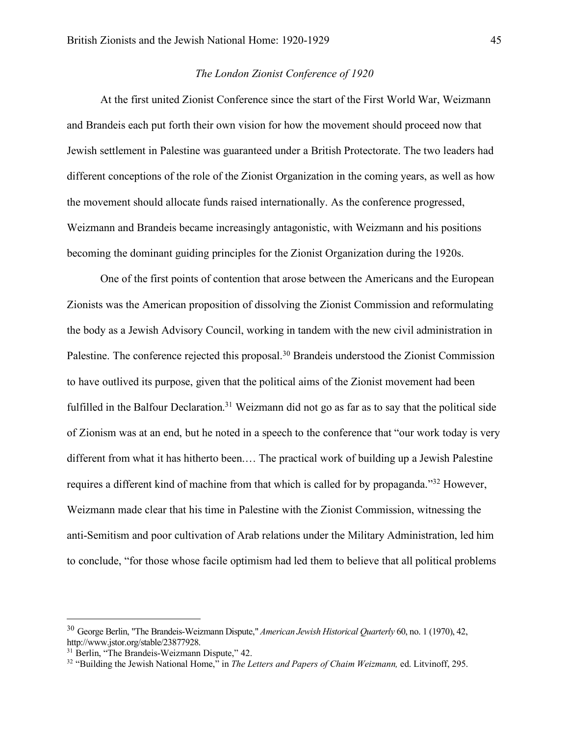# *The London Zionist Conference of 1920*

At the first united Zionist Conference since the start of the First World War, Weizmann and Brandeis each put forth their own vision for how the movement should proceed now that Jewish settlement in Palestine was guaranteed under a British Protectorate. The two leaders had different conceptions of the role of the Zionist Organization in the coming years, as well as how the movement should allocate funds raised internationally. As the conference progressed, Weizmann and Brandeis became increasingly antagonistic, with Weizmann and his positions becoming the dominant guiding principles for the Zionist Organization during the 1920s.

One of the first points of contention that arose between the Americans and the European Zionists was the American proposition of dissolving the Zionist Commission and reformulating the body as a Jewish Advisory Council, working in tandem with the new civil administration in Palestine. The conference rejected this proposal.<sup>30</sup> Brandeis understood the Zionist Commission to have outlived its purpose, given that the political aims of the Zionist movement had been fulfilled in the Balfour Declaration.<sup>31</sup> Weizmann did not go as far as to say that the political side of Zionism was at an end, but he noted in a speech to the conference that "our work today is very different from what it has hitherto been.… The practical work of building up a Jewish Palestine requires a different kind of machine from that which is called for by propaganda."32 However, Weizmann made clear that his time in Palestine with the Zionist Commission, witnessing the anti-Semitism and poor cultivation of Arab relations under the Military Administration, led him to conclude, "for those whose facile optimism had led them to believe that all political problems

 <sup>30</sup> George Berlin, "The Brandeis-Weizmann Dispute," *American Jewish Historical Quarterly* 60, no. 1 (1970), 42, http://www.jstor.org/stable/23877928.<br><sup>31</sup> Berlin, "The Brandeis-Weizmann Dispute," 42.

<sup>&</sup>lt;sup>32</sup> "Building the Jewish National Home," in *The Letters and Papers of Chaim Weizmann*, ed. Litvinoff, 295.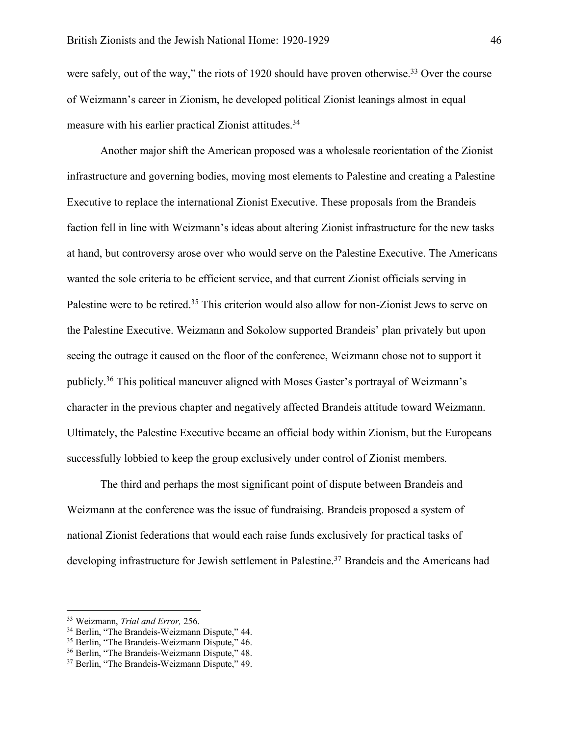were safely, out of the way," the riots of 1920 should have proven otherwise.<sup>33</sup> Over the course of Weizmann's career in Zionism, he developed political Zionist leanings almost in equal measure with his earlier practical Zionist attitudes.<sup>34</sup>

Another major shift the American proposed was a wholesale reorientation of the Zionist infrastructure and governing bodies, moving most elements to Palestine and creating a Palestine Executive to replace the international Zionist Executive. These proposals from the Brandeis faction fell in line with Weizmann's ideas about altering Zionist infrastructure for the new tasks at hand, but controversy arose over who would serve on the Palestine Executive. The Americans wanted the sole criteria to be efficient service, and that current Zionist officials serving in Palestine were to be retired.<sup>35</sup> This criterion would also allow for non-Zionist Jews to serve on the Palestine Executive. Weizmann and Sokolow supported Brandeis' plan privately but upon seeing the outrage it caused on the floor of the conference, Weizmann chose not to support it publicly.36 This political maneuver aligned with Moses Gaster's portrayal of Weizmann's character in the previous chapter and negatively affected Brandeis attitude toward Weizmann. Ultimately, the Palestine Executive became an official body within Zionism, but the Europeans successfully lobbied to keep the group exclusively under control of Zionist members.

The third and perhaps the most significant point of dispute between Brandeis and Weizmann at the conference was the issue of fundraising. Brandeis proposed a system of national Zionist federations that would each raise funds exclusively for practical tasks of developing infrastructure for Jewish settlement in Palestine.<sup>37</sup> Brandeis and the Americans had

 <sup>33</sup> Weizmann, *Trial and Error,* 256.

<sup>34</sup> Berlin, "The Brandeis-Weizmann Dispute," 44.

<sup>&</sup>lt;sup>35</sup> Berlin, "The Brandeis-Weizmann Dispute," 46.

<sup>&</sup>lt;sup>36</sup> Berlin, "The Brandeis-Weizmann Dispute," 48.

<sup>37</sup> Berlin, "The Brandeis-Weizmann Dispute," 49.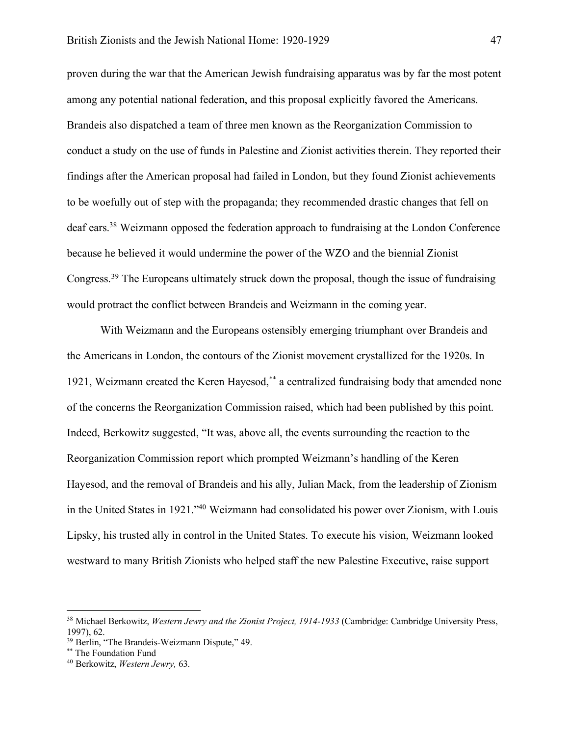proven during the war that the American Jewish fundraising apparatus was by far the most potent among any potential national federation, and this proposal explicitly favored the Americans. Brandeis also dispatched a team of three men known as the Reorganization Commission to conduct a study on the use of funds in Palestine and Zionist activities therein. They reported their findings after the American proposal had failed in London, but they found Zionist achievements to be woefully out of step with the propaganda; they recommended drastic changes that fell on deaf ears.38 Weizmann opposed the federation approach to fundraising at the London Conference because he believed it would undermine the power of the WZO and the biennial Zionist Congress.39 The Europeans ultimately struck down the proposal, though the issue of fundraising would protract the conflict between Brandeis and Weizmann in the coming year.

With Weizmann and the Europeans ostensibly emerging triumphant over Brandeis and the Americans in London, the contours of the Zionist movement crystallized for the 1920s. In 1921, Weizmann created the Keren Hayesod,\*\* a centralized fundraising body that amended none of the concerns the Reorganization Commission raised, which had been published by this point. Indeed, Berkowitz suggested, "It was, above all, the events surrounding the reaction to the Reorganization Commission report which prompted Weizmann's handling of the Keren Hayesod, and the removal of Brandeis and his ally, Julian Mack, from the leadership of Zionism in the United States in 1921."40 Weizmann had consolidated his power over Zionism, with Louis Lipsky, his trusted ally in control in the United States. To execute his vision, Weizmann looked westward to many British Zionists who helped staff the new Palestine Executive, raise support

 <sup>38</sup> Michael Berkowitz, *Western Jewry and the Zionist Project, 1914-1933* (Cambridge: Cambridge University Press, 1997), 62.

<sup>&</sup>lt;sup>39</sup> Berlin, "The Brandeis-Weizmann Dispute," 49.<br>\*\* The Foundation Fund

<sup>40</sup> Berkowitz, *Western Jewry,* 63.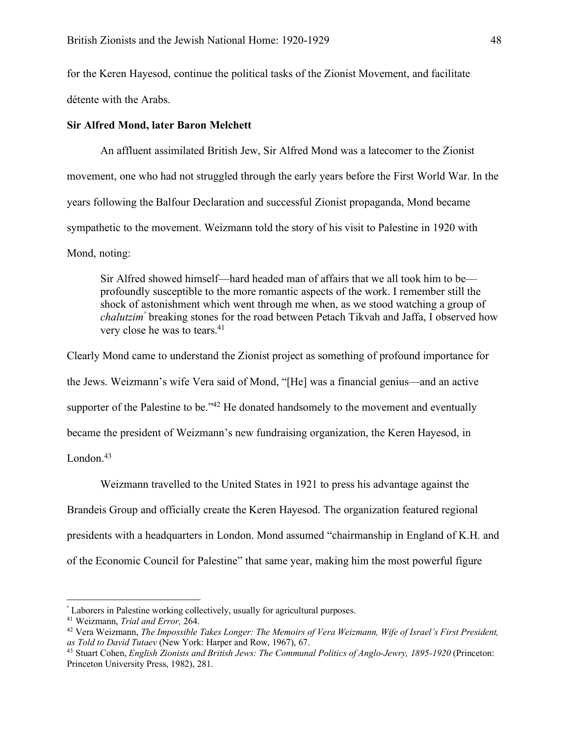for the Keren Hayesod, continue the political tasks of the Zionist Movement, and facilitate détente with the Arabs.

# **Sir Alfred Mond, later Baron Melchett**

An affluent assimilated British Jew, Sir Alfred Mond was a latecomer to the Zionist movement, one who had not struggled through the early years before the First World War. In the years following the Balfour Declaration and successful Zionist propaganda, Mond became sympathetic to the movement. Weizmann told the story of his visit to Palestine in 1920 with Mond, noting:

Sir Alfred showed himself—hard headed man of affairs that we all took him to be profoundly susceptible to the more romantic aspects of the work. I remember still the shock of astonishment which went through me when, as we stood watching a group of *chalutzimº* breaking stones for the road between Petach Tikvah and Jaffa, I observed how very close he was to tears.<sup>41</sup>

Clearly Mond came to understand the Zionist project as something of profound importance for the Jews. Weizmann's wife Vera said of Mond, "[He] was a financial genius—and an active supporter of the Palestine to be."<sup>42</sup> He donated handsomely to the movement and eventually became the president of Weizmann's new fundraising organization, the Keren Hayesod, in London. $43$ 

Weizmann travelled to the United States in 1921 to press his advantage against the Brandeis Group and officially create the Keren Hayesod. The organization featured regional presidents with a headquarters in London. Mond assumed "chairmanship in England of K.H. and of the Economic Council for Palestine" that same year, making him the most powerful figure

º Laborers in Palestine working collectively, usually for agricultural purposes.

<sup>41</sup> Weizmann, *Trial and Error,* 264.

<sup>42</sup> Vera Weizmann, *The Impossible Takes Longer: The Memoirs of Vera Weizmann, Wife of Israel's First President, as Told to David Tutaev* (New York: Harper and Row, 1967), 67.

<sup>43</sup> Stuart Cohen, *English Zionists and British Jews: The Communal Politics of Anglo-Jewry, 1895-1920* (Princeton: Princeton University Press, 1982), 281.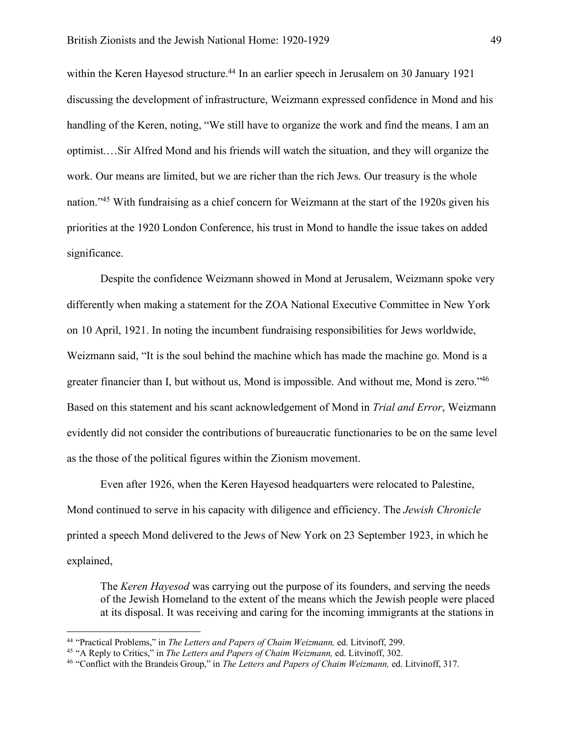within the Keren Hayesod structure.<sup>44</sup> In an earlier speech in Jerusalem on 30 January 1921 discussing the development of infrastructure, Weizmann expressed confidence in Mond and his handling of the Keren, noting, "We still have to organize the work and find the means. I am an optimist.…Sir Alfred Mond and his friends will watch the situation, and they will organize the work. Our means are limited, but we are richer than the rich Jews. Our treasury is the whole nation."45 With fundraising as a chief concern for Weizmann at the start of the 1920s given his priorities at the 1920 London Conference, his trust in Mond to handle the issue takes on added significance.

Despite the confidence Weizmann showed in Mond at Jerusalem, Weizmann spoke very differently when making a statement for the ZOA National Executive Committee in New York on 10 April, 1921. In noting the incumbent fundraising responsibilities for Jews worldwide, Weizmann said, "It is the soul behind the machine which has made the machine go. Mond is a greater financier than I, but without us, Mond is impossible. And without me, Mond is zero."46 Based on this statement and his scant acknowledgement of Mond in *Trial and Error*, Weizmann evidently did not consider the contributions of bureaucratic functionaries to be on the same level as the those of the political figures within the Zionism movement.

Even after 1926, when the Keren Hayesod headquarters were relocated to Palestine, Mond continued to serve in his capacity with diligence and efficiency. The *Jewish Chronicle*  printed a speech Mond delivered to the Jews of New York on 23 September 1923, in which he explained,

The *Keren Hayesod* was carrying out the purpose of its founders, and serving the needs of the Jewish Homeland to the extent of the means which the Jewish people were placed at its disposal. It was receiving and caring for the incoming immigrants at the stations in

 <sup>44</sup> "Practical Problems," in *The Letters and Papers of Chaim Weizmann,* ed. Litvinoff, 299.

<sup>45</sup> "A Reply to Critics," in *The Letters and Papers of Chaim Weizmann,* ed. Litvinoff, 302.

<sup>46</sup> "Conflict with the Brandeis Group," in *The Letters and Papers of Chaim Weizmann,* ed. Litvinoff, 317.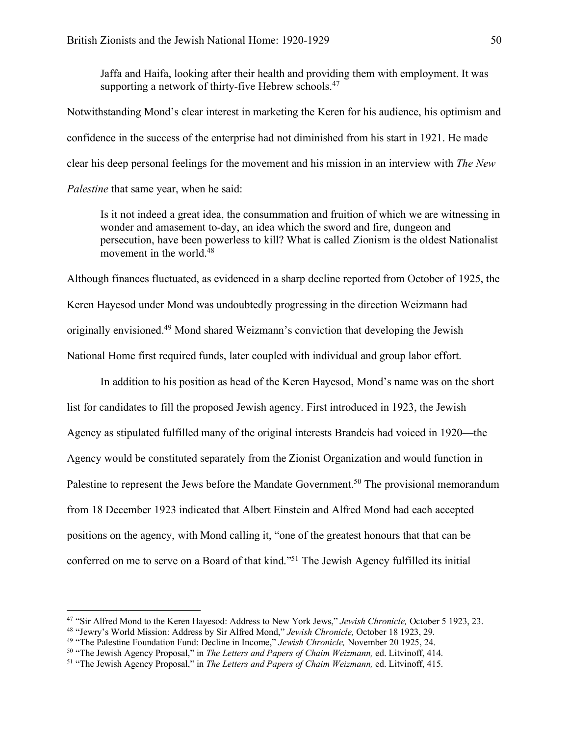Jaffa and Haifa, looking after their health and providing them with employment. It was supporting a network of thirty-five Hebrew schools.<sup>47</sup>

Notwithstanding Mond's clear interest in marketing the Keren for his audience, his optimism and confidence in the success of the enterprise had not diminished from his start in 1921. He made clear his deep personal feelings for the movement and his mission in an interview with *The New Palestine* that same year, when he said:

Is it not indeed a great idea, the consummation and fruition of which we are witnessing in wonder and amasement to-day, an idea which the sword and fire, dungeon and persecution, have been powerless to kill? What is called Zionism is the oldest Nationalist movement in the world  $48$ 

Although finances fluctuated, as evidenced in a sharp decline reported from October of 1925, the Keren Hayesod under Mond was undoubtedly progressing in the direction Weizmann had originally envisioned.49 Mond shared Weizmann's conviction that developing the Jewish National Home first required funds, later coupled with individual and group labor effort.

In addition to his position as head of the Keren Hayesod, Mond's name was on the short list for candidates to fill the proposed Jewish agency. First introduced in 1923, the Jewish Agency as stipulated fulfilled many of the original interests Brandeis had voiced in 1920—the Agency would be constituted separately from the Zionist Organization and would function in Palestine to represent the Jews before the Mandate Government.<sup>50</sup> The provisional memorandum from 18 December 1923 indicated that Albert Einstein and Alfred Mond had each accepted positions on the agency, with Mond calling it, "one of the greatest honours that that can be conferred on me to serve on a Board of that kind."51 The Jewish Agency fulfilled its initial

 <sup>47</sup> "Sir Alfred Mond to the Keren Hayesod: Address to New York Jews," *Jewish Chronicle,* October 5 1923, 23.

<sup>48</sup> "Jewry's World Mission: Address by Sir Alfred Mond," *Jewish Chronicle,* October 18 1923, 29.

<sup>49</sup> "The Palestine Foundation Fund: Decline in Income," *Jewish Chronicle,* November 20 1925, 24.

<sup>50</sup> "The Jewish Agency Proposal," in *The Letters and Papers of Chaim Weizmann,* ed. Litvinoff, 414.

<sup>51</sup> "The Jewish Agency Proposal," in *The Letters and Papers of Chaim Weizmann,* ed. Litvinoff, 415.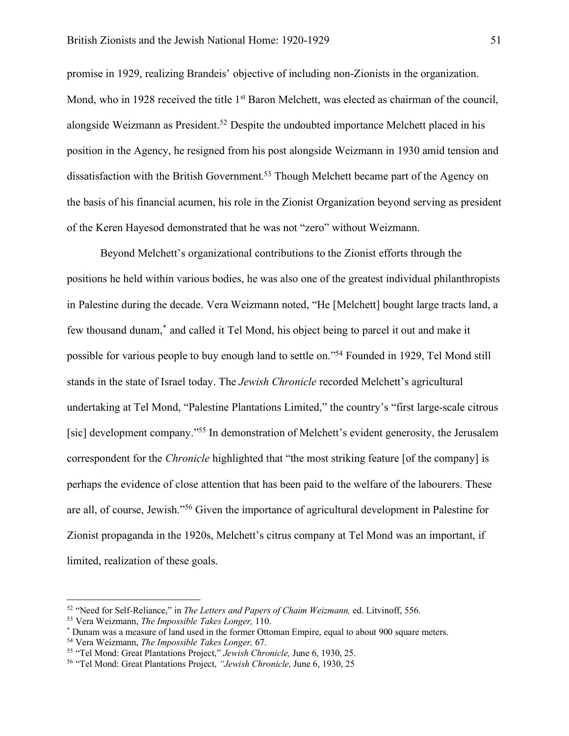promise in 1929, realizing Brandeis' objective of including non-Zionists in the organization. Mond, who in 1928 received the title 1<sup>st</sup> Baron Melchett, was elected as chairman of the council, alongside Weizmann as President.<sup>52</sup> Despite the undoubted importance Melchett placed in his position in the Agency, he resigned from his post alongside Weizmann in 1930 amid tension and dissatisfaction with the British Government.53 Though Melchett became part of the Agency on the basis of his financial acumen, his role in the Zionist Organization beyond serving as president of the Keren Hayesod demonstrated that he was not "zero" without Weizmann.

Beyond Melchett's organizational contributions to the Zionist efforts through the positions he held within various bodies, he was also one of the greatest individual philanthropists in Palestine during the decade. Vera Weizmann noted, "He [Melchett] bought large tracts land, a few thousand dunam,\* and called it Tel Mond, his object being to parcel it out and make it possible for various people to buy enough land to settle on."54 Founded in 1929, Tel Mond still stands in the state of Israel today. The *Jewish Chronicle* recorded Melchett's agricultural undertaking at Tel Mond, "Palestine Plantations Limited," the country's "first large-scale citrous [sic] development company."55 In demonstration of Melchett's evident generosity, the Jerusalem correspondent for the *Chronicle* highlighted that "the most striking feature [of the company] is perhaps the evidence of close attention that has been paid to the welfare of the labourers. These are all, of course, Jewish."56 Given the importance of agricultural development in Palestine for Zionist propaganda in the 1920s, Melchett's citrus company at Tel Mond was an important, if limited, realization of these goals.

 <sup>52</sup> "Need for Self-Reliance," in *The Letters and Papers of Chaim Weizmann,* ed. Litvinoff, 556.

<sup>53</sup> Vera Weizmann, *The Impossible Takes Longer,* 110.

<sup>\*</sup> Dunam was a measure of land used in the former Ottoman Empire, equal to about 900 square meters.

<sup>54</sup> Vera Weizmann, *The Impossible Takes Longer,* 67.

<sup>55</sup> "Tel Mond: Great Plantations Project," *Jewish Chronicle,* June 6, 1930, 25.

<sup>56</sup> "Tel Mond: Great Plantations Project, *"Jewish Chronicle,* June 6, 1930, 25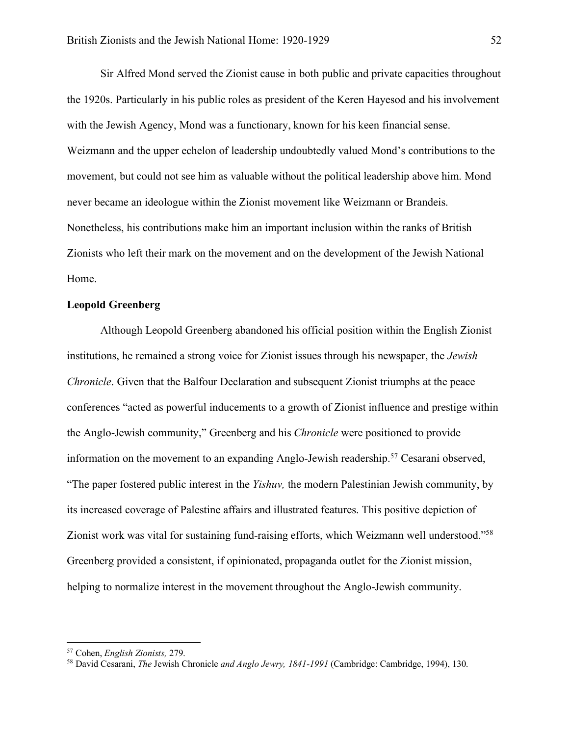Sir Alfred Mond served the Zionist cause in both public and private capacities throughout the 1920s. Particularly in his public roles as president of the Keren Hayesod and his involvement with the Jewish Agency, Mond was a functionary, known for his keen financial sense. Weizmann and the upper echelon of leadership undoubtedly valued Mond's contributions to the movement, but could not see him as valuable without the political leadership above him. Mond never became an ideologue within the Zionist movement like Weizmann or Brandeis. Nonetheless, his contributions make him an important inclusion within the ranks of British Zionists who left their mark on the movement and on the development of the Jewish National Home.

# **Leopold Greenberg**

Although Leopold Greenberg abandoned his official position within the English Zionist institutions, he remained a strong voice for Zionist issues through his newspaper, the *Jewish Chronicle*. Given that the Balfour Declaration and subsequent Zionist triumphs at the peace conferences "acted as powerful inducements to a growth of Zionist influence and prestige within the Anglo-Jewish community," Greenberg and his *Chronicle* were positioned to provide information on the movement to an expanding Anglo-Jewish readership.<sup>57</sup> Cesarani observed, "The paper fostered public interest in the *Yishuv,* the modern Palestinian Jewish community, by its increased coverage of Palestine affairs and illustrated features. This positive depiction of Zionist work was vital for sustaining fund-raising efforts, which Weizmann well understood."58 Greenberg provided a consistent, if opinionated, propaganda outlet for the Zionist mission, helping to normalize interest in the movement throughout the Anglo-Jewish community.

 <sup>57</sup> Cohen, *English Zionists,* 279.

<sup>58</sup> David Cesarani, *The* Jewish Chronicle *and Anglo Jewry, 1841-1991* (Cambridge: Cambridge, 1994), 130.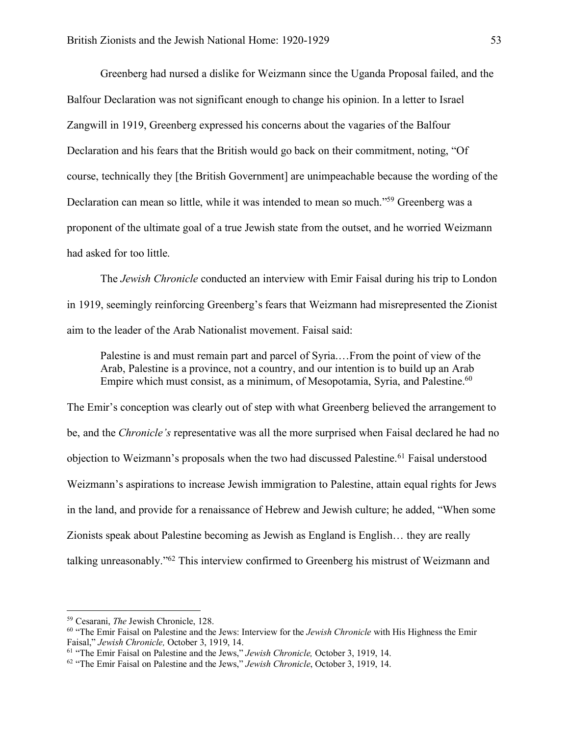Greenberg had nursed a dislike for Weizmann since the Uganda Proposal failed, and the Balfour Declaration was not significant enough to change his opinion. In a letter to Israel Zangwill in 1919, Greenberg expressed his concerns about the vagaries of the Balfour Declaration and his fears that the British would go back on their commitment, noting, "Of course, technically they [the British Government] are unimpeachable because the wording of the Declaration can mean so little, while it was intended to mean so much."59 Greenberg was a proponent of the ultimate goal of a true Jewish state from the outset, and he worried Weizmann had asked for too little.

The *Jewish Chronicle* conducted an interview with Emir Faisal during his trip to London in 1919, seemingly reinforcing Greenberg's fears that Weizmann had misrepresented the Zionist aim to the leader of the Arab Nationalist movement. Faisal said:

Palestine is and must remain part and parcel of Syria.…From the point of view of the Arab, Palestine is a province, not a country, and our intention is to build up an Arab Empire which must consist, as a minimum, of Mesopotamia, Syria, and Palestine.<sup>60</sup>

The Emir's conception was clearly out of step with what Greenberg believed the arrangement to be, and the *Chronicle's* representative was all the more surprised when Faisal declared he had no objection to Weizmann's proposals when the two had discussed Palestine.61 Faisal understood Weizmann's aspirations to increase Jewish immigration to Palestine, attain equal rights for Jews in the land, and provide for a renaissance of Hebrew and Jewish culture; he added, "When some Zionists speak about Palestine becoming as Jewish as England is English… they are really talking unreasonably."62 This interview confirmed to Greenberg his mistrust of Weizmann and

 <sup>59</sup> Cesarani, *The* Jewish Chronicle, 128.

<sup>60</sup> "The Emir Faisal on Palestine and the Jews: Interview for the *Jewish Chronicle* with His Highness the Emir Faisal," *Jewish Chronicle,* October 3, 1919, 14.

<sup>61</sup> "The Emir Faisal on Palestine and the Jews," *Jewish Chronicle,* October 3, 1919, 14.

<sup>62</sup> "The Emir Faisal on Palestine and the Jews," *Jewish Chronicle*, October 3, 1919, 14.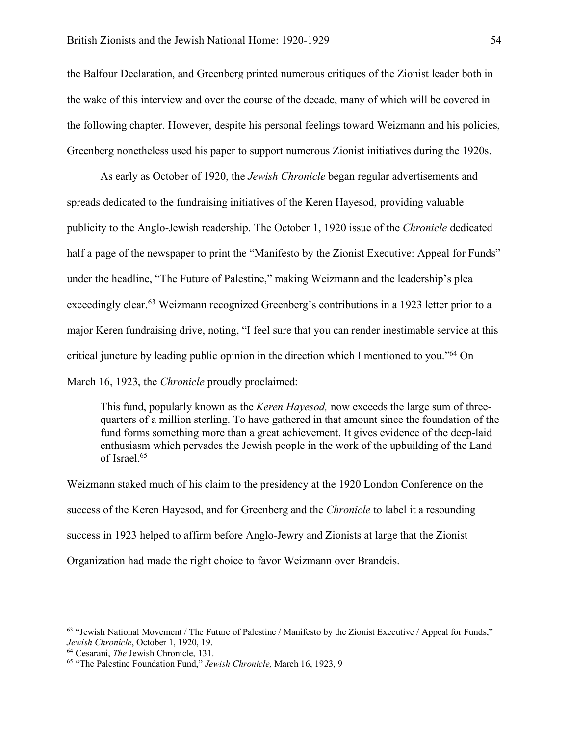the Balfour Declaration, and Greenberg printed numerous critiques of the Zionist leader both in the wake of this interview and over the course of the decade, many of which will be covered in the following chapter. However, despite his personal feelings toward Weizmann and his policies, Greenberg nonetheless used his paper to support numerous Zionist initiatives during the 1920s.

As early as October of 1920, the *Jewish Chronicle* began regular advertisements and spreads dedicated to the fundraising initiatives of the Keren Hayesod, providing valuable publicity to the Anglo-Jewish readership. The October 1, 1920 issue of the *Chronicle* dedicated half a page of the newspaper to print the "Manifesto by the Zionist Executive: Appeal for Funds" under the headline, "The Future of Palestine," making Weizmann and the leadership's plea exceedingly clear.<sup>63</sup> Weizmann recognized Greenberg's contributions in a 1923 letter prior to a major Keren fundraising drive, noting, "I feel sure that you can render inestimable service at this critical juncture by leading public opinion in the direction which I mentioned to you."64 On March 16, 1923, the *Chronicle* proudly proclaimed:

This fund, popularly known as the *Keren Hayesod,* now exceeds the large sum of threequarters of a million sterling. To have gathered in that amount since the foundation of the fund forms something more than a great achievement. It gives evidence of the deep-laid enthusiasm which pervades the Jewish people in the work of the upbuilding of the Land of Israel.65

Weizmann staked much of his claim to the presidency at the 1920 London Conference on the success of the Keren Hayesod, and for Greenberg and the *Chronicle* to label it a resounding success in 1923 helped to affirm before Anglo-Jewry and Zionists at large that the Zionist Organization had made the right choice to favor Weizmann over Brandeis.

<sup>&</sup>lt;sup>63</sup> "Jewish National Movement / The Future of Palestine / Manifesto by the Zionist Executive / Appeal for Funds," *Jewish Chronicle*, October 1, 1920, 19. 64 Cesarani, *The* Jewish Chronicle, 131.

<sup>65</sup> "The Palestine Foundation Fund," *Jewish Chronicle,* March 16, 1923, 9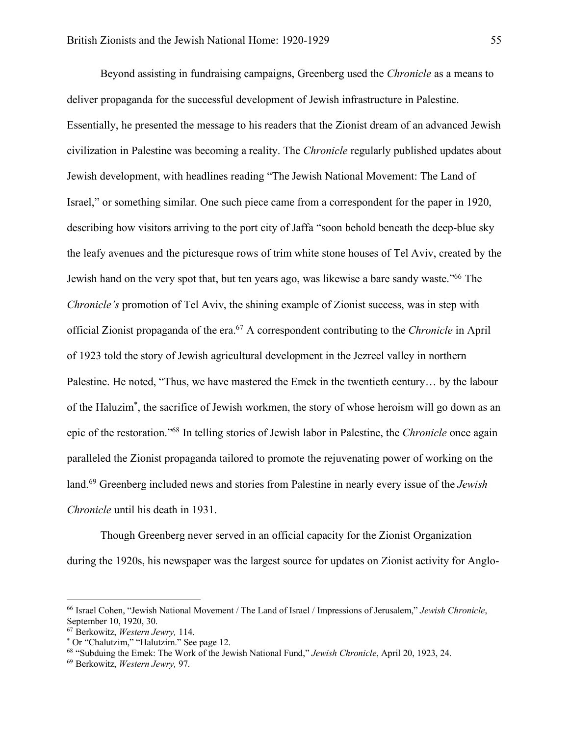Beyond assisting in fundraising campaigns, Greenberg used the *Chronicle* as a means to deliver propaganda for the successful development of Jewish infrastructure in Palestine. Essentially, he presented the message to his readers that the Zionist dream of an advanced Jewish civilization in Palestine was becoming a reality. The *Chronicle* regularly published updates about Jewish development, with headlines reading "The Jewish National Movement: The Land of Israel," or something similar. One such piece came from a correspondent for the paper in 1920, describing how visitors arriving to the port city of Jaffa "soon behold beneath the deep-blue sky the leafy avenues and the picturesque rows of trim white stone houses of Tel Aviv, created by the Jewish hand on the very spot that, but ten years ago, was likewise a bare sandy waste."66 The *Chronicle's* promotion of Tel Aviv, the shining example of Zionist success, was in step with official Zionist propaganda of the era.67 A correspondent contributing to the *Chronicle* in April of 1923 told the story of Jewish agricultural development in the Jezreel valley in northern Palestine. He noted, "Thus, we have mastered the Emek in the twentieth century… by the labour of the Haluzim\* , the sacrifice of Jewish workmen, the story of whose heroism will go down as an epic of the restoration."68 In telling stories of Jewish labor in Palestine, the *Chronicle* once again paralleled the Zionist propaganda tailored to promote the rejuvenating power of working on the land.69 Greenberg included news and stories from Palestine in nearly every issue of the *Jewish Chronicle* until his death in 1931.

Though Greenberg never served in an official capacity for the Zionist Organization during the 1920s, his newspaper was the largest source for updates on Zionist activity for Anglo-

 <sup>66</sup> Israel Cohen, "Jewish National Movement / The Land of Israel / Impressions of Jerusalem," *Jewish Chronicle*, September 10, 1920, 30.

<sup>67</sup> Berkowitz, *Western Jewry,* 114.

<sup>\*</sup> Or "Chalutzim," "Halutzim." See page 12.

<sup>68</sup> "Subduing the Emek: The Work of the Jewish National Fund," *Jewish Chronicle*, April 20, 1923, 24.

<sup>69</sup> Berkowitz, *Western Jewry,* 97.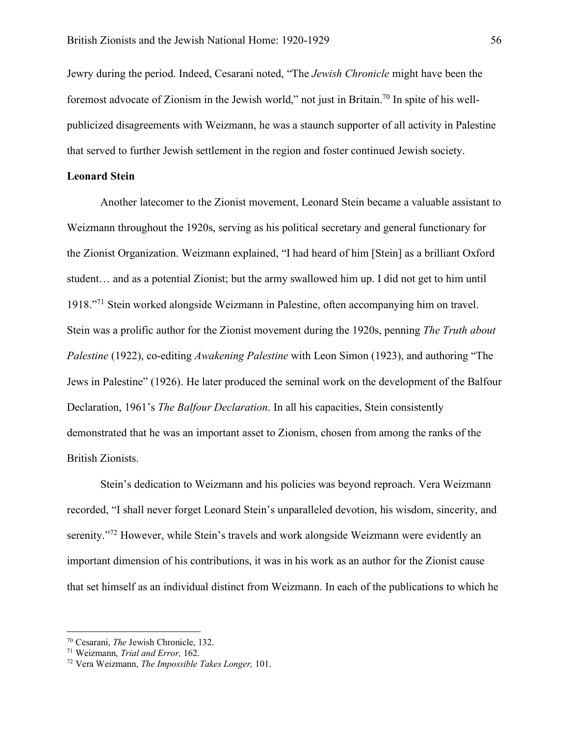Jewry during the period. Indeed, Cesarani noted, "The *Jewish Chronicle* might have been the foremost advocate of Zionism in the Jewish world," not just in Britain.<sup>70</sup> In spite of his wellpublicized disagreements with Weizmann, he was a staunch supporter of all activity in Palestine that served to further Jewish settlement in the region and foster continued Jewish society.

# **Leonard Stein**

Another latecomer to the Zionist movement, Leonard Stein became a valuable assistant to Weizmann throughout the 1920s, serving as his political secretary and general functionary for the Zionist Organization. Weizmann explained, "I had heard of him [Stein] as a brilliant Oxford student… and as a potential Zionist; but the army swallowed him up. I did not get to him until 1918."71 Stein worked alongside Weizmann in Palestine, often accompanying him on travel. Stein was a prolific author for the Zionist movement during the 1920s, penning *The Truth about Palestine* (1922), co-editing *Awakening Palestine* with Leon Simon (1923), and authoring "The Jews in Palestine" (1926). He later produced the seminal work on the development of the Balfour Declaration, 1961's *The Balfour Declaration*. In all his capacities, Stein consistently demonstrated that he was an important asset to Zionism, chosen from among the ranks of the British Zionists.

Stein's dedication to Weizmann and his policies was beyond reproach. Vera Weizmann recorded, "I shall never forget Leonard Stein's unparalleled devotion, his wisdom, sincerity, and serenity."<sup>72</sup> However, while Stein's travels and work alongside Weizmann were evidently an important dimension of his contributions, it was in his work as an author for the Zionist cause that set himself as an individual distinct from Weizmann. In each of the publications to which he

 <sup>70</sup> Cesarani, *The* Jewish Chronicle, 132.

<sup>71</sup> Weizmann, *Trial and Error,* 162.

<sup>72</sup> Vera Weizmann, *The Impossible Takes Longer,* 101.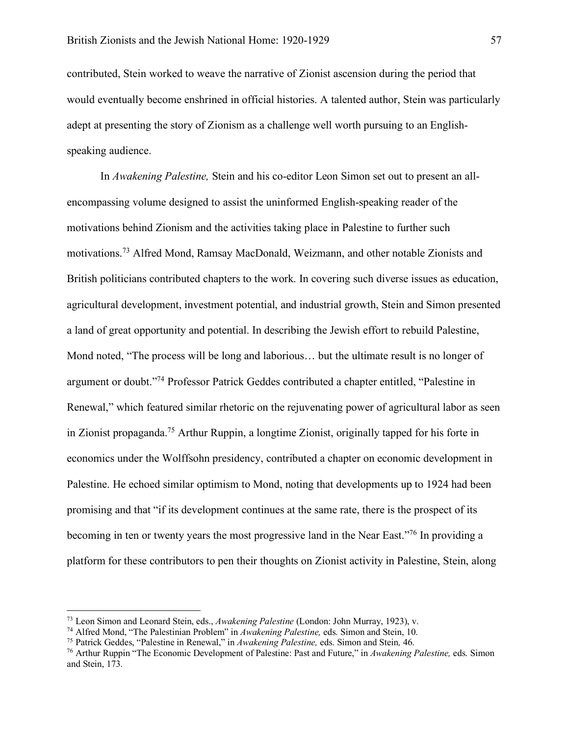contributed, Stein worked to weave the narrative of Zionist ascension during the period that would eventually become enshrined in official histories. A talented author, Stein was particularly adept at presenting the story of Zionism as a challenge well worth pursuing to an Englishspeaking audience.

In *Awakening Palestine,* Stein and his co-editor Leon Simon set out to present an allencompassing volume designed to assist the uninformed English-speaking reader of the motivations behind Zionism and the activities taking place in Palestine to further such motivations.73 Alfred Mond, Ramsay MacDonald, Weizmann, and other notable Zionists and British politicians contributed chapters to the work. In covering such diverse issues as education, agricultural development, investment potential, and industrial growth, Stein and Simon presented a land of great opportunity and potential. In describing the Jewish effort to rebuild Palestine, Mond noted, "The process will be long and laborious… but the ultimate result is no longer of argument or doubt."74 Professor Patrick Geddes contributed a chapter entitled, "Palestine in Renewal," which featured similar rhetoric on the rejuvenating power of agricultural labor as seen in Zionist propaganda.75 Arthur Ruppin, a longtime Zionist, originally tapped for his forte in economics under the Wolffsohn presidency, contributed a chapter on economic development in Palestine. He echoed similar optimism to Mond, noting that developments up to 1924 had been promising and that "if its development continues at the same rate, there is the prospect of its becoming in ten or twenty years the most progressive land in the Near East."76 In providing a platform for these contributors to pen their thoughts on Zionist activity in Palestine, Stein, along

 <sup>73</sup> Leon Simon and Leonard Stein, eds., *Awakening Palestine* (London: John Murray, 1923), v.

<sup>74</sup> Alfred Mond, "The Palestinian Problem" in *Awakening Palestine,* eds. Simon and Stein, 10.

<sup>75</sup> Patrick Geddes, "Palestine in Renewal," in *Awakening Palestine,* eds. Simon and Stein*,* 46.

<sup>76</sup> Arthur Ruppin "The Economic Development of Palestine: Past and Future," in *Awakening Palestine,* eds. Simon and Stein, 173.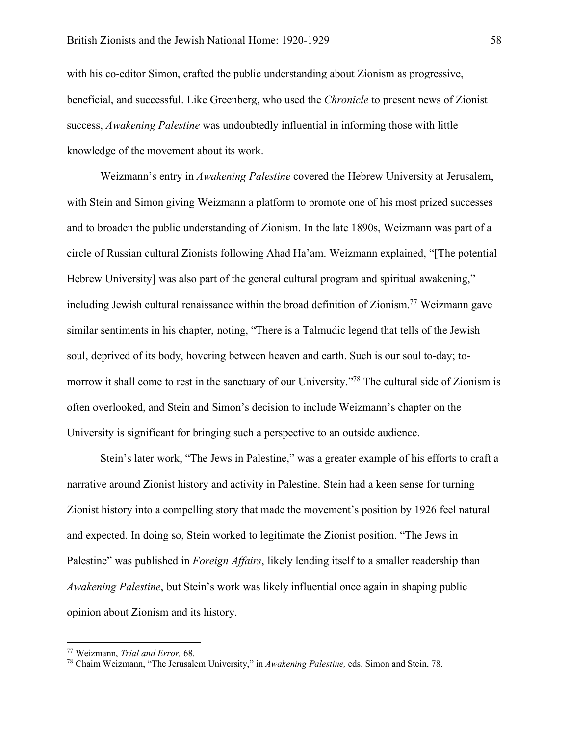with his co-editor Simon, crafted the public understanding about Zionism as progressive, beneficial, and successful. Like Greenberg, who used the *Chronicle* to present news of Zionist success, *Awakening Palestine* was undoubtedly influential in informing those with little knowledge of the movement about its work.

Weizmann's entry in *Awakening Palestine* covered the Hebrew University at Jerusalem, with Stein and Simon giving Weizmann a platform to promote one of his most prized successes and to broaden the public understanding of Zionism. In the late 1890s, Weizmann was part of a circle of Russian cultural Zionists following Ahad Ha'am. Weizmann explained, "[The potential Hebrew University] was also part of the general cultural program and spiritual awakening," including Jewish cultural renaissance within the broad definition of Zionism.77 Weizmann gave similar sentiments in his chapter, noting, "There is a Talmudic legend that tells of the Jewish soul, deprived of its body, hovering between heaven and earth. Such is our soul to-day; tomorrow it shall come to rest in the sanctuary of our University."<sup>78</sup> The cultural side of Zionism is often overlooked, and Stein and Simon's decision to include Weizmann's chapter on the University is significant for bringing such a perspective to an outside audience.

Stein's later work, "The Jews in Palestine," was a greater example of his efforts to craft a narrative around Zionist history and activity in Palestine. Stein had a keen sense for turning Zionist history into a compelling story that made the movement's position by 1926 feel natural and expected. In doing so, Stein worked to legitimate the Zionist position. "The Jews in Palestine" was published in *Foreign Affairs*, likely lending itself to a smaller readership than *Awakening Palestine*, but Stein's work was likely influential once again in shaping public opinion about Zionism and its history.

 <sup>77</sup> Weizmann, *Trial and Error,* 68.

<sup>78</sup> Chaim Weizmann, "The Jerusalem University," in *Awakening Palestine,* eds. Simon and Stein, 78.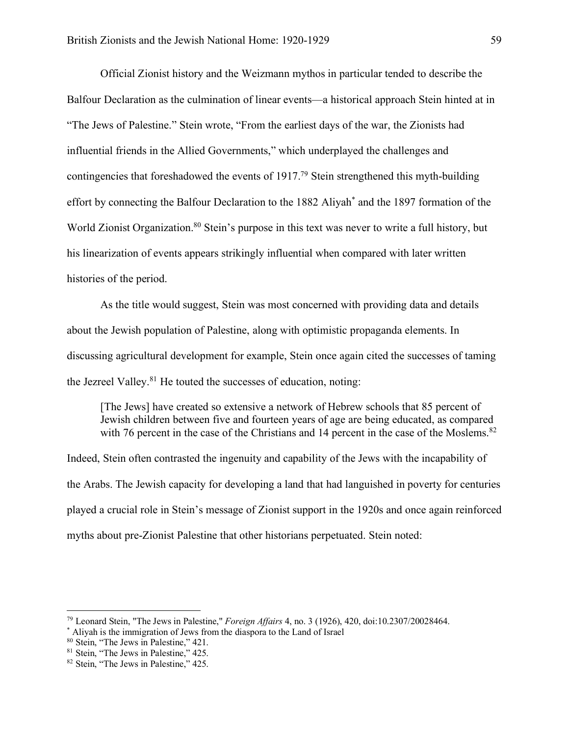Official Zionist history and the Weizmann mythos in particular tended to describe the Balfour Declaration as the culmination of linear events—a historical approach Stein hinted at in "The Jews of Palestine." Stein wrote, "From the earliest days of the war, the Zionists had influential friends in the Allied Governments," which underplayed the challenges and contingencies that foreshadowed the events of 1917.79 Stein strengthened this myth-building effort by connecting the Balfour Declaration to the 1882 Aliyah\* and the 1897 formation of the World Zionist Organization.<sup>80</sup> Stein's purpose in this text was never to write a full history, but his linearization of events appears strikingly influential when compared with later written histories of the period.

As the title would suggest, Stein was most concerned with providing data and details about the Jewish population of Palestine, along with optimistic propaganda elements. In discussing agricultural development for example, Stein once again cited the successes of taming the Jezreel Valley.<sup>81</sup> He touted the successes of education, noting:

[The Jews] have created so extensive a network of Hebrew schools that 85 percent of Jewish children between five and fourteen years of age are being educated, as compared with 76 percent in the case of the Christians and 14 percent in the case of the Moslems.<sup>82</sup>

Indeed, Stein often contrasted the ingenuity and capability of the Jews with the incapability of the Arabs. The Jewish capacity for developing a land that had languished in poverty for centuries played a crucial role in Stein's message of Zionist support in the 1920s and once again reinforced myths about pre-Zionist Palestine that other historians perpetuated. Stein noted:

 <sup>79</sup> Leonard Stein, "The Jews in Palestine," *Foreign Affairs* 4, no. 3 (1926), 420, doi:10.2307/20028464.

<sup>\*</sup> Aliyah is the immigration of Jews from the diaspora to the Land of Israel

<sup>80</sup> Stein, "The Jews in Palestine," 421. 81 Stein, "The Jews in Palestine," 425.

<sup>82</sup> Stein, "The Jews in Palestine," 425.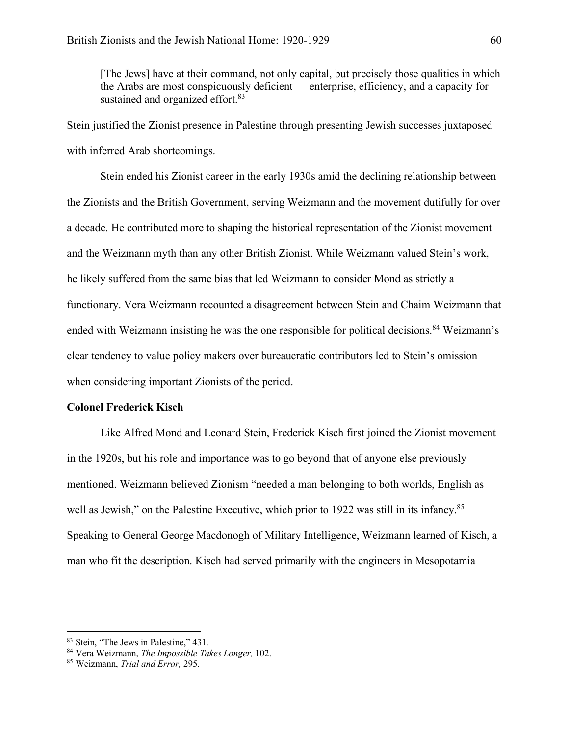[The Jews] have at their command, not only capital, but precisely those qualities in which the Arabs are most conspicuously deficient — enterprise, efficiency, and a capacity for sustained and organized effort.<sup>83</sup>

Stein justified the Zionist presence in Palestine through presenting Jewish successes juxtaposed with inferred Arab shortcomings.

Stein ended his Zionist career in the early 1930s amid the declining relationship between the Zionists and the British Government, serving Weizmann and the movement dutifully for over a decade. He contributed more to shaping the historical representation of the Zionist movement and the Weizmann myth than any other British Zionist. While Weizmann valued Stein's work, he likely suffered from the same bias that led Weizmann to consider Mond as strictly a functionary. Vera Weizmann recounted a disagreement between Stein and Chaim Weizmann that ended with Weizmann insisting he was the one responsible for political decisions.<sup>84</sup> Weizmann's clear tendency to value policy makers over bureaucratic contributors led to Stein's omission when considering important Zionists of the period.

### **Colonel Frederick Kisch**

Like Alfred Mond and Leonard Stein, Frederick Kisch first joined the Zionist movement in the 1920s, but his role and importance was to go beyond that of anyone else previously mentioned. Weizmann believed Zionism "needed a man belonging to both worlds, English as well as Jewish," on the Palestine Executive, which prior to 1922 was still in its infancy.<sup>85</sup> Speaking to General George Macdonogh of Military Intelligence, Weizmann learned of Kisch, a man who fit the description. Kisch had served primarily with the engineers in Mesopotamia

 <sup>83</sup> Stein, "The Jews in Palestine," 431.

<sup>84</sup> Vera Weizmann, *The Impossible Takes Longer,* 102.

<sup>85</sup> Weizmann, *Trial and Error,* 295.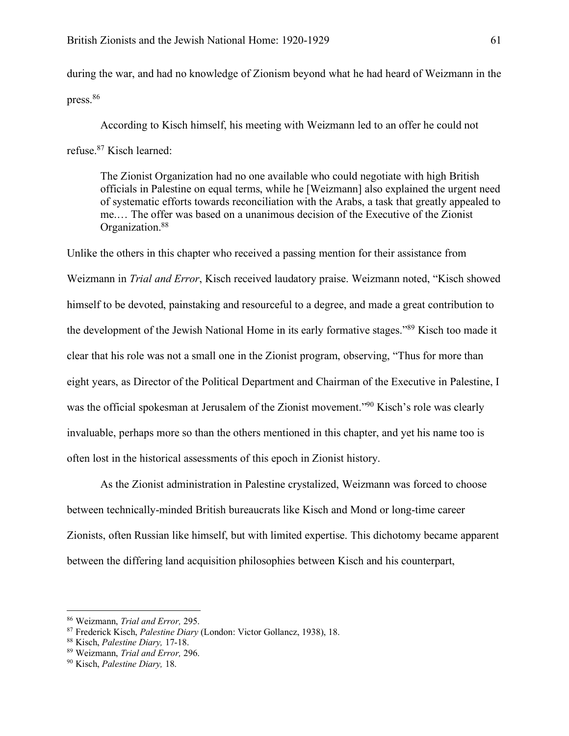during the war, and had no knowledge of Zionism beyond what he had heard of Weizmann in the press.<sup>86</sup>

According to Kisch himself, his meeting with Weizmann led to an offer he could not refuse.87 Kisch learned:

The Zionist Organization had no one available who could negotiate with high British officials in Palestine on equal terms, while he [Weizmann] also explained the urgent need of systematic efforts towards reconciliation with the Arabs, a task that greatly appealed to me.… The offer was based on a unanimous decision of the Executive of the Zionist Organization.<sup>88</sup>

Unlike the others in this chapter who received a passing mention for their assistance from Weizmann in *Trial and Error*, Kisch received laudatory praise. Weizmann noted, "Kisch showed himself to be devoted, painstaking and resourceful to a degree, and made a great contribution to the development of the Jewish National Home in its early formative stages."89 Kisch too made it clear that his role was not a small one in the Zionist program, observing, "Thus for more than eight years, as Director of the Political Department and Chairman of the Executive in Palestine, I was the official spokesman at Jerusalem of the Zionist movement."<sup>90</sup> Kisch's role was clearly invaluable, perhaps more so than the others mentioned in this chapter, and yet his name too is often lost in the historical assessments of this epoch in Zionist history.

As the Zionist administration in Palestine crystalized, Weizmann was forced to choose between technically-minded British bureaucrats like Kisch and Mond or long-time career Zionists, often Russian like himself, but with limited expertise. This dichotomy became apparent between the differing land acquisition philosophies between Kisch and his counterpart,

 <sup>86</sup> Weizmann, *Trial and Error,* 295.

<sup>87</sup> Frederick Kisch, *Palestine Diary* (London: Victor Gollancz, 1938), 18.

<sup>88</sup> Kisch, *Palestine Diary,* 17-18.

<sup>89</sup> Weizmann, *Trial and Error,* 296.

<sup>90</sup> Kisch, *Palestine Diary,* 18.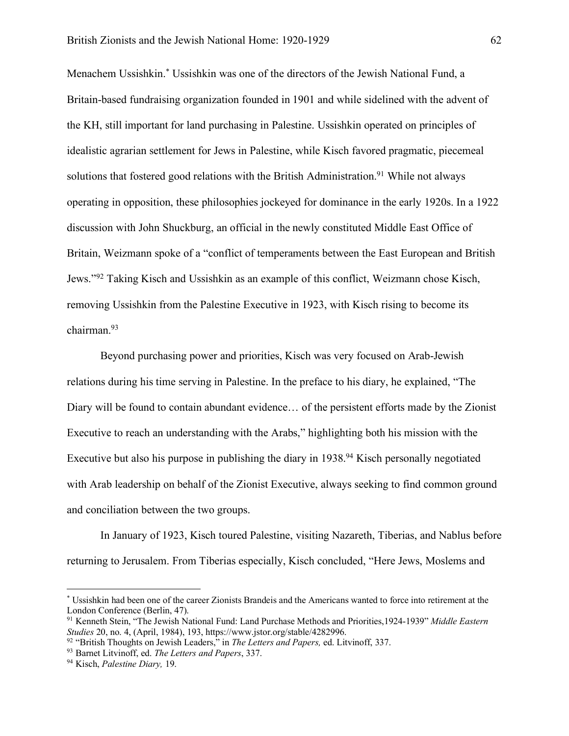Menachem Ussishkin.\* Ussishkin was one of the directors of the Jewish National Fund, a Britain-based fundraising organization founded in 1901 and while sidelined with the advent of the KH, still important for land purchasing in Palestine. Ussishkin operated on principles of idealistic agrarian settlement for Jews in Palestine, while Kisch favored pragmatic, piecemeal solutions that fostered good relations with the British Administration.<sup>91</sup> While not always operating in opposition, these philosophies jockeyed for dominance in the early 1920s. In a 1922 discussion with John Shuckburg, an official in the newly constituted Middle East Office of Britain, Weizmann spoke of a "conflict of temperaments between the East European and British Jews."92 Taking Kisch and Ussishkin as an example of this conflict, Weizmann chose Kisch, removing Ussishkin from the Palestine Executive in 1923, with Kisch rising to become its chairman.93

Beyond purchasing power and priorities, Kisch was very focused on Arab-Jewish relations during his time serving in Palestine. In the preface to his diary, he explained, "The Diary will be found to contain abundant evidence… of the persistent efforts made by the Zionist Executive to reach an understanding with the Arabs," highlighting both his mission with the Executive but also his purpose in publishing the diary in  $1938<sup>94</sup>$  Kisch personally negotiated with Arab leadership on behalf of the Zionist Executive, always seeking to find common ground and conciliation between the two groups.

In January of 1923, Kisch toured Palestine, visiting Nazareth, Tiberias, and Nablus before returning to Jerusalem. From Tiberias especially, Kisch concluded, "Here Jews, Moslems and

 <sup>\*</sup> Ussishkin had been one of the career Zionists Brandeis and the Americans wanted to force into retirement at the London Conference (Berlin, 47).

<sup>91</sup> Kenneth Stein, "The Jewish National Fund: Land Purchase Methods and Priorities,1924-1939" *Middle Eastern Studies* 20, no. 4, (April, 1984), 193, https://www.jstor.org/stable/4282996.

<sup>92</sup> "British Thoughts on Jewish Leaders," in *The Letters and Papers,* ed. Litvinoff, 337.

<sup>93</sup> Barnet Litvinoff, ed. *The Letters and Papers*, 337.

<sup>94</sup> Kisch, *Palestine Diary,* 19.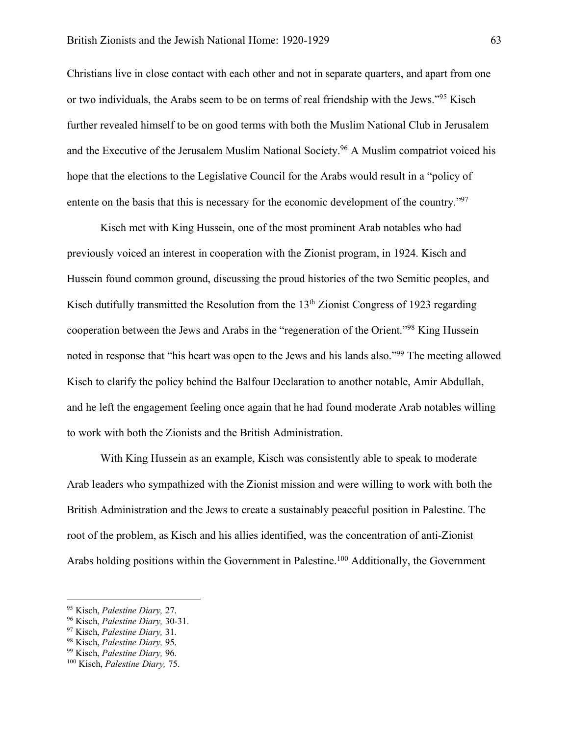Christians live in close contact with each other and not in separate quarters, and apart from one or two individuals, the Arabs seem to be on terms of real friendship with the Jews."95 Kisch further revealed himself to be on good terms with both the Muslim National Club in Jerusalem and the Executive of the Jerusalem Muslim National Society.96 A Muslim compatriot voiced his hope that the elections to the Legislative Council for the Arabs would result in a "policy of entente on the basis that this is necessary for the economic development of the country."97

Kisch met with King Hussein, one of the most prominent Arab notables who had previously voiced an interest in cooperation with the Zionist program, in 1924. Kisch and Hussein found common ground, discussing the proud histories of the two Semitic peoples, and Kisch dutifully transmitted the Resolution from the 13<sup>th</sup> Zionist Congress of 1923 regarding cooperation between the Jews and Arabs in the "regeneration of the Orient."98 King Hussein noted in response that "his heart was open to the Jews and his lands also."99 The meeting allowed Kisch to clarify the policy behind the Balfour Declaration to another notable, Amir Abdullah, and he left the engagement feeling once again that he had found moderate Arab notables willing to work with both the Zionists and the British Administration.

With King Hussein as an example, Kisch was consistently able to speak to moderate Arab leaders who sympathized with the Zionist mission and were willing to work with both the British Administration and the Jews to create a sustainably peaceful position in Palestine. The root of the problem, as Kisch and his allies identified, was the concentration of anti-Zionist Arabs holding positions within the Government in Palestine.<sup>100</sup> Additionally, the Government

 <sup>95</sup> Kisch, *Palestine Diary,* 27.

<sup>96</sup> Kisch, *Palestine Diary,* 30-31.

<sup>97</sup> Kisch, *Palestine Diary,* 31.

<sup>98</sup> Kisch, *Palestine Diary,* 95.

<sup>99</sup> Kisch, *Palestine Diary,* 96.

<sup>100</sup> Kisch, *Palestine Diary,* 75.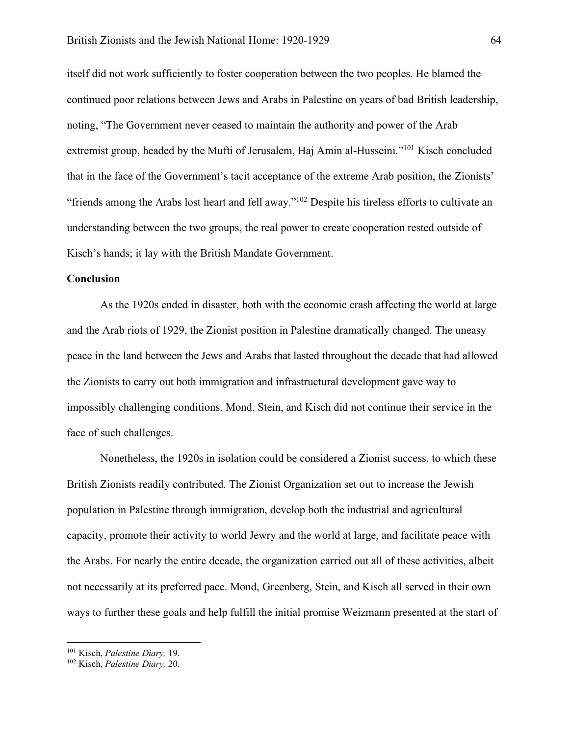itself did not work sufficiently to foster cooperation between the two peoples. He blamed the continued poor relations between Jews and Arabs in Palestine on years of bad British leadership, noting, "The Government never ceased to maintain the authority and power of the Arab extremist group, headed by the Mufti of Jerusalem, Haj Amin al-Husseini."<sup>101</sup> Kisch concluded that in the face of the Government's tacit acceptance of the extreme Arab position, the Zionists' "friends among the Arabs lost heart and fell away."102 Despite his tireless efforts to cultivate an understanding between the two groups, the real power to create cooperation rested outside of Kisch's hands; it lay with the British Mandate Government.

### **Conclusion**

As the 1920s ended in disaster, both with the economic crash affecting the world at large and the Arab riots of 1929, the Zionist position in Palestine dramatically changed. The uneasy peace in the land between the Jews and Arabs that lasted throughout the decade that had allowed the Zionists to carry out both immigration and infrastructural development gave way to impossibly challenging conditions. Mond, Stein, and Kisch did not continue their service in the face of such challenges.

Nonetheless, the 1920s in isolation could be considered a Zionist success, to which these British Zionists readily contributed. The Zionist Organization set out to increase the Jewish population in Palestine through immigration, develop both the industrial and agricultural capacity, promote their activity to world Jewry and the world at large, and facilitate peace with the Arabs. For nearly the entire decade, the organization carried out all of these activities, albeit not necessarily at its preferred pace. Mond, Greenberg, Stein, and Kisch all served in their own ways to further these goals and help fulfill the initial promise Weizmann presented at the start of

 <sup>101</sup> Kisch, *Palestine Diary,* 19.

<sup>102</sup> Kisch, *Palestine Diary,* 20.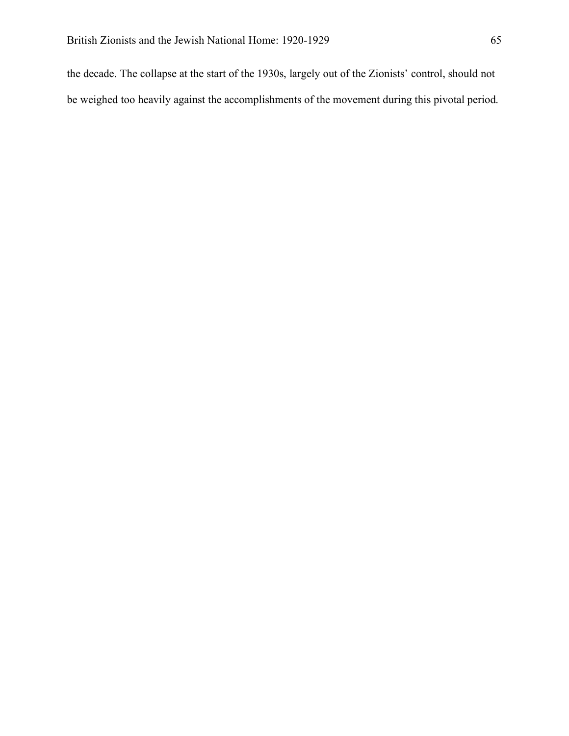the decade. The collapse at the start of the 1930s, largely out of the Zionists' control, should not be weighed too heavily against the accomplishments of the movement during this pivotal period.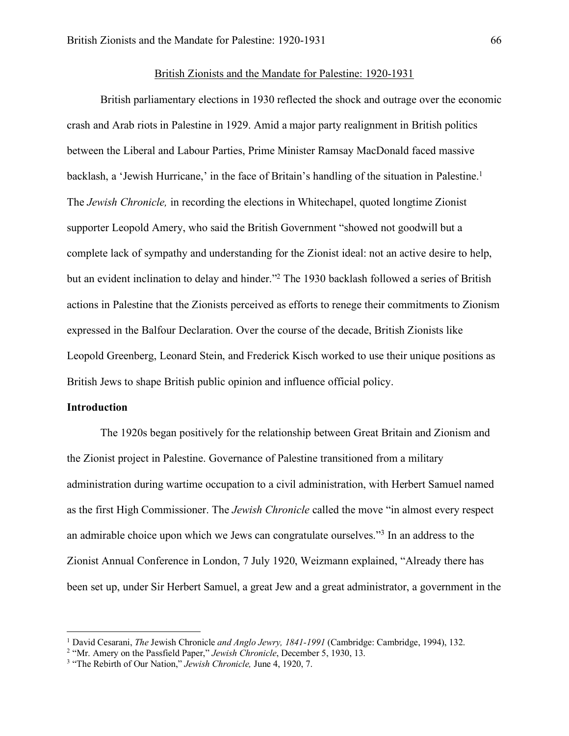### British Zionists and the Mandate for Palestine: 1920-1931

British parliamentary elections in 1930 reflected the shock and outrage over the economic crash and Arab riots in Palestine in 1929. Amid a major party realignment in British politics between the Liberal and Labour Parties, Prime Minister Ramsay MacDonald faced massive backlash, a 'Jewish Hurricane,' in the face of Britain's handling of the situation in Palestine.<sup>1</sup> The *Jewish Chronicle,* in recording the elections in Whitechapel, quoted longtime Zionist supporter Leopold Amery, who said the British Government "showed not goodwill but a complete lack of sympathy and understanding for the Zionist ideal: not an active desire to help, but an evident inclination to delay and hinder."2 The 1930 backlash followed a series of British actions in Palestine that the Zionists perceived as efforts to renege their commitments to Zionism expressed in the Balfour Declaration. Over the course of the decade, British Zionists like Leopold Greenberg, Leonard Stein, and Frederick Kisch worked to use their unique positions as British Jews to shape British public opinion and influence official policy.

#### **Introduction**

The 1920s began positively for the relationship between Great Britain and Zionism and the Zionist project in Palestine. Governance of Palestine transitioned from a military administration during wartime occupation to a civil administration, with Herbert Samuel named as the first High Commissioner. The *Jewish Chronicle* called the move "in almost every respect an admirable choice upon which we Jews can congratulate ourselves."3 In an address to the Zionist Annual Conference in London, 7 July 1920, Weizmann explained, "Already there has been set up, under Sir Herbert Samuel, a great Jew and a great administrator, a government in the

 <sup>1</sup> David Cesarani, *The* Jewish Chronicle *and Anglo Jewry, 1841-1991* (Cambridge: Cambridge, 1994), 132.

<sup>2</sup> "Mr. Amery on the Passfield Paper," *Jewish Chronicle*, December 5, 1930, 13.

<sup>3</sup> "The Rebirth of Our Nation," *Jewish Chronicle,* June 4, 1920, 7.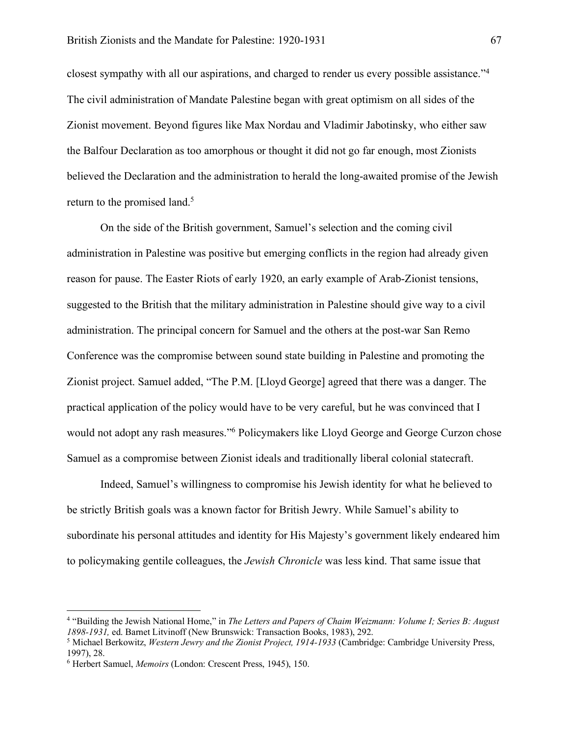closest sympathy with all our aspirations, and charged to render us every possible assistance."4 The civil administration of Mandate Palestine began with great optimism on all sides of the Zionist movement. Beyond figures like Max Nordau and Vladimir Jabotinsky, who either saw the Balfour Declaration as too amorphous or thought it did not go far enough, most Zionists believed the Declaration and the administration to herald the long-awaited promise of the Jewish return to the promised land.<sup>5</sup>

On the side of the British government, Samuel's selection and the coming civil administration in Palestine was positive but emerging conflicts in the region had already given reason for pause. The Easter Riots of early 1920, an early example of Arab-Zionist tensions, suggested to the British that the military administration in Palestine should give way to a civil administration. The principal concern for Samuel and the others at the post-war San Remo Conference was the compromise between sound state building in Palestine and promoting the Zionist project. Samuel added, "The P.M. [Lloyd George] agreed that there was a danger. The practical application of the policy would have to be very careful, but he was convinced that I would not adopt any rash measures."6 Policymakers like Lloyd George and George Curzon chose Samuel as a compromise between Zionist ideals and traditionally liberal colonial statecraft.

Indeed, Samuel's willingness to compromise his Jewish identity for what he believed to be strictly British goals was a known factor for British Jewry. While Samuel's ability to subordinate his personal attitudes and identity for His Majesty's government likely endeared him to policymaking gentile colleagues, the *Jewish Chronicle* was less kind. That same issue that

 <sup>4</sup> "Building the Jewish National Home," in *The Letters and Papers of Chaim Weizmann: Volume I; Series B: August 1898-1931,* ed. Barnet Litvinoff (New Brunswick: Transaction Books, 1983), 292.

<sup>5</sup> Michael Berkowitz, *Western Jewry and the Zionist Project, 1914-1933* (Cambridge: Cambridge University Press, 1997), 28.

<sup>6</sup> Herbert Samuel, *Memoirs* (London: Crescent Press, 1945), 150.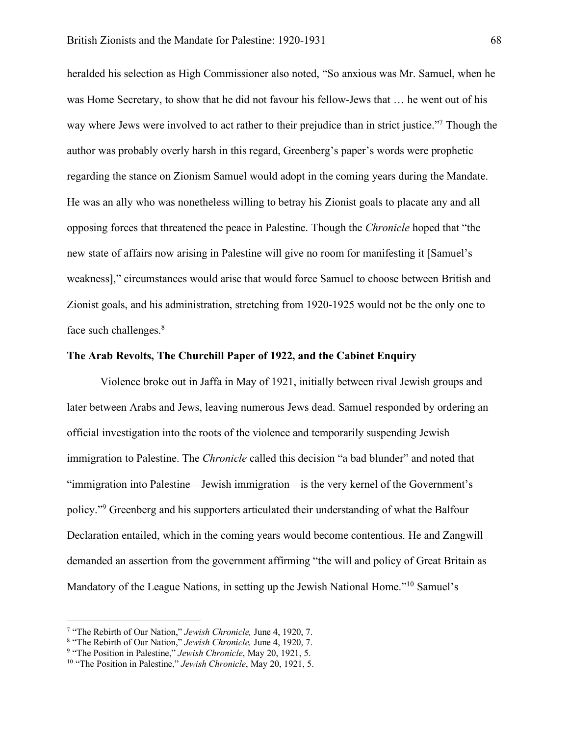heralded his selection as High Commissioner also noted, "So anxious was Mr. Samuel, when he was Home Secretary, to show that he did not favour his fellow-Jews that … he went out of his way where Jews were involved to act rather to their prejudice than in strict justice."<sup>7</sup> Though the author was probably overly harsh in this regard, Greenberg's paper's words were prophetic regarding the stance on Zionism Samuel would adopt in the coming years during the Mandate. He was an ally who was nonetheless willing to betray his Zionist goals to placate any and all opposing forces that threatened the peace in Palestine. Though the *Chronicle* hoped that "the new state of affairs now arising in Palestine will give no room for manifesting it [Samuel's weakness]," circumstances would arise that would force Samuel to choose between British and Zionist goals, and his administration, stretching from 1920-1925 would not be the only one to face such challenges.<sup>8</sup>

#### **The Arab Revolts, The Churchill Paper of 1922, and the Cabinet Enquiry**

Violence broke out in Jaffa in May of 1921, initially between rival Jewish groups and later between Arabs and Jews, leaving numerous Jews dead. Samuel responded by ordering an official investigation into the roots of the violence and temporarily suspending Jewish immigration to Palestine. The *Chronicle* called this decision "a bad blunder" and noted that "immigration into Palestine—Jewish immigration—is the very kernel of the Government's policy."9 Greenberg and his supporters articulated their understanding of what the Balfour Declaration entailed, which in the coming years would become contentious. He and Zangwill demanded an assertion from the government affirming "the will and policy of Great Britain as Mandatory of the League Nations, in setting up the Jewish National Home."10 Samuel's

 <sup>7</sup> "The Rebirth of Our Nation," *Jewish Chronicle,* June 4, 1920, 7.

<sup>8</sup> "The Rebirth of Our Nation," *Jewish Chronicle,* June 4, 1920, 7.

<sup>9</sup> "The Position in Palestine," *Jewish Chronicle*, May 20, 1921, 5.

<sup>10</sup> "The Position in Palestine," *Jewish Chronicle*, May 20, 1921, 5.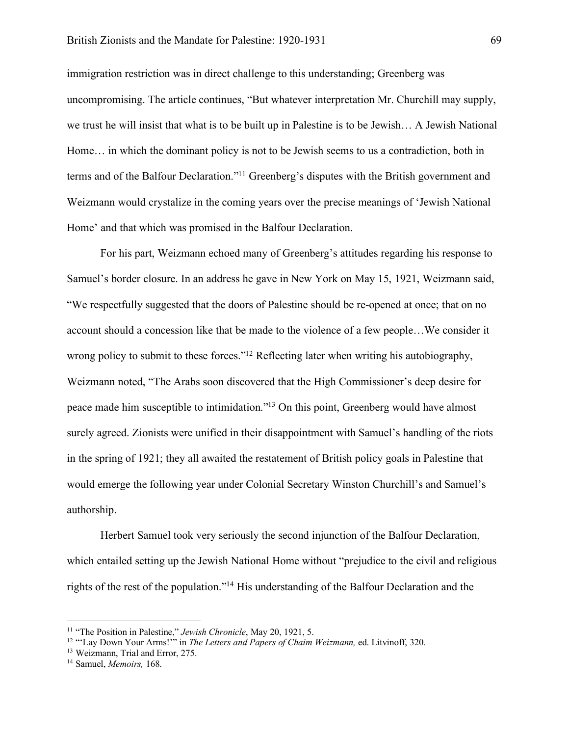immigration restriction was in direct challenge to this understanding; Greenberg was uncompromising. The article continues, "But whatever interpretation Mr. Churchill may supply, we trust he will insist that what is to be built up in Palestine is to be Jewish… A Jewish National Home… in which the dominant policy is not to be Jewish seems to us a contradiction, both in terms and of the Balfour Declaration."11 Greenberg's disputes with the British government and Weizmann would crystalize in the coming years over the precise meanings of 'Jewish National Home' and that which was promised in the Balfour Declaration.

For his part, Weizmann echoed many of Greenberg's attitudes regarding his response to Samuel's border closure. In an address he gave in New York on May 15, 1921, Weizmann said, "We respectfully suggested that the doors of Palestine should be re-opened at once; that on no account should a concession like that be made to the violence of a few people…We consider it wrong policy to submit to these forces."<sup>12</sup> Reflecting later when writing his autobiography, Weizmann noted, "The Arabs soon discovered that the High Commissioner's deep desire for peace made him susceptible to intimidation."13 On this point, Greenberg would have almost surely agreed. Zionists were unified in their disappointment with Samuel's handling of the riots in the spring of 1921; they all awaited the restatement of British policy goals in Palestine that would emerge the following year under Colonial Secretary Winston Churchill's and Samuel's authorship.

Herbert Samuel took very seriously the second injunction of the Balfour Declaration, which entailed setting up the Jewish National Home without "prejudice to the civil and religious rights of the rest of the population."14 His understanding of the Balfour Declaration and the

 <sup>11</sup> "The Position in Palestine," *Jewish Chronicle*, May 20, 1921, 5.

<sup>&</sup>lt;sup>12</sup> "'Lay Down Your Arms!'" in *The Letters and Papers of Chaim Weizmann*, ed. Litvinoff, 320.

<sup>13</sup> Weizmann, Trial and Error, 275.

<sup>14</sup> Samuel, *Memoirs,* 168.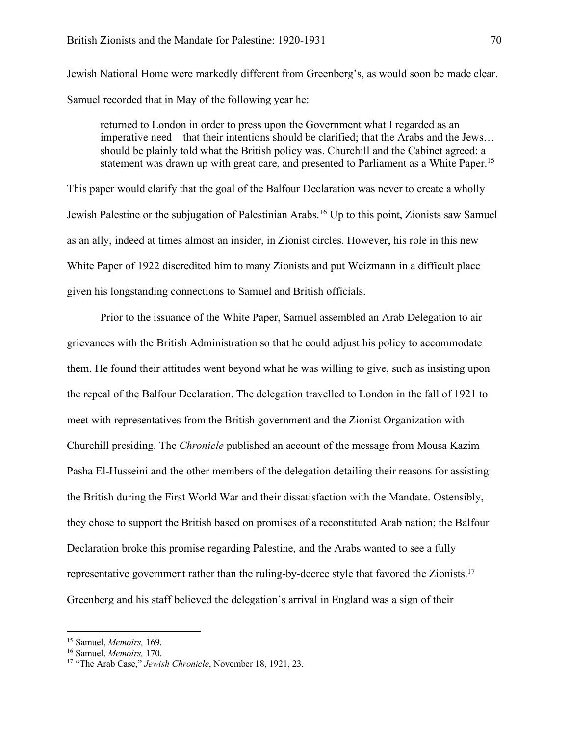Jewish National Home were markedly different from Greenberg's, as would soon be made clear. Samuel recorded that in May of the following year he:

returned to London in order to press upon the Government what I regarded as an imperative need—that their intentions should be clarified; that the Arabs and the Jews… should be plainly told what the British policy was. Churchill and the Cabinet agreed: a statement was drawn up with great care, and presented to Parliament as a White Paper.<sup>15</sup>

This paper would clarify that the goal of the Balfour Declaration was never to create a wholly Jewish Palestine or the subjugation of Palestinian Arabs.16 Up to this point, Zionists saw Samuel as an ally, indeed at times almost an insider, in Zionist circles. However, his role in this new White Paper of 1922 discredited him to many Zionists and put Weizmann in a difficult place given his longstanding connections to Samuel and British officials.

Prior to the issuance of the White Paper, Samuel assembled an Arab Delegation to air grievances with the British Administration so that he could adjust his policy to accommodate them. He found their attitudes went beyond what he was willing to give, such as insisting upon the repeal of the Balfour Declaration. The delegation travelled to London in the fall of 1921 to meet with representatives from the British government and the Zionist Organization with Churchill presiding. The *Chronicle* published an account of the message from Mousa Kazim Pasha El-Husseini and the other members of the delegation detailing their reasons for assisting the British during the First World War and their dissatisfaction with the Mandate. Ostensibly, they chose to support the British based on promises of a reconstituted Arab nation; the Balfour Declaration broke this promise regarding Palestine, and the Arabs wanted to see a fully representative government rather than the ruling-by-decree style that favored the Zionists.<sup>17</sup> Greenberg and his staff believed the delegation's arrival in England was a sign of their

 <sup>15</sup> Samuel, *Memoirs,* 169.

<sup>16</sup> Samuel, *Memoirs,* 170.

<sup>17</sup> "The Arab Case," *Jewish Chronicle*, November 18, 1921, 23.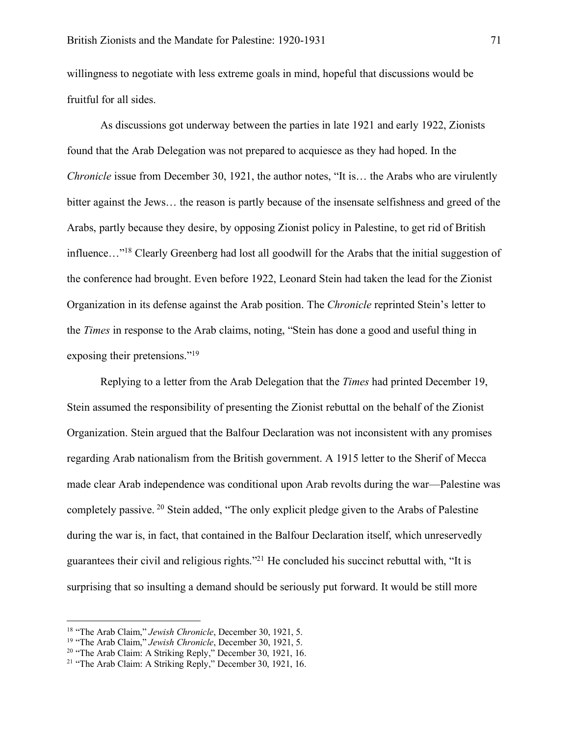willingness to negotiate with less extreme goals in mind, hopeful that discussions would be fruitful for all sides.

As discussions got underway between the parties in late 1921 and early 1922, Zionists found that the Arab Delegation was not prepared to acquiesce as they had hoped. In the *Chronicle* issue from December 30, 1921, the author notes, "It is... the Arabs who are virulently bitter against the Jews… the reason is partly because of the insensate selfishness and greed of the Arabs, partly because they desire, by opposing Zionist policy in Palestine, to get rid of British influence…"18 Clearly Greenberg had lost all goodwill for the Arabs that the initial suggestion of the conference had brought. Even before 1922, Leonard Stein had taken the lead for the Zionist Organization in its defense against the Arab position. The *Chronicle* reprinted Stein's letter to the *Times* in response to the Arab claims, noting, "Stein has done a good and useful thing in exposing their pretensions."<sup>19</sup>

Replying to a letter from the Arab Delegation that the *Times* had printed December 19, Stein assumed the responsibility of presenting the Zionist rebuttal on the behalf of the Zionist Organization. Stein argued that the Balfour Declaration was not inconsistent with any promises regarding Arab nationalism from the British government. A 1915 letter to the Sherif of Mecca made clear Arab independence was conditional upon Arab revolts during the war—Palestine was completely passive. <sup>20</sup> Stein added, "The only explicit pledge given to the Arabs of Palestine during the war is, in fact, that contained in the Balfour Declaration itself, which unreservedly guarantees their civil and religious rights."21 He concluded his succinct rebuttal with, "It is surprising that so insulting a demand should be seriously put forward. It would be still more

 <sup>18</sup> "The Arab Claim," *Jewish Chronicle*, December 30, 1921, 5.

<sup>19</sup> "The Arab Claim," *Jewish Chronicle*, December 30, 1921, 5.

<sup>&</sup>lt;sup>20</sup> "The Arab Claim: A Striking Reply," December 30, 1921, 16.

<sup>21</sup> "The Arab Claim: A Striking Reply," December 30, 1921, 16.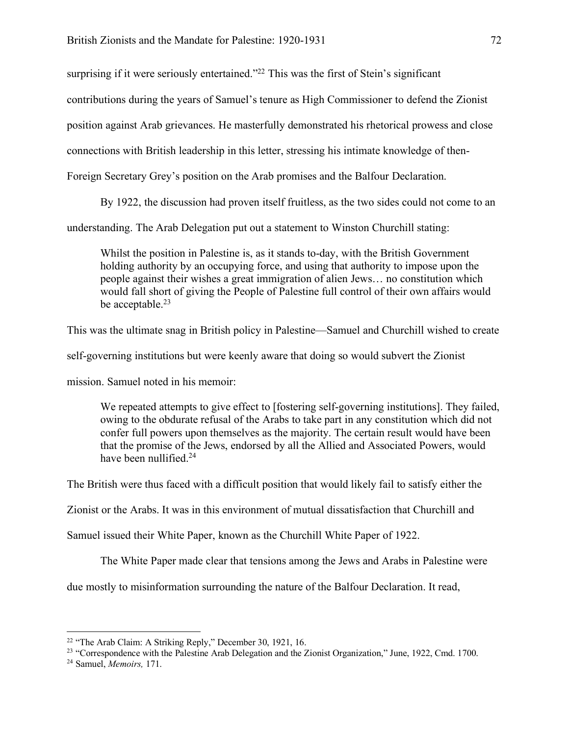surprising if it were seriously entertained."<sup>22</sup> This was the first of Stein's significant

contributions during the years of Samuel's tenure as High Commissioner to defend the Zionist

position against Arab grievances. He masterfully demonstrated his rhetorical prowess and close

connections with British leadership in this letter, stressing his intimate knowledge of then-

Foreign Secretary Grey's position on the Arab promises and the Balfour Declaration.

By 1922, the discussion had proven itself fruitless, as the two sides could not come to an

understanding. The Arab Delegation put out a statement to Winston Churchill stating:

Whilst the position in Palestine is, as it stands to-day, with the British Government holding authority by an occupying force, and using that authority to impose upon the people against their wishes a great immigration of alien Jews… no constitution which would fall short of giving the People of Palestine full control of their own affairs would be acceptable. $23$ 

This was the ultimate snag in British policy in Palestine—Samuel and Churchill wished to create

self-governing institutions but were keenly aware that doing so would subvert the Zionist

mission. Samuel noted in his memoir:

We repeated attempts to give effect to [fostering self-governing institutions]. They failed, owing to the obdurate refusal of the Arabs to take part in any constitution which did not confer full powers upon themselves as the majority. The certain result would have been that the promise of the Jews, endorsed by all the Allied and Associated Powers, would have been nullified.<sup>24</sup>

The British were thus faced with a difficult position that would likely fail to satisfy either the

Zionist or the Arabs. It was in this environment of mutual dissatisfaction that Churchill and

Samuel issued their White Paper, known as the Churchill White Paper of 1922.

The White Paper made clear that tensions among the Jews and Arabs in Palestine were

due mostly to misinformation surrounding the nature of the Balfour Declaration. It read,

 <sup>22</sup> "The Arab Claim: A Striking Reply," December 30, 1921, 16.

<sup>&</sup>lt;sup>23</sup> "Correspondence with the Palestine Arab Delegation and the Zionist Organization," June, 1922, Cmd. 1700.

<sup>24</sup> Samuel, *Memoirs,* 171.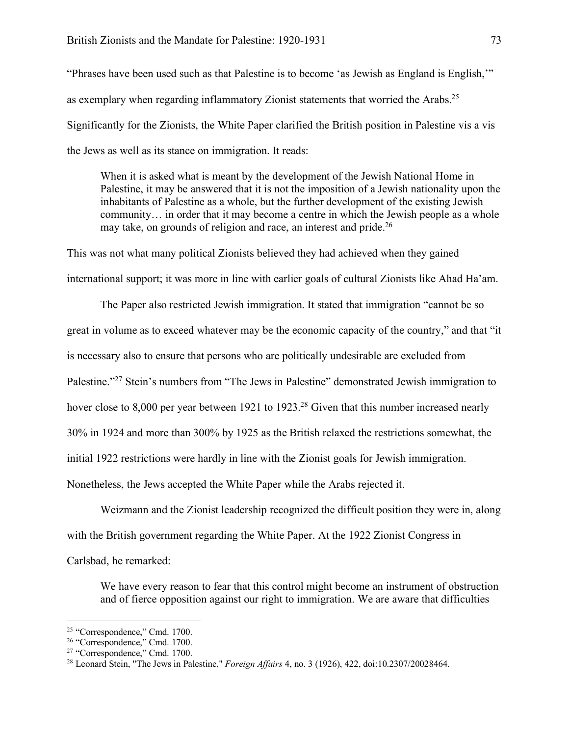"Phrases have been used such as that Palestine is to become 'as Jewish as England is English,'" as exemplary when regarding inflammatory Zionist statements that worried the Arabs.25 Significantly for the Zionists, the White Paper clarified the British position in Palestine vis a vis the Jews as well as its stance on immigration. It reads:

When it is asked what is meant by the development of the Jewish National Home in Palestine, it may be answered that it is not the imposition of a Jewish nationality upon the inhabitants of Palestine as a whole, but the further development of the existing Jewish community… in order that it may become a centre in which the Jewish people as a whole may take, on grounds of religion and race, an interest and pride.<sup>26</sup>

This was not what many political Zionists believed they had achieved when they gained international support; it was more in line with earlier goals of cultural Zionists like Ahad Ha'am.

The Paper also restricted Jewish immigration. It stated that immigration "cannot be so great in volume as to exceed whatever may be the economic capacity of the country," and that "it is necessary also to ensure that persons who are politically undesirable are excluded from Palestine."<sup>27</sup> Stein's numbers from "The Jews in Palestine" demonstrated Jewish immigration to hover close to 8,000 per year between 1921 to 1923.<sup>28</sup> Given that this number increased nearly 30% in 1924 and more than 300% by 1925 as the British relaxed the restrictions somewhat, the initial 1922 restrictions were hardly in line with the Zionist goals for Jewish immigration. Nonetheless, the Jews accepted the White Paper while the Arabs rejected it.

Weizmann and the Zionist leadership recognized the difficult position they were in, along with the British government regarding the White Paper. At the 1922 Zionist Congress in Carlsbad, he remarked:

We have every reason to fear that this control might become an instrument of obstruction and of fierce opposition against our right to immigration. We are aware that difficulties

 <sup>25</sup> "Correspondence," Cmd. 1700.

<sup>&</sup>lt;sup>26</sup> "Correspondence," Cmd. 1700.

<sup>&</sup>lt;sup>27</sup> "Correspondence," Cmd. 1700.

<sup>28</sup> Leonard Stein, "The Jews in Palestine," *Foreign Affairs* 4, no. 3 (1926), 422, doi:10.2307/20028464.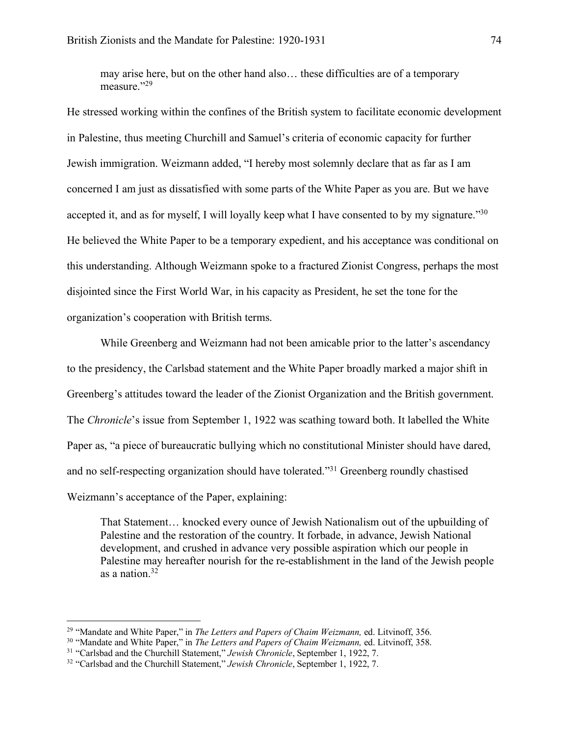may arise here, but on the other hand also… these difficulties are of a temporary measure<sup>"29</sup>

He stressed working within the confines of the British system to facilitate economic development in Palestine, thus meeting Churchill and Samuel's criteria of economic capacity for further Jewish immigration. Weizmann added, "I hereby most solemnly declare that as far as I am concerned I am just as dissatisfied with some parts of the White Paper as you are. But we have accepted it, and as for myself, I will loyally keep what I have consented to by my signature."<sup>30</sup> He believed the White Paper to be a temporary expedient, and his acceptance was conditional on this understanding. Although Weizmann spoke to a fractured Zionist Congress, perhaps the most disjointed since the First World War, in his capacity as President, he set the tone for the organization's cooperation with British terms.

While Greenberg and Weizmann had not been amicable prior to the latter's ascendancy to the presidency, the Carlsbad statement and the White Paper broadly marked a major shift in Greenberg's attitudes toward the leader of the Zionist Organization and the British government. The *Chronicle*'s issue from September 1, 1922 was scathing toward both. It labelled the White Paper as, "a piece of bureaucratic bullying which no constitutional Minister should have dared, and no self-respecting organization should have tolerated."31 Greenberg roundly chastised Weizmann's acceptance of the Paper, explaining:

That Statement… knocked every ounce of Jewish Nationalism out of the upbuilding of Palestine and the restoration of the country. It forbade, in advance, Jewish National development, and crushed in advance very possible aspiration which our people in Palestine may hereafter nourish for the re-establishment in the land of the Jewish people as a nation.32

 <sup>29</sup> "Mandate and White Paper," in *The Letters and Papers of Chaim Weizmann,* ed. Litvinoff, 356.

<sup>30</sup> "Mandate and White Paper," in *The Letters and Papers of Chaim Weizmann,* ed. Litvinoff, 358.

<sup>&</sup>lt;sup>31</sup> "Carlsbad and the Churchill Statement," *Jewish Chronicle*, September 1, 1922, 7.

<sup>32</sup> "Carlsbad and the Churchill Statement," *Jewish Chronicle*, September 1, 1922, 7.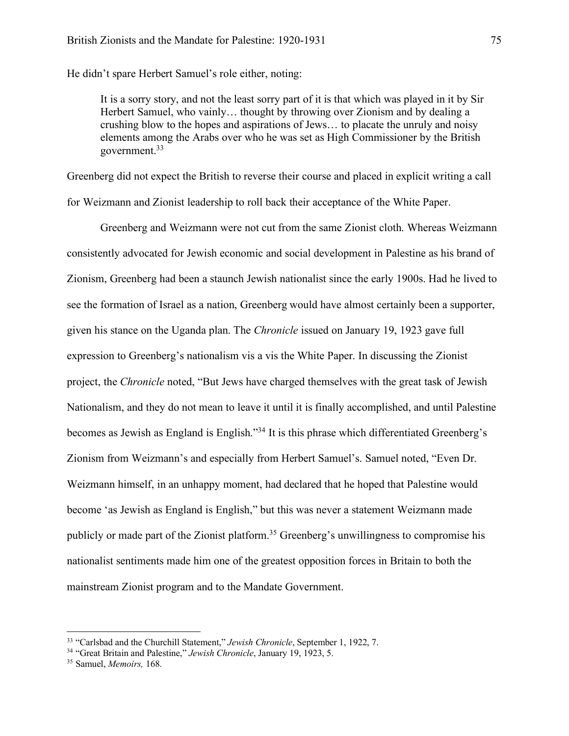He didn't spare Herbert Samuel's role either, noting:

It is a sorry story, and not the least sorry part of it is that which was played in it by Sir Herbert Samuel, who vainly… thought by throwing over Zionism and by dealing a crushing blow to the hopes and aspirations of Jews… to placate the unruly and noisy elements among the Arabs over who he was set as High Commissioner by the British government.33

Greenberg did not expect the British to reverse their course and placed in explicit writing a call for Weizmann and Zionist leadership to roll back their acceptance of the White Paper.

Greenberg and Weizmann were not cut from the same Zionist cloth. Whereas Weizmann consistently advocated for Jewish economic and social development in Palestine as his brand of Zionism, Greenberg had been a staunch Jewish nationalist since the early 1900s. Had he lived to see the formation of Israel as a nation, Greenberg would have almost certainly been a supporter, given his stance on the Uganda plan. The *Chronicle* issued on January 19, 1923 gave full expression to Greenberg's nationalism vis a vis the White Paper. In discussing the Zionist project, the *Chronicle* noted, "But Jews have charged themselves with the great task of Jewish Nationalism, and they do not mean to leave it until it is finally accomplished, and until Palestine becomes as Jewish as England is English."34 It is this phrase which differentiated Greenberg's Zionism from Weizmann's and especially from Herbert Samuel's. Samuel noted, "Even Dr. Weizmann himself, in an unhappy moment, had declared that he hoped that Palestine would become 'as Jewish as England is English," but this was never a statement Weizmann made publicly or made part of the Zionist platform.<sup>35</sup> Greenberg's unwillingness to compromise his nationalist sentiments made him one of the greatest opposition forces in Britain to both the mainstream Zionist program and to the Mandate Government.

 <sup>33</sup> "Carlsbad and the Churchill Statement," *Jewish Chronicle*, September 1, 1922, 7.

<sup>34</sup> "Great Britain and Palestine," *Jewish Chronicle*, January 19, 1923, 5.

<sup>35</sup> Samuel, *Memoirs,* 168.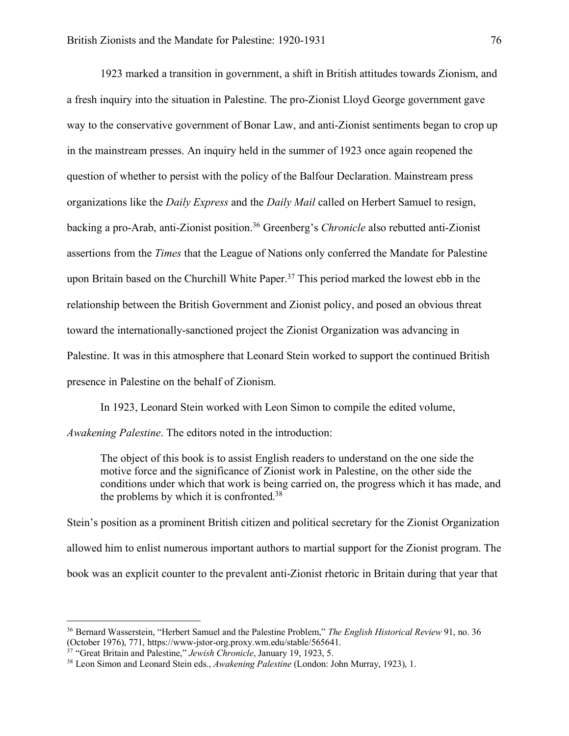1923 marked a transition in government, a shift in British attitudes towards Zionism, and a fresh inquiry into the situation in Palestine. The pro-Zionist Lloyd George government gave way to the conservative government of Bonar Law, and anti-Zionist sentiments began to crop up in the mainstream presses. An inquiry held in the summer of 1923 once again reopened the question of whether to persist with the policy of the Balfour Declaration. Mainstream press organizations like the *Daily Express* and the *Daily Mail* called on Herbert Samuel to resign, backing a pro-Arab, anti-Zionist position.36 Greenberg's *Chronicle* also rebutted anti-Zionist assertions from the *Times* that the League of Nations only conferred the Mandate for Palestine upon Britain based on the Churchill White Paper.<sup>37</sup> This period marked the lowest ebb in the relationship between the British Government and Zionist policy, and posed an obvious threat toward the internationally-sanctioned project the Zionist Organization was advancing in Palestine. It was in this atmosphere that Leonard Stein worked to support the continued British presence in Palestine on the behalf of Zionism.

In 1923, Leonard Stein worked with Leon Simon to compile the edited volume, *Awakening Palestine*. The editors noted in the introduction:

The object of this book is to assist English readers to understand on the one side the motive force and the significance of Zionist work in Palestine, on the other side the conditions under which that work is being carried on, the progress which it has made, and the problems by which it is confronted.<sup>38</sup>

Stein's position as a prominent British citizen and political secretary for the Zionist Organization allowed him to enlist numerous important authors to martial support for the Zionist program. The book was an explicit counter to the prevalent anti-Zionist rhetoric in Britain during that year that

 <sup>36</sup> Bernard Wasserstein, "Herbert Samuel and the Palestine Problem," *The English Historical Review* 91, no. 36 (October 1976), 771, https://www-jstor-org.proxy.wm.edu/stable/565641.

<sup>&</sup>lt;sup>37</sup> "Great Britain and Palestine," *Jewish Chronicle*, January 19, 1923, 5.

<sup>38</sup> Leon Simon and Leonard Stein eds., *Awakening Palestine* (London: John Murray, 1923), 1.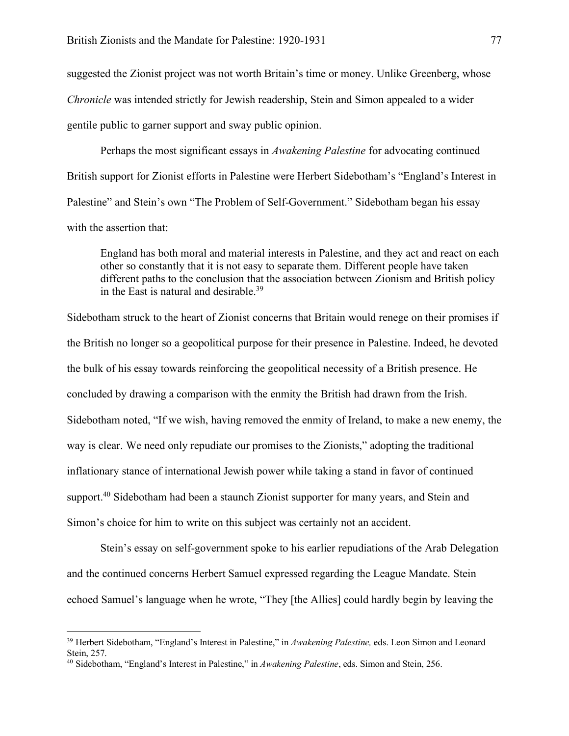suggested the Zionist project was not worth Britain's time or money. Unlike Greenberg, whose *Chronicle* was intended strictly for Jewish readership, Stein and Simon appealed to a wider gentile public to garner support and sway public opinion.

Perhaps the most significant essays in *Awakening Palestine* for advocating continued British support for Zionist efforts in Palestine were Herbert Sidebotham's "England's Interest in Palestine" and Stein's own "The Problem of Self-Government." Sidebotham began his essay with the assertion that:

England has both moral and material interests in Palestine, and they act and react on each other so constantly that it is not easy to separate them. Different people have taken different paths to the conclusion that the association between Zionism and British policy in the East is natural and desirable.<sup>39</sup>

Sidebotham struck to the heart of Zionist concerns that Britain would renege on their promises if the British no longer so a geopolitical purpose for their presence in Palestine. Indeed, he devoted the bulk of his essay towards reinforcing the geopolitical necessity of a British presence. He concluded by drawing a comparison with the enmity the British had drawn from the Irish. Sidebotham noted, "If we wish, having removed the enmity of Ireland, to make a new enemy, the way is clear. We need only repudiate our promises to the Zionists," adopting the traditional inflationary stance of international Jewish power while taking a stand in favor of continued support.<sup>40</sup> Sidebotham had been a staunch Zionist supporter for many years, and Stein and Simon's choice for him to write on this subject was certainly not an accident.

Stein's essay on self-government spoke to his earlier repudiations of the Arab Delegation and the continued concerns Herbert Samuel expressed regarding the League Mandate. Stein echoed Samuel's language when he wrote, "They [the Allies] could hardly begin by leaving the

 <sup>39</sup> Herbert Sidebotham, "England's Interest in Palestine," in *Awakening Palestine,* eds. Leon Simon and Leonard Stein, 257.

<sup>40</sup> Sidebotham, "England's Interest in Palestine," in *Awakening Palestine*, eds. Simon and Stein, 256.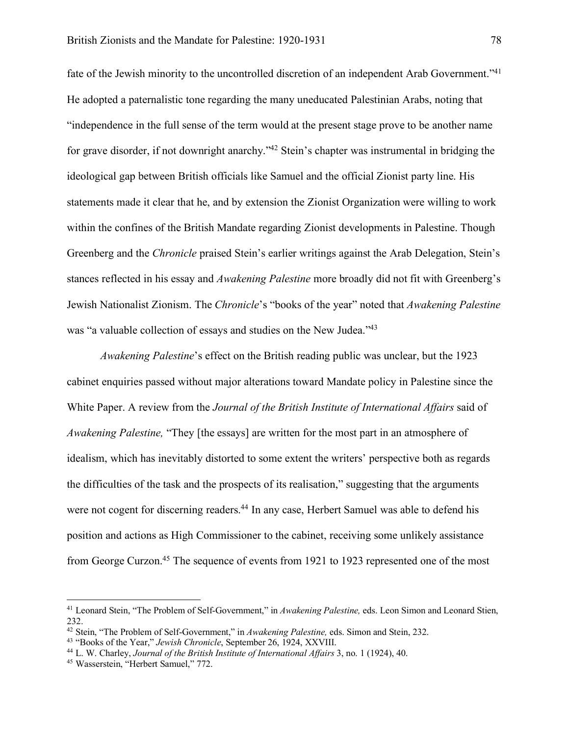fate of the Jewish minority to the uncontrolled discretion of an independent Arab Government."41 He adopted a paternalistic tone regarding the many uneducated Palestinian Arabs, noting that "independence in the full sense of the term would at the present stage prove to be another name for grave disorder, if not downright anarchy."42 Stein's chapter was instrumental in bridging the ideological gap between British officials like Samuel and the official Zionist party line. His statements made it clear that he, and by extension the Zionist Organization were willing to work within the confines of the British Mandate regarding Zionist developments in Palestine. Though Greenberg and the *Chronicle* praised Stein's earlier writings against the Arab Delegation, Stein's stances reflected in his essay and *Awakening Palestine* more broadly did not fit with Greenberg's Jewish Nationalist Zionism. The *Chronicle*'s "books of the year" noted that *Awakening Palestine*  was "a valuable collection of essays and studies on the New Judea."43

*Awakening Palestine*'s effect on the British reading public was unclear, but the 1923 cabinet enquiries passed without major alterations toward Mandate policy in Palestine since the White Paper. A review from the *Journal of the British Institute of International Affairs* said of *Awakening Palestine,* "They [the essays] are written for the most part in an atmosphere of idealism, which has inevitably distorted to some extent the writers' perspective both as regards the difficulties of the task and the prospects of its realisation," suggesting that the arguments were not cogent for discerning readers.<sup>44</sup> In any case, Herbert Samuel was able to defend his position and actions as High Commissioner to the cabinet, receiving some unlikely assistance from George Curzon.45 The sequence of events from 1921 to 1923 represented one of the most

 <sup>41</sup> Leonard Stein, "The Problem of Self-Government," in *Awakening Palestine,* eds. Leon Simon and Leonard Stien, 232.

<sup>42</sup> Stein, "The Problem of Self-Government," in *Awakening Palestine,* eds. Simon and Stein, 232. 43 "Books of the Year," *Jewish Chronicle*, September 26, 1924, XXVIII.

<sup>44</sup> L. W. Charley, *Journal of the British Institute of International Affairs* 3, no. 1 (1924), 40. 45 Wasserstein, "Herbert Samuel," 772.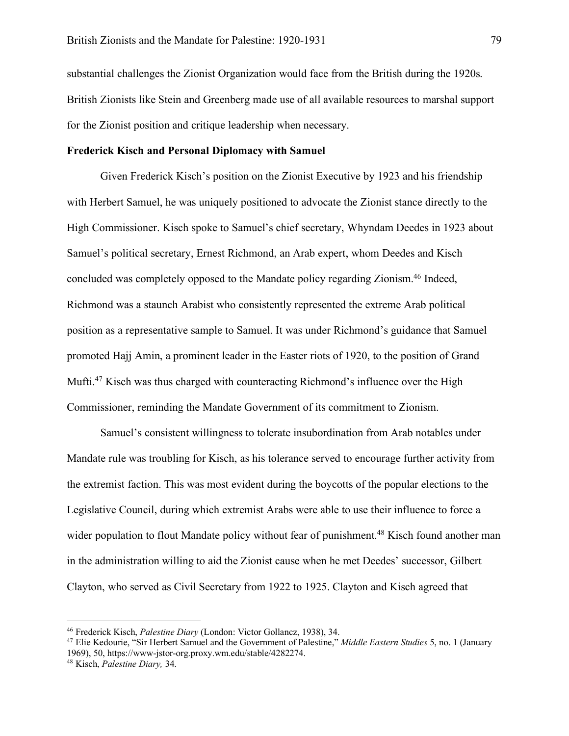substantial challenges the Zionist Organization would face from the British during the 1920s. British Zionists like Stein and Greenberg made use of all available resources to marshal support for the Zionist position and critique leadership when necessary.

#### **Frederick Kisch and Personal Diplomacy with Samuel**

Given Frederick Kisch's position on the Zionist Executive by 1923 and his friendship with Herbert Samuel, he was uniquely positioned to advocate the Zionist stance directly to the High Commissioner. Kisch spoke to Samuel's chief secretary, Whyndam Deedes in 1923 about Samuel's political secretary, Ernest Richmond, an Arab expert, whom Deedes and Kisch concluded was completely opposed to the Mandate policy regarding Zionism.46 Indeed, Richmond was a staunch Arabist who consistently represented the extreme Arab political position as a representative sample to Samuel. It was under Richmond's guidance that Samuel promoted Hajj Amin, a prominent leader in the Easter riots of 1920, to the position of Grand Mufti.47 Kisch was thus charged with counteracting Richmond's influence over the High Commissioner, reminding the Mandate Government of its commitment to Zionism.

Samuel's consistent willingness to tolerate insubordination from Arab notables under Mandate rule was troubling for Kisch, as his tolerance served to encourage further activity from the extremist faction. This was most evident during the boycotts of the popular elections to the Legislative Council, during which extremist Arabs were able to use their influence to force a wider population to flout Mandate policy without fear of punishment.<sup>48</sup> Kisch found another man in the administration willing to aid the Zionist cause when he met Deedes' successor, Gilbert Clayton, who served as Civil Secretary from 1922 to 1925. Clayton and Kisch agreed that

 <sup>46</sup> Frederick Kisch, *Palestine Diary* (London: Victor Gollancz, 1938), 34.

<sup>47</sup> Elie Kedourie, "Sir Herbert Samuel and the Government of Palestine," *Middle Eastern Studies* 5, no. 1 (January 1969), 50, https://www-jstor-org.proxy.wm.edu/stable/4282274.

<sup>48</sup> Kisch, *Palestine Diary,* 34.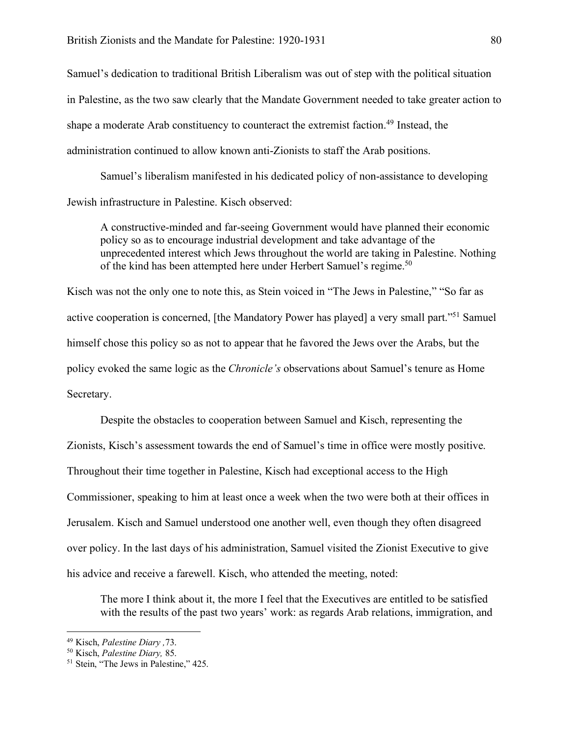Samuel's dedication to traditional British Liberalism was out of step with the political situation in Palestine, as the two saw clearly that the Mandate Government needed to take greater action to shape a moderate Arab constituency to counteract the extremist faction.<sup>49</sup> Instead, the administration continued to allow known anti-Zionists to staff the Arab positions.

Samuel's liberalism manifested in his dedicated policy of non-assistance to developing Jewish infrastructure in Palestine. Kisch observed:

A constructive-minded and far-seeing Government would have planned their economic policy so as to encourage industrial development and take advantage of the unprecedented interest which Jews throughout the world are taking in Palestine. Nothing of the kind has been attempted here under Herbert Samuel's regime.<sup>50</sup>

Kisch was not the only one to note this, as Stein voiced in "The Jews in Palestine," "So far as active cooperation is concerned, [the Mandatory Power has played] a very small part."51 Samuel himself chose this policy so as not to appear that he favored the Jews over the Arabs, but the policy evoked the same logic as the *Chronicle's* observations about Samuel's tenure as Home Secretary.

Despite the obstacles to cooperation between Samuel and Kisch, representing the Zionists, Kisch's assessment towards the end of Samuel's time in office were mostly positive. Throughout their time together in Palestine, Kisch had exceptional access to the High Commissioner, speaking to him at least once a week when the two were both at their offices in Jerusalem. Kisch and Samuel understood one another well, even though they often disagreed over policy. In the last days of his administration, Samuel visited the Zionist Executive to give his advice and receive a farewell. Kisch, who attended the meeting, noted:

The more I think about it, the more I feel that the Executives are entitled to be satisfied with the results of the past two years' work: as regards Arab relations, immigration, and

 <sup>49</sup> Kisch, *Palestine Diary ,*73.

<sup>50</sup> Kisch, *Palestine Diary,* 85.

<sup>51</sup> Stein, "The Jews in Palestine," 425.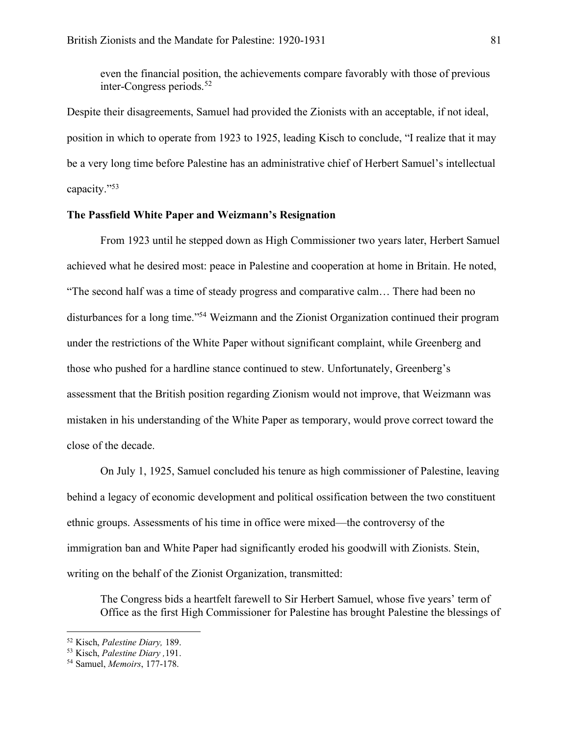even the financial position, the achievements compare favorably with those of previous inter-Congress periods.52

Despite their disagreements, Samuel had provided the Zionists with an acceptable, if not ideal, position in which to operate from 1923 to 1925, leading Kisch to conclude, "I realize that it may be a very long time before Palestine has an administrative chief of Herbert Samuel's intellectual capacity."53

### **The Passfield White Paper and Weizmann's Resignation**

From 1923 until he stepped down as High Commissioner two years later, Herbert Samuel achieved what he desired most: peace in Palestine and cooperation at home in Britain. He noted, "The second half was a time of steady progress and comparative calm… There had been no disturbances for a long time."54 Weizmann and the Zionist Organization continued their program under the restrictions of the White Paper without significant complaint, while Greenberg and those who pushed for a hardline stance continued to stew. Unfortunately, Greenberg's assessment that the British position regarding Zionism would not improve, that Weizmann was mistaken in his understanding of the White Paper as temporary, would prove correct toward the close of the decade.

On July 1, 1925, Samuel concluded his tenure as high commissioner of Palestine, leaving behind a legacy of economic development and political ossification between the two constituent ethnic groups. Assessments of his time in office were mixed—the controversy of the immigration ban and White Paper had significantly eroded his goodwill with Zionists. Stein, writing on the behalf of the Zionist Organization, transmitted:

The Congress bids a heartfelt farewell to Sir Herbert Samuel, whose five years' term of Office as the first High Commissioner for Palestine has brought Palestine the blessings of

 <sup>52</sup> Kisch, *Palestine Diary,* 189.

<sup>53</sup> Kisch, *Palestine Diary ,*191.

<sup>54</sup> Samuel, *Memoirs*, 177-178.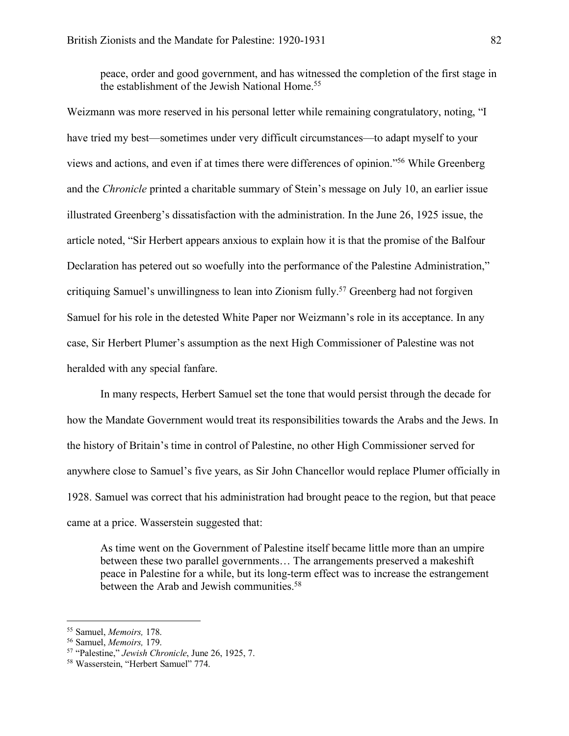peace, order and good government, and has witnessed the completion of the first stage in the establishment of the Jewish National Home.<sup>55</sup>

Weizmann was more reserved in his personal letter while remaining congratulatory, noting, "I have tried my best—sometimes under very difficult circumstances—to adapt myself to your views and actions, and even if at times there were differences of opinion."56 While Greenberg and the *Chronicle* printed a charitable summary of Stein's message on July 10, an earlier issue illustrated Greenberg's dissatisfaction with the administration. In the June 26, 1925 issue, the article noted, "Sir Herbert appears anxious to explain how it is that the promise of the Balfour Declaration has petered out so woefully into the performance of the Palestine Administration," critiquing Samuel's unwillingness to lean into Zionism fully.<sup>57</sup> Greenberg had not forgiven Samuel for his role in the detested White Paper nor Weizmann's role in its acceptance. In any case, Sir Herbert Plumer's assumption as the next High Commissioner of Palestine was not heralded with any special fanfare.

In many respects, Herbert Samuel set the tone that would persist through the decade for how the Mandate Government would treat its responsibilities towards the Arabs and the Jews. In the history of Britain's time in control of Palestine, no other High Commissioner served for anywhere close to Samuel's five years, as Sir John Chancellor would replace Plumer officially in 1928. Samuel was correct that his administration had brought peace to the region, but that peace came at a price. Wasserstein suggested that:

As time went on the Government of Palestine itself became little more than an umpire between these two parallel governments… The arrangements preserved a makeshift peace in Palestine for a while, but its long-term effect was to increase the estrangement between the Arab and Jewish communities.<sup>58</sup>

 <sup>55</sup> Samuel, *Memoirs,* 178.

<sup>56</sup> Samuel, *Memoirs,* 179.

<sup>57</sup> "Palestine," *Jewish Chronicle*, June 26, 1925, 7.

<sup>58</sup> Wasserstein, "Herbert Samuel" 774.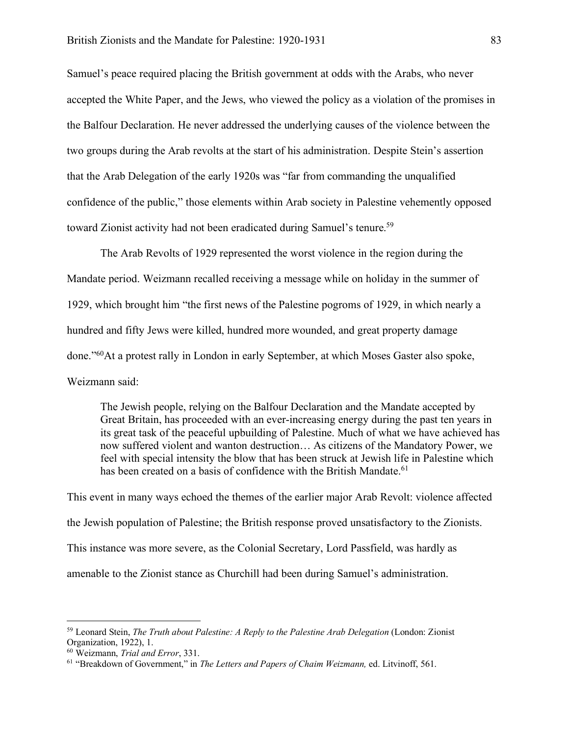Samuel's peace required placing the British government at odds with the Arabs, who never accepted the White Paper, and the Jews, who viewed the policy as a violation of the promises in the Balfour Declaration. He never addressed the underlying causes of the violence between the two groups during the Arab revolts at the start of his administration. Despite Stein's assertion that the Arab Delegation of the early 1920s was "far from commanding the unqualified confidence of the public," those elements within Arab society in Palestine vehemently opposed toward Zionist activity had not been eradicated during Samuel's tenure.<sup>59</sup>

The Arab Revolts of 1929 represented the worst violence in the region during the Mandate period. Weizmann recalled receiving a message while on holiday in the summer of 1929, which brought him "the first news of the Palestine pogroms of 1929, in which nearly a hundred and fifty Jews were killed, hundred more wounded, and great property damage done."60At a protest rally in London in early September, at which Moses Gaster also spoke, Weizmann said:

The Jewish people, relying on the Balfour Declaration and the Mandate accepted by Great Britain, has proceeded with an ever-increasing energy during the past ten years in its great task of the peaceful upbuilding of Palestine. Much of what we have achieved has now suffered violent and wanton destruction… As citizens of the Mandatory Power, we feel with special intensity the blow that has been struck at Jewish life in Palestine which has been created on a basis of confidence with the British Mandate.<sup>61</sup>

This event in many ways echoed the themes of the earlier major Arab Revolt: violence affected the Jewish population of Palestine; the British response proved unsatisfactory to the Zionists. This instance was more severe, as the Colonial Secretary, Lord Passfield, was hardly as amenable to the Zionist stance as Churchill had been during Samuel's administration.

<sup>&</sup>lt;sup>59</sup> Leonard Stein, *The Truth about Palestine: A Reply to the Palestine Arab Delegation* (London: Zionist Organization, 1922), 1.

<sup>60</sup> Weizmann, *Trial and Error*, 331.

<sup>61</sup> "Breakdown of Government," in *The Letters and Papers of Chaim Weizmann,* ed. Litvinoff, 561.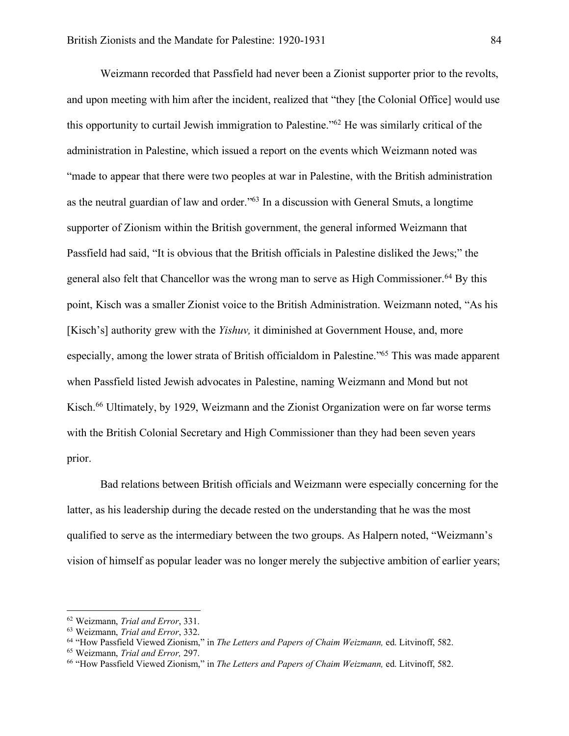Weizmann recorded that Passfield had never been a Zionist supporter prior to the revolts, and upon meeting with him after the incident, realized that "they [the Colonial Office] would use this opportunity to curtail Jewish immigration to Palestine."62 He was similarly critical of the administration in Palestine, which issued a report on the events which Weizmann noted was "made to appear that there were two peoples at war in Palestine, with the British administration as the neutral guardian of law and order."63 In a discussion with General Smuts, a longtime supporter of Zionism within the British government, the general informed Weizmann that Passfield had said, "It is obvious that the British officials in Palestine disliked the Jews;" the general also felt that Chancellor was the wrong man to serve as High Commissioner.<sup>64</sup> By this point, Kisch was a smaller Zionist voice to the British Administration. Weizmann noted, "As his [Kisch's] authority grew with the *Yishuv,* it diminished at Government House, and, more especially, among the lower strata of British officialdom in Palestine."65 This was made apparent when Passfield listed Jewish advocates in Palestine, naming Weizmann and Mond but not Kisch.<sup>66</sup> Ultimately, by 1929, Weizmann and the Zionist Organization were on far worse terms with the British Colonial Secretary and High Commissioner than they had been seven years prior.

Bad relations between British officials and Weizmann were especially concerning for the latter, as his leadership during the decade rested on the understanding that he was the most qualified to serve as the intermediary between the two groups. As Halpern noted, "Weizmann's vision of himself as popular leader was no longer merely the subjective ambition of earlier years;

 <sup>62</sup> Weizmann, *Trial and Error*, 331.

<sup>63</sup> Weizmann, *Trial and Error*, 332.

<sup>64</sup> "How Passfield Viewed Zionism," in *The Letters and Papers of Chaim Weizmann,* ed. Litvinoff, 582.

<sup>65</sup> Weizmann, *Trial and Error,* 297.

<sup>66</sup> "How Passfield Viewed Zionism," in *The Letters and Papers of Chaim Weizmann,* ed. Litvinoff, 582.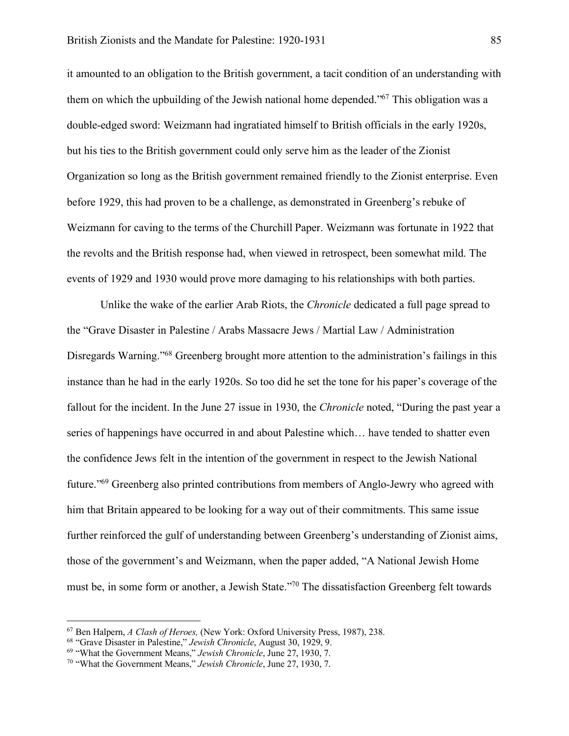it amounted to an obligation to the British government, a tacit condition of an understanding with them on which the upbuilding of the Jewish national home depended."<sup>67</sup> This obligation was a double-edged sword: Weizmann had ingratiated himself to British officials in the early 1920s, but his ties to the British government could only serve him as the leader of the Zionist Organization so long as the British government remained friendly to the Zionist enterprise. Even before 1929, this had proven to be a challenge, as demonstrated in Greenberg's rebuke of Weizmann for caving to the terms of the Churchill Paper. Weizmann was fortunate in 1922 that the revolts and the British response had, when viewed in retrospect, been somewhat mild. The events of 1929 and 1930 would prove more damaging to his relationships with both parties.

Unlike the wake of the earlier Arab Riots, the *Chronicle* dedicated a full page spread to the "Grave Disaster in Palestine / Arabs Massacre Jews / Martial Law / Administration Disregards Warning.<sup>"68</sup> Greenberg brought more attention to the administration's failings in this instance than he had in the early 1920s. So too did he set the tone for his paper's coverage of the fallout for the incident. In the June 27 issue in 1930, the *Chronicle* noted, "During the past year a series of happenings have occurred in and about Palestine which… have tended to shatter even the confidence Jews felt in the intention of the government in respect to the Jewish National future."69 Greenberg also printed contributions from members of Anglo-Jewry who agreed with him that Britain appeared to be looking for a way out of their commitments. This same issue further reinforced the gulf of understanding between Greenberg's understanding of Zionist aims, those of the government's and Weizmann, when the paper added, "A National Jewish Home must be, in some form or another, a Jewish State."70 The dissatisfaction Greenberg felt towards

 <sup>67</sup> Ben Halpern, *A Clash of Heroes,* (New York: Oxford University Press, 1987), 238.

<sup>68</sup> "Grave Disaster in Palestine," *Jewish Chronicle*, August 30, 1929, 9.

<sup>69</sup> "What the Government Means," *Jewish Chronicle*, June 27, 1930, 7.

<sup>70</sup> "What the Government Means," *Jewish Chronicle*, June 27, 1930, 7.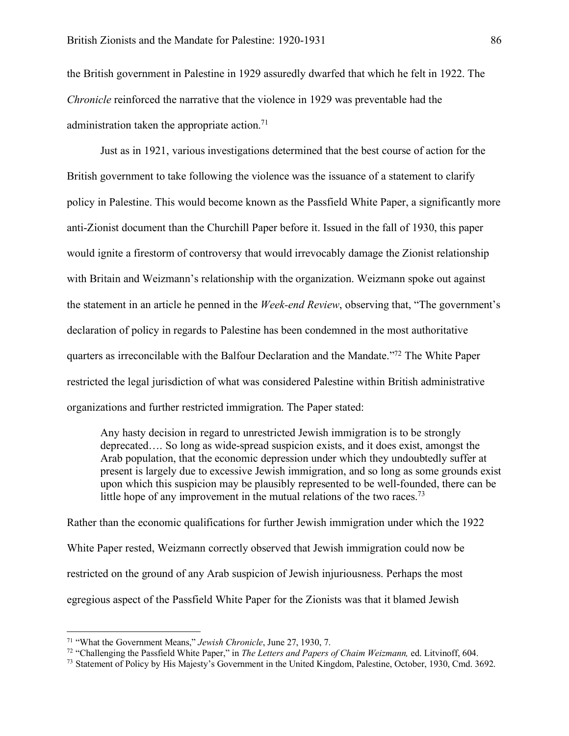the British government in Palestine in 1929 assuredly dwarfed that which he felt in 1922. The *Chronicle* reinforced the narrative that the violence in 1929 was preventable had the administration taken the appropriate action.<sup>71</sup>

Just as in 1921, various investigations determined that the best course of action for the British government to take following the violence was the issuance of a statement to clarify policy in Palestine. This would become known as the Passfield White Paper, a significantly more anti-Zionist document than the Churchill Paper before it. Issued in the fall of 1930, this paper would ignite a firestorm of controversy that would irrevocably damage the Zionist relationship with Britain and Weizmann's relationship with the organization. Weizmann spoke out against the statement in an article he penned in the *Week-end Review*, observing that, "The government's declaration of policy in regards to Palestine has been condemned in the most authoritative quarters as irreconcilable with the Balfour Declaration and the Mandate."72 The White Paper restricted the legal jurisdiction of what was considered Palestine within British administrative organizations and further restricted immigration. The Paper stated:

Any hasty decision in regard to unrestricted Jewish immigration is to be strongly deprecated…. So long as wide-spread suspicion exists, and it does exist, amongst the Arab population, that the economic depression under which they undoubtedly suffer at present is largely due to excessive Jewish immigration, and so long as some grounds exist upon which this suspicion may be plausibly represented to be well-founded, there can be little hope of any improvement in the mutual relations of the two races.<sup>73</sup>

Rather than the economic qualifications for further Jewish immigration under which the 1922 White Paper rested, Weizmann correctly observed that Jewish immigration could now be restricted on the ground of any Arab suspicion of Jewish injuriousness. Perhaps the most egregious aspect of the Passfield White Paper for the Zionists was that it blamed Jewish

 <sup>71</sup> "What the Government Means," *Jewish Chronicle*, June 27, 1930, 7.

<sup>72</sup> "Challenging the Passfield White Paper," in *The Letters and Papers of Chaim Weizmann,* ed. Litvinoff, 604.

<sup>73</sup> Statement of Policy by His Majesty's Government in the United Kingdom, Palestine, October, 1930, Cmd. 3692.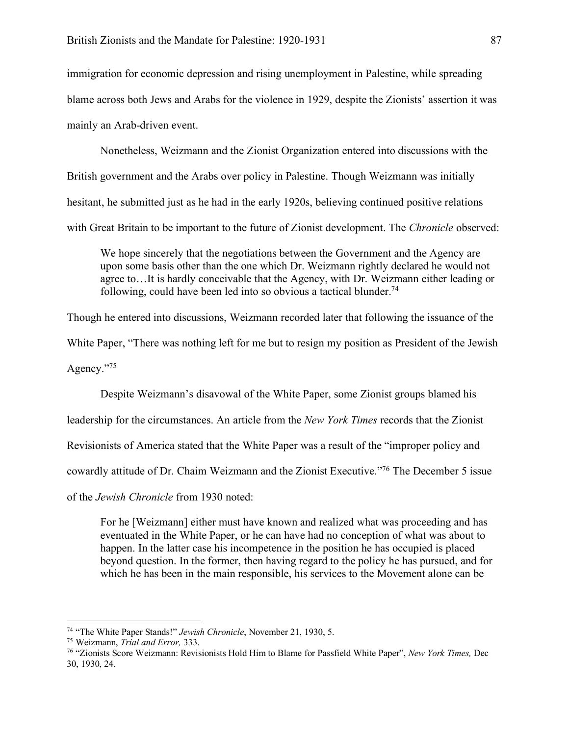immigration for economic depression and rising unemployment in Palestine, while spreading blame across both Jews and Arabs for the violence in 1929, despite the Zionists' assertion it was mainly an Arab-driven event.

Nonetheless, Weizmann and the Zionist Organization entered into discussions with the British government and the Arabs over policy in Palestine. Though Weizmann was initially hesitant, he submitted just as he had in the early 1920s, believing continued positive relations with Great Britain to be important to the future of Zionist development. The *Chronicle* observed:

We hope sincerely that the negotiations between the Government and the Agency are upon some basis other than the one which Dr. Weizmann rightly declared he would not agree to…It is hardly conceivable that the Agency, with Dr. Weizmann either leading or following, could have been led into so obvious a tactical blunder.<sup>74</sup>

Though he entered into discussions, Weizmann recorded later that following the issuance of the

White Paper, "There was nothing left for me but to resign my position as President of the Jewish Agency."75

Despite Weizmann's disavowal of the White Paper, some Zionist groups blamed his leadership for the circumstances. An article from the *New York Times* records that the Zionist Revisionists of America stated that the White Paper was a result of the "improper policy and cowardly attitude of Dr. Chaim Weizmann and the Zionist Executive."76 The December 5 issue of the *Jewish Chronicle* from 1930 noted:

For he [Weizmann] either must have known and realized what was proceeding and has eventuated in the White Paper, or he can have had no conception of what was about to happen. In the latter case his incompetence in the position he has occupied is placed beyond question. In the former, then having regard to the policy he has pursued, and for which he has been in the main responsible, his services to the Movement alone can be

 <sup>74</sup> "The White Paper Stands!" *Jewish Chronicle*, November 21, 1930, 5.

<sup>75</sup> Weizmann, *Trial and Error,* 333.

<sup>76</sup> "Zionists Score Weizmann: Revisionists Hold Him to Blame for Passfield White Paper", *New York Times,* Dec 30, 1930, 24.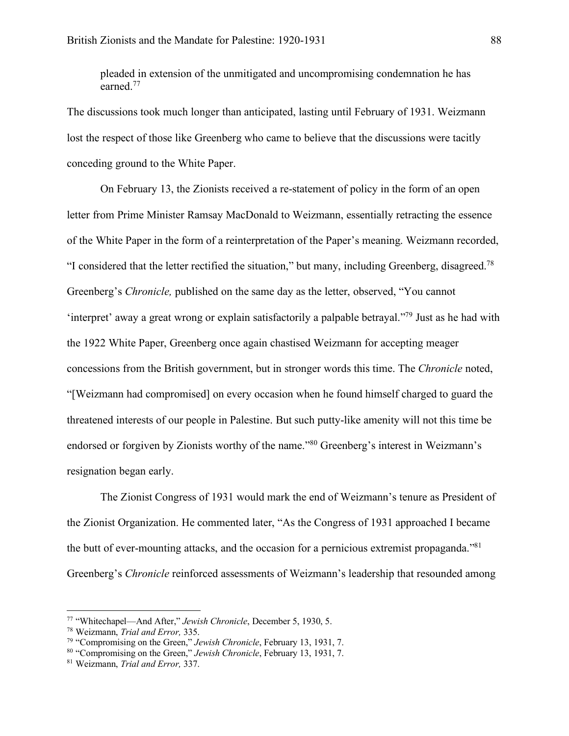pleaded in extension of the unmitigated and uncompromising condemnation he has earned<sup>77</sup>

The discussions took much longer than anticipated, lasting until February of 1931. Weizmann lost the respect of those like Greenberg who came to believe that the discussions were tacitly conceding ground to the White Paper.

On February 13, the Zionists received a re-statement of policy in the form of an open letter from Prime Minister Ramsay MacDonald to Weizmann, essentially retracting the essence of the White Paper in the form of a reinterpretation of the Paper's meaning. Weizmann recorded, "I considered that the letter rectified the situation," but many, including Greenberg, disagreed.78 Greenberg's *Chronicle,* published on the same day as the letter, observed, "You cannot 'interpret' away a great wrong or explain satisfactorily a palpable betrayal."79 Just as he had with the 1922 White Paper, Greenberg once again chastised Weizmann for accepting meager concessions from the British government, but in stronger words this time. The *Chronicle* noted, "[Weizmann had compromised] on every occasion when he found himself charged to guard the threatened interests of our people in Palestine. But such putty-like amenity will not this time be endorsed or forgiven by Zionists worthy of the name."80 Greenberg's interest in Weizmann's resignation began early.

The Zionist Congress of 1931 would mark the end of Weizmann's tenure as President of the Zionist Organization. He commented later, "As the Congress of 1931 approached I became the butt of ever-mounting attacks, and the occasion for a pernicious extremist propaganda.<sup>881</sup> Greenberg's *Chronicle* reinforced assessments of Weizmann's leadership that resounded among

 <sup>77</sup> "Whitechapel—And After," *Jewish Chronicle*, December 5, 1930, 5.

<sup>78</sup> Weizmann, *Trial and Error,* 335.

<sup>79</sup> "Compromising on the Green," *Jewish Chronicle*, February 13, 1931, 7.

<sup>80</sup> "Compromising on the Green," *Jewish Chronicle*, February 13, 1931, 7.

<sup>81</sup> Weizmann, *Trial and Error,* 337.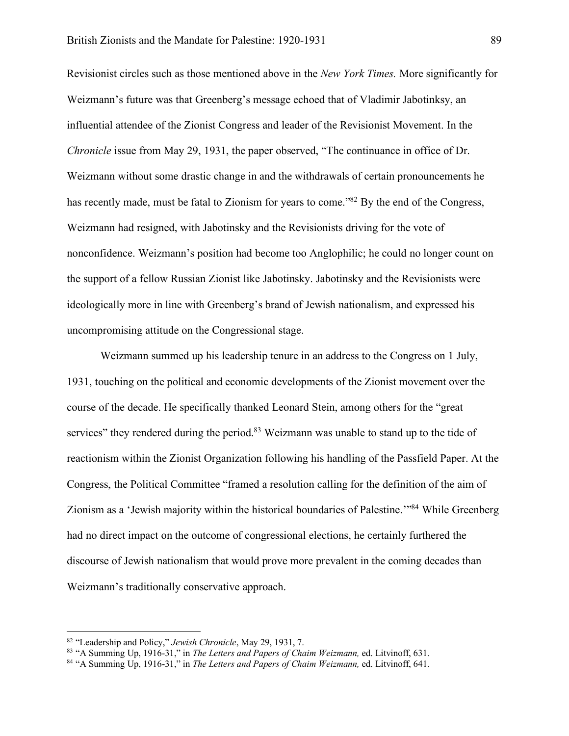Revisionist circles such as those mentioned above in the *New York Times.* More significantly for Weizmann's future was that Greenberg's message echoed that of Vladimir Jabotinksy, an influential attendee of the Zionist Congress and leader of the Revisionist Movement. In the *Chronicle* issue from May 29, 1931, the paper observed, "The continuance in office of Dr. Weizmann without some drastic change in and the withdrawals of certain pronouncements he has recently made, must be fatal to Zionism for years to come."<sup>82</sup> By the end of the Congress, Weizmann had resigned, with Jabotinsky and the Revisionists driving for the vote of nonconfidence. Weizmann's position had become too Anglophilic; he could no longer count on the support of a fellow Russian Zionist like Jabotinsky. Jabotinsky and the Revisionists were ideologically more in line with Greenberg's brand of Jewish nationalism, and expressed his uncompromising attitude on the Congressional stage.

Weizmann summed up his leadership tenure in an address to the Congress on 1 July, 1931, touching on the political and economic developments of the Zionist movement over the course of the decade. He specifically thanked Leonard Stein, among others for the "great services" they rendered during the period.<sup>83</sup> Weizmann was unable to stand up to the tide of reactionism within the Zionist Organization following his handling of the Passfield Paper. At the Congress, the Political Committee "framed a resolution calling for the definition of the aim of Zionism as a 'Jewish majority within the historical boundaries of Palestine.'"84 While Greenberg had no direct impact on the outcome of congressional elections, he certainly furthered the discourse of Jewish nationalism that would prove more prevalent in the coming decades than Weizmann's traditionally conservative approach.

 <sup>82</sup> "Leadership and Policy," *Jewish Chronicle*, May 29, 1931, 7.

<sup>83</sup> "A Summing Up, 1916-31," in *The Letters and Papers of Chaim Weizmann,* ed. Litvinoff, 631.

<sup>84</sup> "A Summing Up, 1916-31," in *The Letters and Papers of Chaim Weizmann,* ed. Litvinoff, 641.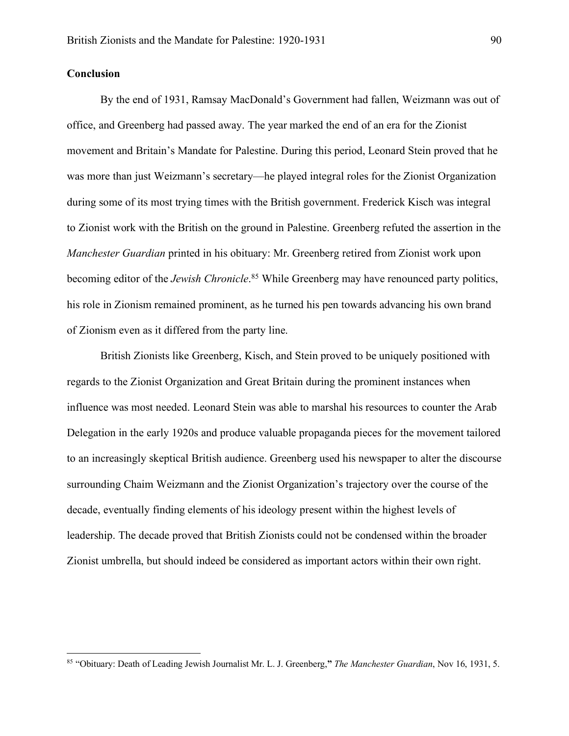By the end of 1931, Ramsay MacDonald's Government had fallen, Weizmann was out of office, and Greenberg had passed away. The year marked the end of an era for the Zionist movement and Britain's Mandate for Palestine. During this period, Leonard Stein proved that he was more than just Weizmann's secretary—he played integral roles for the Zionist Organization during some of its most trying times with the British government. Frederick Kisch was integral to Zionist work with the British on the ground in Palestine. Greenberg refuted the assertion in the *Manchester Guardian* printed in his obituary: Mr. Greenberg retired from Zionist work upon becoming editor of the *Jewish Chronicle*. <sup>85</sup> While Greenberg may have renounced party politics, his role in Zionism remained prominent, as he turned his pen towards advancing his own brand of Zionism even as it differed from the party line.

British Zionists like Greenberg, Kisch, and Stein proved to be uniquely positioned with regards to the Zionist Organization and Great Britain during the prominent instances when influence was most needed. Leonard Stein was able to marshal his resources to counter the Arab Delegation in the early 1920s and produce valuable propaganda pieces for the movement tailored to an increasingly skeptical British audience. Greenberg used his newspaper to alter the discourse surrounding Chaim Weizmann and the Zionist Organization's trajectory over the course of the decade, eventually finding elements of his ideology present within the highest levels of leadership. The decade proved that British Zionists could not be condensed within the broader Zionist umbrella, but should indeed be considered as important actors within their own right.

 <sup>85</sup> "Obituary: Death of Leading Jewish Journalist Mr. L. J. Greenberg,**"** *The Manchester Guardian*, Nov 16, 1931, 5.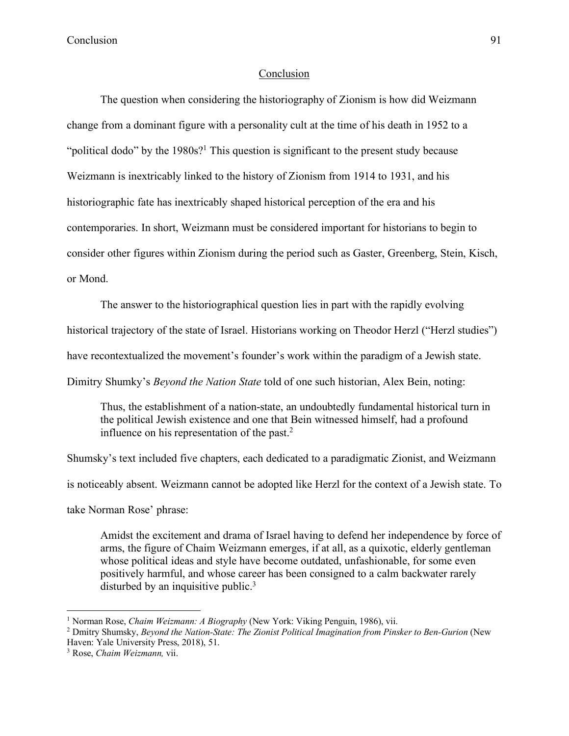#### Conclusion

The question when considering the historiography of Zionism is how did Weizmann change from a dominant figure with a personality cult at the time of his death in 1952 to a "political dodo" by the  $1980s<sup>1</sup>$  This question is significant to the present study because Weizmann is inextricably linked to the history of Zionism from 1914 to 1931, and his historiographic fate has inextricably shaped historical perception of the era and his contemporaries. In short, Weizmann must be considered important for historians to begin to consider other figures within Zionism during the period such as Gaster, Greenberg, Stein, Kisch, or Mond.

The answer to the historiographical question lies in part with the rapidly evolving

historical trajectory of the state of Israel. Historians working on Theodor Herzl ("Herzl studies")

have recontextualized the movement's founder's work within the paradigm of a Jewish state.

Dimitry Shumky's *Beyond the Nation State* told of one such historian, Alex Bein, noting:

Thus, the establishment of a nation-state, an undoubtedly fundamental historical turn in the political Jewish existence and one that Bein witnessed himself, had a profound influence on his representation of the past.<sup>2</sup>

Shumsky's text included five chapters, each dedicated to a paradigmatic Zionist, and Weizmann

is noticeably absent. Weizmann cannot be adopted like Herzl for the context of a Jewish state. To

take Norman Rose' phrase:

Amidst the excitement and drama of Israel having to defend her independence by force of arms, the figure of Chaim Weizmann emerges, if at all, as a quixotic, elderly gentleman whose political ideas and style have become outdated, unfashionable, for some even positively harmful, and whose career has been consigned to a calm backwater rarely disturbed by an inquisitive public.<sup>3</sup>

 <sup>1</sup> Norman Rose, *Chaim Weizmann: A Biography* (New York: Viking Penguin, 1986), vii.

<sup>2</sup> Dmitry Shumsky, *Beyond the Nation-State: The Zionist Political Imagination from Pinsker to Ben-Gurion* (New Haven: Yale University Press, 2018), 51.

<sup>3</sup> Rose, *Chaim Weizmann,* vii.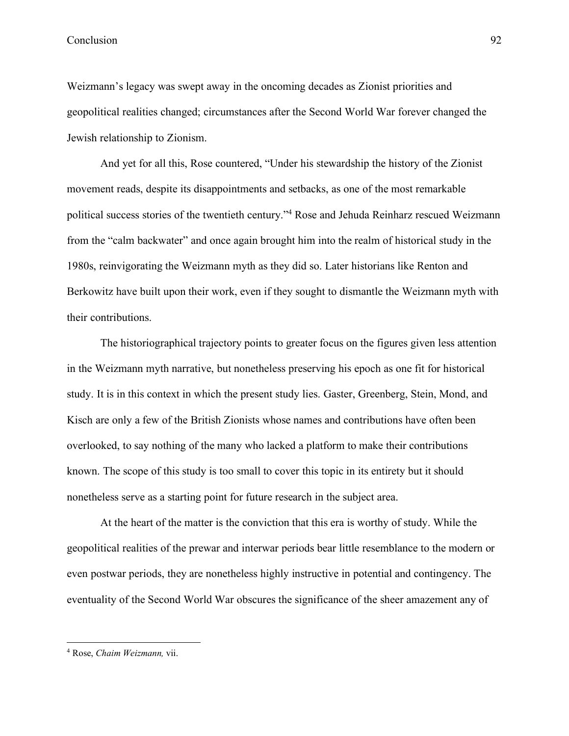Weizmann's legacy was swept away in the oncoming decades as Zionist priorities and geopolitical realities changed; circumstances after the Second World War forever changed the Jewish relationship to Zionism.

And yet for all this, Rose countered, "Under his stewardship the history of the Zionist movement reads, despite its disappointments and setbacks, as one of the most remarkable political success stories of the twentieth century."4 Rose and Jehuda Reinharz rescued Weizmann from the "calm backwater" and once again brought him into the realm of historical study in the 1980s, reinvigorating the Weizmann myth as they did so. Later historians like Renton and Berkowitz have built upon their work, even if they sought to dismantle the Weizmann myth with their contributions.

The historiographical trajectory points to greater focus on the figures given less attention in the Weizmann myth narrative, but nonetheless preserving his epoch as one fit for historical study. It is in this context in which the present study lies. Gaster, Greenberg, Stein, Mond, and Kisch are only a few of the British Zionists whose names and contributions have often been overlooked, to say nothing of the many who lacked a platform to make their contributions known. The scope of this study is too small to cover this topic in its entirety but it should nonetheless serve as a starting point for future research in the subject area.

At the heart of the matter is the conviction that this era is worthy of study. While the geopolitical realities of the prewar and interwar periods bear little resemblance to the modern or even postwar periods, they are nonetheless highly instructive in potential and contingency. The eventuality of the Second World War obscures the significance of the sheer amazement any of

 <sup>4</sup> Rose, *Chaim Weizmann,* vii.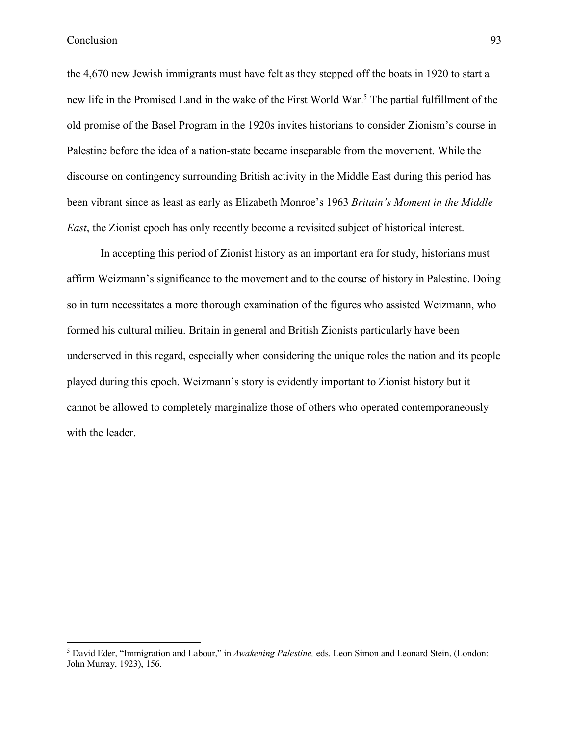the 4,670 new Jewish immigrants must have felt as they stepped off the boats in 1920 to start a new life in the Promised Land in the wake of the First World War. <sup>5</sup> The partial fulfillment of the old promise of the Basel Program in the 1920s invites historians to consider Zionism's course in Palestine before the idea of a nation-state became inseparable from the movement. While the discourse on contingency surrounding British activity in the Middle East during this period has been vibrant since as least as early as Elizabeth Monroe's 1963 *Britain's Moment in the Middle East*, the Zionist epoch has only recently become a revisited subject of historical interest.

In accepting this period of Zionist history as an important era for study, historians must affirm Weizmann's significance to the movement and to the course of history in Palestine. Doing so in turn necessitates a more thorough examination of the figures who assisted Weizmann, who formed his cultural milieu. Britain in general and British Zionists particularly have been underserved in this regard, especially when considering the unique roles the nation and its people played during this epoch. Weizmann's story is evidently important to Zionist history but it cannot be allowed to completely marginalize those of others who operated contemporaneously with the leader.

 <sup>5</sup> David Eder, "Immigration and Labour," in *Awakening Palestine,* eds. Leon Simon and Leonard Stein, (London: John Murray, 1923), 156.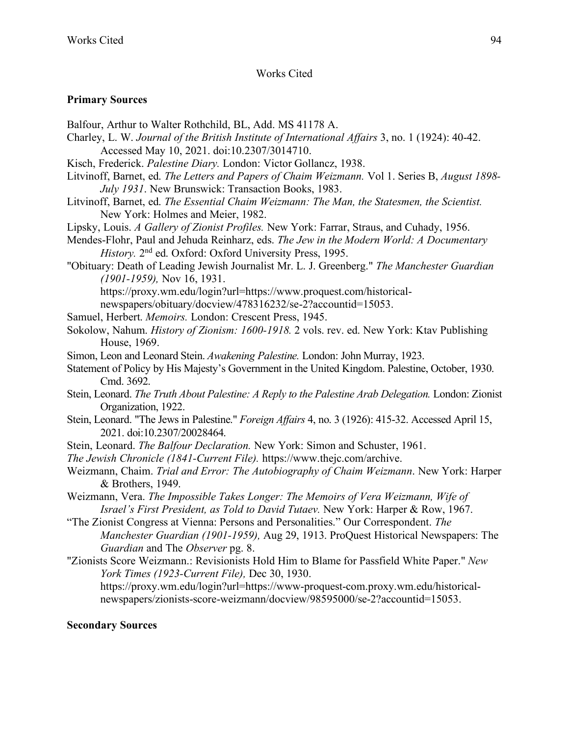# Works Cited

## **Primary Sources**

- Balfour, Arthur to Walter Rothchild, BL, Add. MS 41178 A.
- Charley, L. W. *Journal of the British Institute of International Affairs* 3, no. 1 (1924): 40-42. Accessed May 10, 2021. doi:10.2307/3014710.
- Kisch, Frederick. *Palestine Diary.* London: Victor Gollancz, 1938.
- Litvinoff, Barnet, ed. *The Letters and Papers of Chaim Weizmann.* Vol 1. Series B, *August 1898- July 1931*. New Brunswick: Transaction Books, 1983.
- Litvinoff, Barnet, ed. *The Essential Chaim Weizmann: The Man, the Statesmen, the Scientist.*  New York: Holmes and Meier, 1982.
- Lipsky, Louis. *A Gallery of Zionist Profiles.* New York: Farrar, Straus, and Cuhady, 1956.
- Mendes-Flohr, Paul and Jehuda Reinharz, eds. *The Jew in the Modern World: A Documentary History.*  $2<sup>nd</sup>$  ed. Oxford: Oxford University Press, 1995.
- "Obituary: Death of Leading Jewish Journalist Mr. L. J. Greenberg." *The Manchester Guardian (1901-1959),* Nov 16, 1931.
	- https://proxy.wm.edu/login?url=https://www.proquest.com/historical-
	- newspapers/obituary/docview/478316232/se-2?accountid=15053.
- Samuel, Herbert. *Memoirs.* London: Crescent Press, 1945.
- Sokolow, Nahum. *History of Zionism: 1600-1918.* 2 vols. rev. ed. New York: Ktav Publishing House, 1969.
- Simon, Leon and Leonard Stein. *Awakening Palestine.* London: John Murray, 1923.
- Statement of Policy by His Majesty's Government in the United Kingdom. Palestine, October, 1930. Cmd. 3692.
- Stein, Leonard. *The Truth About Palestine: A Reply to the Palestine Arab Delegation*. London: Zionist Organization, 1922.
- Stein, Leonard. "The Jews in Palestine." *Foreign Affairs* 4, no. 3 (1926): 415-32. Accessed April 15, 2021. doi:10.2307/20028464.
- Stein, Leonard. *The Balfour Declaration.* New York: Simon and Schuster, 1961.
- *The Jewish Chronicle (1841-Current File).* https://www.thejc.com/archive.
- Weizmann, Chaim. *Trial and Error: The Autobiography of Chaim Weizmann*. New York: Harper & Brothers, 1949.
- Weizmann, Vera. *The Impossible Takes Longer: The Memoirs of Vera Weizmann, Wife of Israel's First President, as Told to David Tutaev.* New York: Harper & Row, 1967.
- "The Zionist Congress at Vienna: Persons and Personalities." Our Correspondent. *The Manchester Guardian (1901-1959),* Aug 29, 1913. ProQuest Historical Newspapers: The *Guardian* and The *Observer* pg. 8.
- "Zionists Score Weizmann.: Revisionists Hold Him to Blame for Passfield White Paper." *New York Times (1923-Current File),* Dec 30, 1930.

https://proxy.wm.edu/login?url=https://www-proquest-com.proxy.wm.edu/historicalnewspapers/zionists-score-weizmann/docview/98595000/se-2?accountid=15053.

## **Secondary Sources**